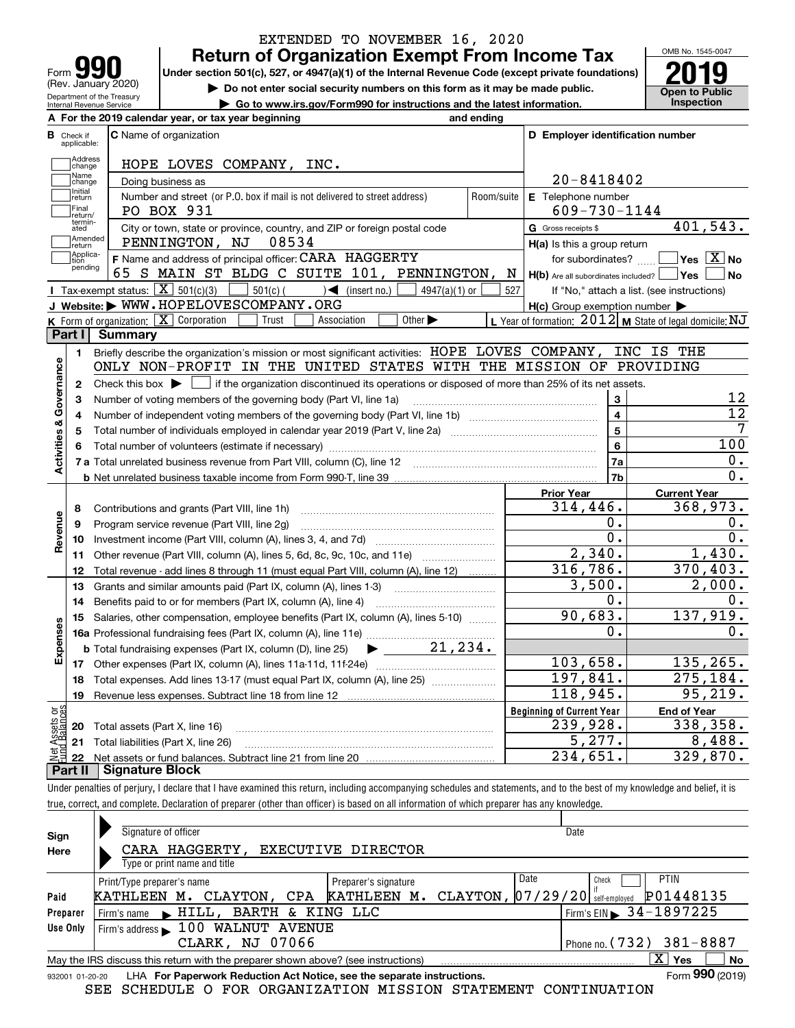| Form                                                   |
|--------------------------------------------------------|
| (Rev. January 2020)                                    |
| Department of the Treasury<br>Internal Revenue Service |

## **Return of Organization Exempt From Income Tax** EXTENDED TO NOVEMBER 16, 2020

Under section 501(c), 527, or 4947(a)(1) of the Internal Revenue Code (except private foundations) **2019** 

**| Do not enter social security numbers on this form as it may be made public.**

**| Go to www.irs.gov/Form990 for instructions and the latest information. Inspection**



|                         |                         | A For the 2019 calendar year, or tax year beginning                                                                                                 | and ending |                                                     |                                                           |
|-------------------------|-------------------------|-----------------------------------------------------------------------------------------------------------------------------------------------------|------------|-----------------------------------------------------|-----------------------------------------------------------|
| В                       | Check if<br>applicable: | <b>C</b> Name of organization                                                                                                                       |            | D Employer identification number                    |                                                           |
|                         | Address<br>change       | HOPE LOVES COMPANY, INC.                                                                                                                            |            |                                                     |                                                           |
|                         | Name<br>change          | Doing business as                                                                                                                                   |            | $20 - 8418402$                                      |                                                           |
|                         | Initial<br> return      | Number and street (or P.O. box if mail is not delivered to street address)                                                                          | Room/suite | E Telephone number                                  |                                                           |
|                         | Final<br>return/        | PO BOX 931                                                                                                                                          |            | $609 - 730 - 1144$                                  |                                                           |
|                         | termin-<br>ated         | City or town, state or province, country, and ZIP or foreign postal code                                                                            |            | G Gross receipts \$                                 | 401,543.                                                  |
|                         | Amended<br>return       | 08534<br>PENNINGTON, NJ                                                                                                                             |            | $H(a)$ is this a group return                       |                                                           |
|                         | Applica-<br>tion        | F Name and address of principal officer: CARA HAGGERTY                                                                                              |            | for subordinates?                                   | $\sqrt{}$ Yes $\sqrt{}$ X $\sqrt{}$ No                    |
|                         | pending                 | 65 S MAIN ST BLDG C SUITE 101, PENNINGTON, N                                                                                                        |            | $H(b)$ Are all subordinates included? $\Box$ Yes    | No                                                        |
|                         |                         | Tax-exempt status: $\boxed{\mathbf{X}}$ 501(c)(3) $\boxed{\phantom{0}}$ 501(c) (<br>$\sqrt{\phantom{a}}$ (insert no.)<br>$4947(a)(1)$ or            | 527        |                                                     | If "No," attach a list. (see instructions)                |
|                         |                         | J Website: WWW.HOPELOVESCOMPANY.ORG                                                                                                                 |            | $H(c)$ Group exemption number $\blacktriangleright$ |                                                           |
|                         |                         | $K$ Form of organization: $\boxed{X}$ Corporation<br>Other $\blacktriangleright$<br>Trust<br>Association                                            |            |                                                     | L Year of formation: $2012$ M State of legal domicile: NJ |
|                         | Part I                  | <b>Summary</b>                                                                                                                                      |            |                                                     |                                                           |
|                         | 1.                      | Briefly describe the organization's mission or most significant activities: HOPE LOVES COMPANY,                                                     |            |                                                     | INC IS THE                                                |
| Activities & Governance |                         | ONLY NON-PROFIT IN THE UNITED STATES WITH THE MISSION OF PROVIDING                                                                                  |            |                                                     |                                                           |
|                         | $\mathbf{2}$            | Check this box $\blacktriangleright$ $\blacksquare$ if the organization discontinued its operations or disposed of more than 25% of its net assets. |            |                                                     |                                                           |
|                         | 3                       | Number of voting members of the governing body (Part VI, line 1a)                                                                                   |            |                                                     | 12<br>3                                                   |
|                         | 4                       |                                                                                                                                                     |            | $\overline{4}$                                      | $\overline{12}$                                           |
|                         | 5                       |                                                                                                                                                     |            | 5                                                   | $\overline{7}$                                            |
|                         | 6                       |                                                                                                                                                     |            | 6                                                   | 100                                                       |
|                         |                         |                                                                                                                                                     |            | 7a                                                  | $0$ .                                                     |
|                         |                         |                                                                                                                                                     |            | 7b                                                  | 0.                                                        |
|                         |                         |                                                                                                                                                     |            | Prior Year                                          | <b>Current Year</b>                                       |
|                         | 8                       | Contributions and grants (Part VIII, line 1h)                                                                                                       |            | 314,446.                                            | 368,973.                                                  |
| Revenue                 | 9                       | Program service revenue (Part VIII, line 2g)                                                                                                        |            | 0.                                                  | 0.                                                        |
|                         | 10                      |                                                                                                                                                     |            | $\overline{0}$ .                                    | $\overline{0}$ .                                          |
|                         | 11                      | Other revenue (Part VIII, column (A), lines 5, 6d, 8c, 9c, 10c, and 11e)                                                                            |            | 2,340.                                              | 1,430.                                                    |
|                         | 12                      | Total revenue - add lines 8 through 11 (must equal Part VIII, column (A), line 12)                                                                  |            | 316, 786.                                           | 370,403.                                                  |
|                         | 13                      | Grants and similar amounts paid (Part IX, column (A), lines 1-3) <i>manumanonononononon</i>                                                         |            | 3,500.<br>0.                                        | 2,000.                                                    |
|                         | 14                      | Benefits paid to or for members (Part IX, column (A), line 4)                                                                                       |            | 90,683.                                             | 0.<br>137,919.                                            |
|                         | 15                      | Salaries, other compensation, employee benefits (Part IX, column (A), lines 5-10)                                                                   |            | 0.                                                  | 0.                                                        |
|                         |                         |                                                                                                                                                     |            |                                                     |                                                           |
| Expenses                |                         | $\blacktriangleright$ 21,234.<br><b>b</b> Total fundraising expenses (Part IX, column (D), line 25)                                                 |            | 103,658.                                            | 135, 265.                                                 |
|                         |                         |                                                                                                                                                     |            | 197,841.                                            | 275, 184.                                                 |
|                         | 18                      | Total expenses. Add lines 13-17 (must equal Part IX, column (A), line 25)                                                                           |            | 118,945.                                            | 95, 219.                                                  |
|                         | 19                      |                                                                                                                                                     |            | <b>Beginning of Current Year</b>                    |                                                           |
| ag                      |                         |                                                                                                                                                     |            | 239,928.                                            | <b>End of Year</b><br>338,358.                            |
| Assets<br>I Balano      | 20                      | Total assets (Part X, line 16)                                                                                                                      |            | 5,277.                                              | 8,488.                                                    |
| Net                     |                         | 21 Total liabilities (Part X, line 26)                                                                                                              |            | 234,651.                                            | 329,870.                                                  |
|                         | 22                      |                                                                                                                                                     |            |                                                     |                                                           |

**Part II Signature Block**

Under penalties of perjury, I declare that I have examined this return, including accompanying schedules and statements, and to the best of my knowledge and belief, it is true, correct, and complete. Declaration of preparer (other than officer) is based on all information of which preparer has any knowledge.

| Sign            | Signature of officer                                                              | Date                      |                                   |                                        |  |  |  |  |  |  |  |
|-----------------|-----------------------------------------------------------------------------------|---------------------------|-----------------------------------|----------------------------------------|--|--|--|--|--|--|--|
| Here            | CARA HAGGERTY,                                                                    | <b>EXECUTIVE DIRECTOR</b> |                                   |                                        |  |  |  |  |  |  |  |
|                 | Type or print name and title                                                      |                           |                                   |                                        |  |  |  |  |  |  |  |
|                 | Print/Type preparer's name                                                        | Preparer's signature      | Date                              | <b>PTIN</b><br>Check                   |  |  |  |  |  |  |  |
| Paid            | KATHLEEN M. CLAYTON, CPA                                                          | KATHLEEN M.               | CLAYTON, $07/29/20$ self-employed | P01448135                              |  |  |  |  |  |  |  |
| Preparer        | Firm's name MHILL, BARTH & KING LLC                                               |                           |                                   | Firm's EIN $\triangleright$ 34-1897225 |  |  |  |  |  |  |  |
| Use Only        | Firm's address 100 WALNUT AVENUE                                                  |                           |                                   |                                        |  |  |  |  |  |  |  |
|                 | Phone no. $(732)$ $381-8887$<br>CLARK, NJ 07066                                   |                           |                                   |                                        |  |  |  |  |  |  |  |
|                 | May the IRS discuss this return with the preparer shown above? (see instructions) |                           |                                   | ΧI<br>No<br>Yes                        |  |  |  |  |  |  |  |
| 932001 01-20-20 | LHA For Paperwork Reduction Act Notice, see the separate instructions.            |                           |                                   | Form 990 (2019)                        |  |  |  |  |  |  |  |

SEE SCHEDULE O FOR ORGANIZATION MISSION STATEMENT CONTINUATION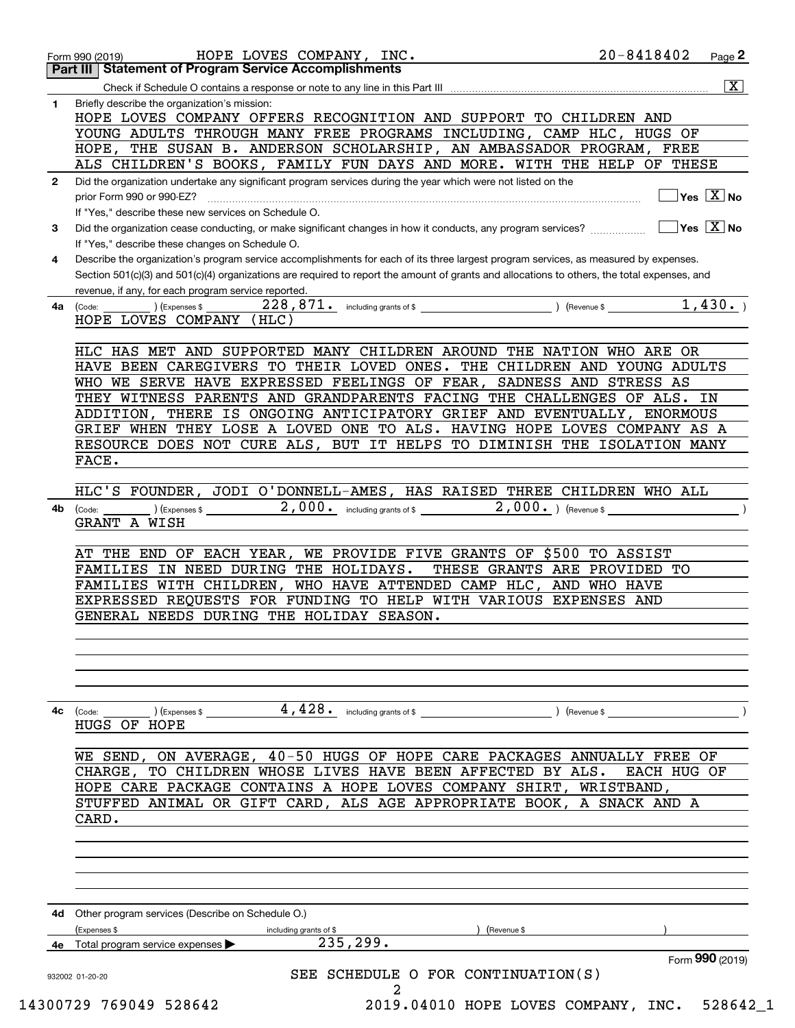|    | Page <sup>2</sup><br><b>Part III   Statement of Program Service Accomplishments</b>                                                                                                                                                                                                                                                                                                            |
|----|------------------------------------------------------------------------------------------------------------------------------------------------------------------------------------------------------------------------------------------------------------------------------------------------------------------------------------------------------------------------------------------------|
|    | $\overline{\mathbf{x}}$                                                                                                                                                                                                                                                                                                                                                                        |
| 1  | Briefly describe the organization's mission:<br>HOPE LOVES COMPANY OFFERS RECOGNITION AND SUPPORT TO CHILDREN AND<br>YOUNG ADULTS THROUGH MANY FREE PROGRAMS INCLUDING, CAMP HLC, HUGS OF<br>HOPE, THE SUSAN B. ANDERSON SCHOLARSHIP, AN AMBASSADOR PROGRAM, FREE                                                                                                                              |
|    | ALS CHILDREN'S BOOKS, FAMILY FUN DAYS AND MORE. WITH THE HELP OF THESE                                                                                                                                                                                                                                                                                                                         |
| 2  | Did the organization undertake any significant program services during the year which were not listed on the<br>$Yes \ \boxed{X}$ No<br>prior Form 990 or 990-EZ?                                                                                                                                                                                                                              |
| 3  | If "Yes," describe these new services on Schedule O.<br>$\overline{\mathsf{Yes} \mathrel{\;\; X} \mathsf{No}}$<br>Did the organization cease conducting, or make significant changes in how it conducts, any program services?                                                                                                                                                                 |
| 4  | If "Yes," describe these changes on Schedule O.<br>Describe the organization's program service accomplishments for each of its three largest program services, as measured by expenses.<br>Section 501(c)(3) and 501(c)(4) organizations are required to report the amount of grants and allocations to others, the total expenses, and<br>revenue, if any, for each program service reported. |
| 4a | 1,430.<br>228,871. including grants of \$<br>) (Revenue \$<br>(Expenses \$<br>(Code:<br>HOPE LOVES COMPANY<br>(HLC)                                                                                                                                                                                                                                                                            |
|    | HLC HAS MET AND SUPPORTED MANY CHILDREN AROUND THE NATION WHO ARE OR                                                                                                                                                                                                                                                                                                                           |
|    | HAVE BEEN CAREGIVERS TO THEIR LOVED ONES. THE CHILDREN AND YOUNG ADULTS                                                                                                                                                                                                                                                                                                                        |
|    | WHO WE SERVE HAVE EXPRESSED FEELINGS OF FEAR, SADNESS AND STRESS AS                                                                                                                                                                                                                                                                                                                            |
|    | THEY WITNESS PARENTS AND GRANDPARENTS FACING THE CHALLENGES OF ALS.<br>IN                                                                                                                                                                                                                                                                                                                      |
|    | ADDITION, THERE IS ONGOING ANTICIPATORY GRIEF AND EVENTUALLY, ENORMOUS                                                                                                                                                                                                                                                                                                                         |
|    | GRIEF WHEN THEY LOSE A LOVED ONE TO ALS. HAVING HOPE LOVES COMPANY AS A                                                                                                                                                                                                                                                                                                                        |
|    | RESOURCE DOES NOT CURE ALS, BUT IT HELPS TO DIMINISH THE ISOLATION MANY                                                                                                                                                                                                                                                                                                                        |
|    | FACE.                                                                                                                                                                                                                                                                                                                                                                                          |
|    |                                                                                                                                                                                                                                                                                                                                                                                                |
|    | HLC'S FOUNDER, JODI O'DONNELL-AMES, HAS RAISED THREE CHILDREN WHO ALL                                                                                                                                                                                                                                                                                                                          |
| 4b | 2,000. including grants of \$ ______________<br>$2,000.$ ) (Revenue \$<br>(Express \$<br>(Code:                                                                                                                                                                                                                                                                                                |
|    | GRANT A WISH                                                                                                                                                                                                                                                                                                                                                                                   |
|    |                                                                                                                                                                                                                                                                                                                                                                                                |
|    | AT THE END OF EACH YEAR, WE PROVIDE FIVE GRANTS OF \$500 TO ASSIST                                                                                                                                                                                                                                                                                                                             |
|    | FAMILIES IN NEED DURING THE HOLIDAYS.<br>THESE GRANTS ARE PROVIDED TO                                                                                                                                                                                                                                                                                                                          |
|    | FAMILIES WITH CHILDREN, WHO HAVE ATTENDED CAMP HLC, AND WHO HAVE                                                                                                                                                                                                                                                                                                                               |
|    | EXPRESSED REQUESTS FOR FUNDING TO HELP WITH VARIOUS EXPENSES AND                                                                                                                                                                                                                                                                                                                               |
|    | GENERAL NEEDS DURING THE HOLIDAY SEASON.                                                                                                                                                                                                                                                                                                                                                       |
|    |                                                                                                                                                                                                                                                                                                                                                                                                |
|    |                                                                                                                                                                                                                                                                                                                                                                                                |
|    |                                                                                                                                                                                                                                                                                                                                                                                                |
|    |                                                                                                                                                                                                                                                                                                                                                                                                |
|    |                                                                                                                                                                                                                                                                                                                                                                                                |
| 4с | $\left(\text{Code:}\begin{array}{c}\text{---}\end{array}\right)\left(\text{Express $}\$ \ \_$<br>) (Revenue \$                                                                                                                                                                                                                                                                                 |
|    | HUGS OF HOPE                                                                                                                                                                                                                                                                                                                                                                                   |
|    |                                                                                                                                                                                                                                                                                                                                                                                                |
|    | WE SEND, ON AVERAGE, 40-50 HUGS OF HOPE CARE PACKAGES ANNUALLY FREE OF                                                                                                                                                                                                                                                                                                                         |
|    | CHARGE, TO CHILDREN WHOSE LIVES HAVE BEEN AFFECTED BY ALS.<br>EACH HUG OF                                                                                                                                                                                                                                                                                                                      |
|    | HOPE CARE PACKAGE CONTAINS A HOPE LOVES COMPANY SHIRT, WRISTBAND,                                                                                                                                                                                                                                                                                                                              |
|    | STUFFED ANIMAL OR GIFT CARD, ALS AGE APPROPRIATE BOOK, A SNACK AND A                                                                                                                                                                                                                                                                                                                           |
|    | CARD.                                                                                                                                                                                                                                                                                                                                                                                          |
|    |                                                                                                                                                                                                                                                                                                                                                                                                |
|    |                                                                                                                                                                                                                                                                                                                                                                                                |
|    |                                                                                                                                                                                                                                                                                                                                                                                                |
|    |                                                                                                                                                                                                                                                                                                                                                                                                |
|    | Other program services (Describe on Schedule O.)                                                                                                                                                                                                                                                                                                                                               |
|    | (Expenses \$<br>including grants of \$<br>(Revenue \$                                                                                                                                                                                                                                                                                                                                          |
|    |                                                                                                                                                                                                                                                                                                                                                                                                |
|    | 235,299.<br>Total program service expenses                                                                                                                                                                                                                                                                                                                                                     |
|    | Form 990 (2019)                                                                                                                                                                                                                                                                                                                                                                                |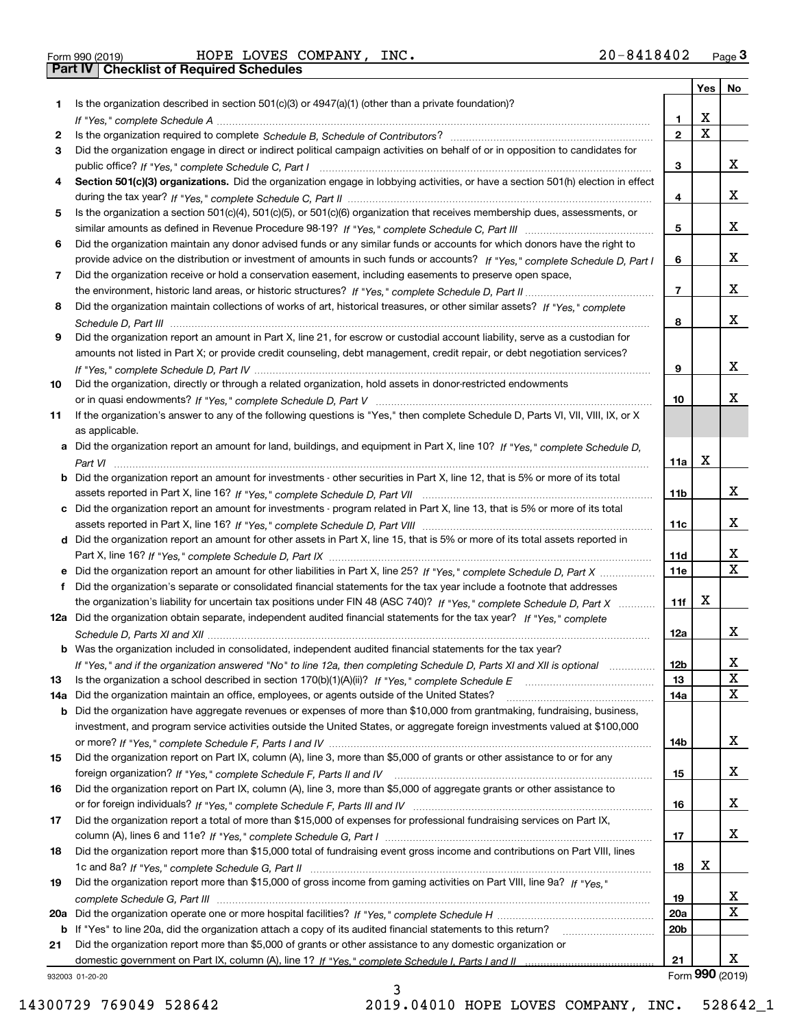|     |                                                                                                                                                                                                                                           |                       | Yes   No                |                              |
|-----|-------------------------------------------------------------------------------------------------------------------------------------------------------------------------------------------------------------------------------------------|-----------------------|-------------------------|------------------------------|
| 1.  | Is the organization described in section 501(c)(3) or 4947(a)(1) (other than a private foundation)?                                                                                                                                       |                       |                         |                              |
|     |                                                                                                                                                                                                                                           | 1                     | х                       |                              |
| 2   |                                                                                                                                                                                                                                           | $\mathbf{2}$          | $\overline{\mathbf{x}}$ |                              |
| 3   | Did the organization engage in direct or indirect political campaign activities on behalf of or in opposition to candidates for                                                                                                           |                       |                         |                              |
|     |                                                                                                                                                                                                                                           | 3                     |                         | X.                           |
| 4   | Section 501(c)(3) organizations. Did the organization engage in lobbying activities, or have a section 501(h) election in effect                                                                                                          |                       |                         |                              |
|     |                                                                                                                                                                                                                                           | 4                     |                         | X.                           |
| 5   | Is the organization a section 501(c)(4), 501(c)(5), or 501(c)(6) organization that receives membership dues, assessments, or                                                                                                              |                       |                         |                              |
|     |                                                                                                                                                                                                                                           | 5                     |                         | X.                           |
| 6   | Did the organization maintain any donor advised funds or any similar funds or accounts for which donors have the right to                                                                                                                 |                       |                         | X.                           |
| 7   | provide advice on the distribution or investment of amounts in such funds or accounts? If "Yes," complete Schedule D, Part I<br>Did the organization receive or hold a conservation easement, including easements to preserve open space, | 6                     |                         |                              |
|     |                                                                                                                                                                                                                                           | 7                     |                         | X.                           |
| 8   | Did the organization maintain collections of works of art, historical treasures, or other similar assets? If "Yes," complete                                                                                                              |                       |                         |                              |
|     |                                                                                                                                                                                                                                           | 8                     |                         | x                            |
| 9   | Did the organization report an amount in Part X, line 21, for escrow or custodial account liability, serve as a custodian for                                                                                                             |                       |                         |                              |
|     | amounts not listed in Part X; or provide credit counseling, debt management, credit repair, or debt negotiation services?                                                                                                                 |                       |                         |                              |
|     |                                                                                                                                                                                                                                           | 9                     |                         | x                            |
| 10  | Did the organization, directly or through a related organization, hold assets in donor-restricted endowments                                                                                                                              |                       |                         |                              |
|     |                                                                                                                                                                                                                                           | 10                    |                         | X.                           |
| 11  | If the organization's answer to any of the following questions is "Yes," then complete Schedule D, Parts VI, VII, VIII, IX, or X                                                                                                          |                       |                         |                              |
|     | as applicable.                                                                                                                                                                                                                            |                       |                         |                              |
|     | a Did the organization report an amount for land, buildings, and equipment in Part X, line 10? If "Yes," complete Schedule D,                                                                                                             |                       |                         |                              |
|     |                                                                                                                                                                                                                                           | 11a                   | X                       |                              |
|     | <b>b</b> Did the organization report an amount for investments - other securities in Part X, line 12, that is 5% or more of its total                                                                                                     |                       |                         |                              |
|     |                                                                                                                                                                                                                                           | 11b                   |                         | X.                           |
|     | c Did the organization report an amount for investments - program related in Part X, line 13, that is 5% or more of its total                                                                                                             |                       |                         |                              |
|     |                                                                                                                                                                                                                                           | 11c                   |                         | X.                           |
|     | d Did the organization report an amount for other assets in Part X, line 15, that is 5% or more of its total assets reported in                                                                                                           |                       |                         |                              |
|     |                                                                                                                                                                                                                                           | 11d                   |                         | x                            |
|     | e Did the organization report an amount for other liabilities in Part X, line 25? If "Yes," complete Schedule D, Part X                                                                                                                   | <b>11e</b>            |                         | $\overline{\mathbf{x}}$      |
| f   | Did the organization's separate or consolidated financial statements for the tax year include a footnote that addresses                                                                                                                   |                       |                         |                              |
|     | the organization's liability for uncertain tax positions under FIN 48 (ASC 740)? If "Yes," complete Schedule D, Part X                                                                                                                    | 11f                   | х                       |                              |
|     | 12a Did the organization obtain separate, independent audited financial statements for the tax year? If "Yes," complete                                                                                                                   |                       |                         |                              |
|     |                                                                                                                                                                                                                                           | 12a                   |                         | X.                           |
|     | <b>b</b> Was the organization included in consolidated, independent audited financial statements for the tax year?                                                                                                                        |                       |                         |                              |
| 13  | If "Yes," and if the organization answered "No" to line 12a, then completing Schedule D, Parts XI and XII is optional<br>Is the organization a school described in section 170(b)(1)(A)(ii)? If "Yes," complete Schedule E                | 12 <sub>b</sub><br>13 |                         | $\overline{\mathbf{x}}$<br>X |
| 14a | Did the organization maintain an office, employees, or agents outside of the United States?                                                                                                                                               | 14a                   |                         | X                            |
|     | <b>b</b> Did the organization have aggregate revenues or expenses of more than \$10,000 from grantmaking, fundraising, business,                                                                                                          |                       |                         |                              |
|     | investment, and program service activities outside the United States, or aggregate foreign investments valued at \$100,000                                                                                                                |                       |                         |                              |
|     |                                                                                                                                                                                                                                           | 14b                   |                         | X.                           |
| 15  | Did the organization report on Part IX, column (A), line 3, more than \$5,000 of grants or other assistance to or for any                                                                                                                 |                       |                         |                              |
|     |                                                                                                                                                                                                                                           | 15                    |                         | X.                           |
| 16  | Did the organization report on Part IX, column (A), line 3, more than \$5,000 of aggregate grants or other assistance to                                                                                                                  |                       |                         |                              |
|     |                                                                                                                                                                                                                                           | 16                    |                         | X.                           |
| 17  | Did the organization report a total of more than \$15,000 of expenses for professional fundraising services on Part IX,                                                                                                                   |                       |                         |                              |
|     |                                                                                                                                                                                                                                           | 17                    |                         | X.                           |
| 18  | Did the organization report more than \$15,000 total of fundraising event gross income and contributions on Part VIII, lines                                                                                                              |                       |                         |                              |
|     |                                                                                                                                                                                                                                           | 18                    | x                       |                              |
| 19  | Did the organization report more than \$15,000 of gross income from gaming activities on Part VIII, line 9a? If "Yes."                                                                                                                    |                       |                         |                              |
|     |                                                                                                                                                                                                                                           | 19                    |                         | X.                           |
|     |                                                                                                                                                                                                                                           | 20a                   |                         | $\overline{\mathbf{X}}$      |
|     | b If "Yes" to line 20a, did the organization attach a copy of its audited financial statements to this return?                                                                                                                            | 20b                   |                         |                              |
| 21  | Did the organization report more than \$5,000 of grants or other assistance to any domestic organization or                                                                                                                               |                       |                         |                              |
|     |                                                                                                                                                                                                                                           | 21                    |                         | X.                           |
|     | 932003 01-20-20                                                                                                                                                                                                                           |                       |                         | Form 990 (2019)              |

932003 01-20-20

3 14300729 769049 528642 2019.04010 HOPE LOVES COMPANY, INC. 528642\_1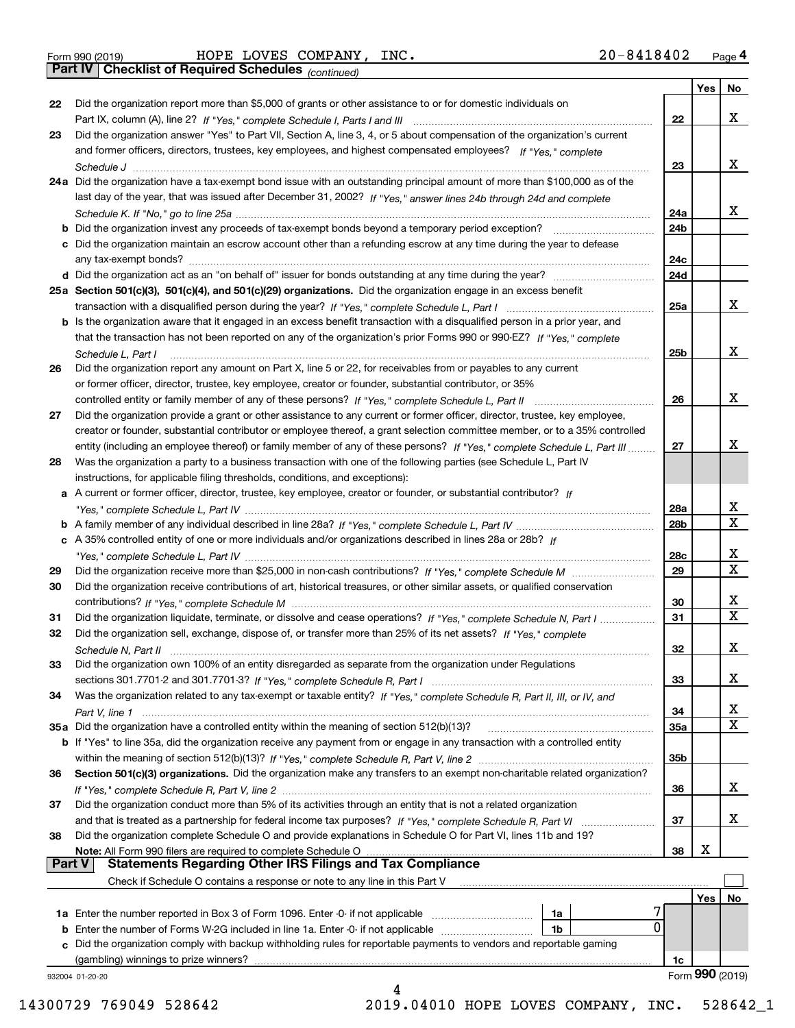*(continued)*

|    |                                                                                                                              |     | Yes | No                      |
|----|------------------------------------------------------------------------------------------------------------------------------|-----|-----|-------------------------|
| 22 | Did the organization report more than \$5,000 of grants or other assistance to or for domestic individuals on                |     |     |                         |
|    |                                                                                                                              | 22  |     | X                       |
| 23 | Did the organization answer "Yes" to Part VII, Section A, line 3, 4, or 5 about compensation of the organization's current   |     |     |                         |
|    | and former officers, directors, trustees, key employees, and highest compensated employees? If "Yes," complete               |     |     |                         |
|    |                                                                                                                              | 23  |     | X                       |
|    | 24a Did the organization have a tax-exempt bond issue with an outstanding principal amount of more than \$100,000 as of the  |     |     |                         |
|    | last day of the year, that was issued after December 31, 2002? If "Yes," answer lines 24b through 24d and complete           |     |     |                         |
|    |                                                                                                                              | 24a |     | X                       |
|    |                                                                                                                              | 24b |     |                         |
|    | c Did the organization maintain an escrow account other than a refunding escrow at any time during the year to defease       |     |     |                         |
|    |                                                                                                                              | 24c |     |                         |
|    |                                                                                                                              | 24d |     |                         |
|    | 25a Section 501(c)(3), 501(c)(4), and 501(c)(29) organizations. Did the organization engage in an excess benefit             |     |     |                         |
|    |                                                                                                                              | 25a |     | X                       |
|    | b Is the organization aware that it engaged in an excess benefit transaction with a disqualified person in a prior year, and |     |     |                         |
|    | that the transaction has not been reported on any of the organization's prior Forms 990 or 990-EZ? If "Yes." complete        |     |     |                         |
|    | Schedule L, Part I                                                                                                           | 25b |     | X                       |
| 26 | Did the organization report any amount on Part X, line 5 or 22, for receivables from or payables to any current              |     |     |                         |
|    | or former officer, director, trustee, key employee, creator or founder, substantial contributor, or 35%                      |     |     |                         |
|    |                                                                                                                              | 26  |     | X                       |
| 27 | Did the organization provide a grant or other assistance to any current or former officer, director, trustee, key employee,  |     |     |                         |
|    | creator or founder, substantial contributor or employee thereof, a grant selection committee member, or to a 35% controlled  |     |     |                         |
|    | entity (including an employee thereof) or family member of any of these persons? If "Yes," complete Schedule L, Part III     | 27  |     | х                       |
|    |                                                                                                                              |     |     |                         |
| 28 | Was the organization a party to a business transaction with one of the following parties (see Schedule L, Part IV            |     |     |                         |
|    | instructions, for applicable filing thresholds, conditions, and exceptions):                                                 |     |     |                         |
|    | a A current or former officer, director, trustee, key employee, creator or founder, or substantial contributor? If           |     |     |                         |
|    |                                                                                                                              | 28a |     | x                       |
|    |                                                                                                                              | 28b |     | $\overline{\mathbf{x}}$ |
|    | c A 35% controlled entity of one or more individuals and/or organizations described in lines 28a or 28b? If                  |     |     |                         |
|    |                                                                                                                              | 28c |     | $\mathbf{x}$            |
| 29 |                                                                                                                              | 29  |     | $\overline{\textbf{x}}$ |
| 30 | Did the organization receive contributions of art, historical treasures, or other similar assets, or qualified conservation  |     |     |                         |
|    |                                                                                                                              | 30  |     | х                       |
| 31 | Did the organization liquidate, terminate, or dissolve and cease operations? If "Yes," complete Schedule N, Part I           | 31  |     | $\overline{\mathbf{x}}$ |
| 32 | Did the organization sell, exchange, dispose of, or transfer more than 25% of its net assets? If "Yes," complete             |     |     |                         |
|    |                                                                                                                              | 32  |     | X                       |
| 33 | Did the organization own 100% of an entity disregarded as separate from the organization under Regulations                   |     |     |                         |
|    |                                                                                                                              | 33  |     | X                       |
| 34 | Was the organization related to any tax-exempt or taxable entity? If "Yes," complete Schedule R, Part II, III, or IV, and    |     |     |                         |
|    |                                                                                                                              | 34  |     | $\overline{\mathbf{x}}$ |
|    |                                                                                                                              | 35a |     | $\overline{\textbf{x}}$ |
|    | b If "Yes" to line 35a, did the organization receive any payment from or engage in any transaction with a controlled entity  |     |     |                         |
|    |                                                                                                                              | 35b |     |                         |
| 36 | Section 501(c)(3) organizations. Did the organization make any transfers to an exempt non-charitable related organization?   |     |     |                         |
|    |                                                                                                                              |     |     | X                       |
|    |                                                                                                                              | 36  |     |                         |
| 37 | Did the organization conduct more than 5% of its activities through an entity that is not a related organization             |     |     |                         |
|    |                                                                                                                              | 37  |     | X                       |
| 38 | Did the organization complete Schedule O and provide explanations in Schedule O for Part VI, lines 11b and 19?               |     |     |                         |
|    | Note: All Form 990 filers are required to complete Schedule O                                                                | 38  | Х   |                         |
|    | <b>Statements Regarding Other IRS Filings and Tax Compliance</b><br><b>Part V</b>                                            |     |     |                         |
|    | Check if Schedule O contains a response or note to any line in this Part V                                                   |     |     |                         |
|    |                                                                                                                              |     | Yes | No                      |
|    | 1a<br><b>1a</b> Enter the number reported in Box 3 of Form 1096. Enter -0- if not applicable                                 |     |     |                         |
|    | 0<br>1 <sub>b</sub><br><b>b</b> Enter the number of Forms W-2G included in line 1a. Enter -0- if not applicable              |     |     |                         |
|    | c Did the organization comply with backup withholding rules for reportable payments to vendors and reportable gaming         |     |     |                         |
|    | (gambling) winnings to prize winners?                                                                                        | 1c  |     |                         |
|    |                                                                                                                              |     |     | Form 990 (2019)         |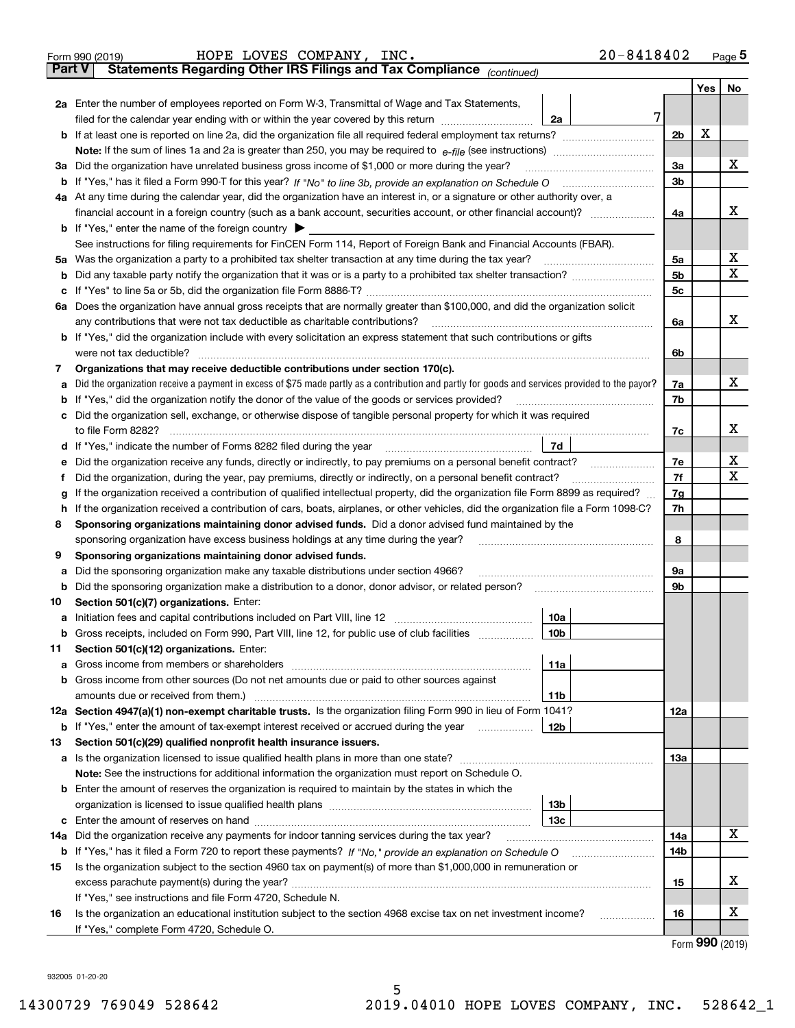| <b>Part V</b><br>No<br>Yes  <br>2a Enter the number of employees reported on Form W-3, Transmittal of Wage and Tax Statements,<br>7<br>filed for the calendar year ending with or within the year covered by this return <i>manumumumum</i><br>2a<br>х<br>2 <sub>b</sub><br>х<br>3a<br>3a Did the organization have unrelated business gross income of \$1,000 or more during the year?<br>3b<br>4a At any time during the calendar year, did the organization have an interest in, or a signature or other authority over, a<br>x<br>financial account in a foreign country (such as a bank account, securities account, or other financial account)?<br>4a<br><b>b</b> If "Yes," enter the name of the foreign country $\blacktriangleright$<br>See instructions for filing requirements for FinCEN Form 114, Report of Foreign Bank and Financial Accounts (FBAR).<br>х<br>Was the organization a party to a prohibited tax shelter transaction at any time during the tax year?<br>5a<br>5a<br>х<br>5b<br>b<br>5c<br>c<br>6a Does the organization have annual gross receipts that are normally greater than \$100,000, and did the organization solicit<br>x<br>any contributions that were not tax deductible as charitable contributions?<br>6a<br><b>b</b> If "Yes," did the organization include with every solicitation an express statement that such contributions or gifts<br>were not tax deductible?<br>6b<br>Organizations that may receive deductible contributions under section 170(c).<br>7<br>х<br>Did the organization receive a payment in excess of \$75 made partly as a contribution and partly for goods and services provided to the payor?<br>7a<br>а<br>If "Yes," did the organization notify the donor of the value of the goods or services provided?<br>7b<br>b<br>Did the organization sell, exchange, or otherwise dispose of tangible personal property for which it was required<br>с<br>x<br>7c<br>7d<br>X<br>7e<br>е<br>X<br>Did the organization, during the year, pay premiums, directly or indirectly, on a personal benefit contract?<br>7f<br>f<br>If the organization received a contribution of qualified intellectual property, did the organization file Form 8899 as required?<br>7g<br>g<br>If the organization received a contribution of cars, boats, airplanes, or other vehicles, did the organization file a Form 1098-C?<br>7h<br>h.<br>Sponsoring organizations maintaining donor advised funds. Did a donor advised fund maintained by the<br>8<br>8<br>sponsoring organization have excess business holdings at any time during the year?<br>Sponsoring organizations maintaining donor advised funds.<br>9<br>Did the sponsoring organization make any taxable distributions under section 4966?<br>9а<br>а<br>Did the sponsoring organization make a distribution to a donor, donor advisor, or related person?<br>9b<br>b<br>Section 501(c)(7) organizations. Enter:<br>10<br>10a<br>a Initiation fees and capital contributions included on Part VIII, line 12 [111] [11] [11] Initiation fees and capital contributions included on Part VIII, line 12<br> 10b <br>Gross receipts, included on Form 990, Part VIII, line 12, for public use of club facilities<br>Section 501(c)(12) organizations. Enter:<br>11<br>11a<br>a<br>Gross income from other sources (Do not net amounts due or paid to other sources against<br>b<br>11 <sub>b</sub><br>12a Section 4947(a)(1) non-exempt charitable trusts. Is the organization filing Form 990 in lieu of Form 1041?<br>12a<br>12b<br><b>b</b> If "Yes," enter the amount of tax-exempt interest received or accrued during the year<br>Section 501(c)(29) qualified nonprofit health insurance issuers.<br>13<br>a Is the organization licensed to issue qualified health plans in more than one state?<br>13а<br>Note: See the instructions for additional information the organization must report on Schedule O.<br>Enter the amount of reserves the organization is required to maintain by the states in which the<br>b<br>13b<br>13с<br>c<br>х<br>Did the organization receive any payments for indoor tanning services during the tax year?<br>14a<br>14a<br><b>b</b> If "Yes," has it filed a Form 720 to report these payments? If "No," provide an explanation on Schedule O<br>14b<br>Is the organization subject to the section 4960 tax on payment(s) of more than \$1,000,000 in remuneration or<br>15<br>X.<br>15<br>If "Yes," see instructions and file Form 4720, Schedule N.<br>X<br>Is the organization an educational institution subject to the section 4968 excise tax on net investment income?<br>16<br>16<br>If "Yes," complete Form 4720, Schedule O. | $20 - 8418402$<br>HOPE LOVES COMPANY,<br>INC.<br>Form 990 (2019)      |  |  | $Page$ <sup>5</sup> |  |  |  |  |  |  |  |  |
|------------------------------------------------------------------------------------------------------------------------------------------------------------------------------------------------------------------------------------------------------------------------------------------------------------------------------------------------------------------------------------------------------------------------------------------------------------------------------------------------------------------------------------------------------------------------------------------------------------------------------------------------------------------------------------------------------------------------------------------------------------------------------------------------------------------------------------------------------------------------------------------------------------------------------------------------------------------------------------------------------------------------------------------------------------------------------------------------------------------------------------------------------------------------------------------------------------------------------------------------------------------------------------------------------------------------------------------------------------------------------------------------------------------------------------------------------------------------------------------------------------------------------------------------------------------------------------------------------------------------------------------------------------------------------------------------------------------------------------------------------------------------------------------------------------------------------------------------------------------------------------------------------------------------------------------------------------------------------------------------------------------------------------------------------------------------------------------------------------------------------------------------------------------------------------------------------------------------------------------------------------------------------------------------------------------------------------------------------------------------------------------------------------------------------------------------------------------------------------------------------------------------------------------------------------------------------------------------------------------------------------------------------------------------------------------------------------------------------------------------------------------------------------------------------------------------------------------------------------------------------------------------------------------------------------------------------------------------------------------------------------------------------------------------------------------------------------------------------------------------------------------------------------------------------------------------------------------------------------------------------------------------------------------------------------------------------------------------------------------------------------------------------------------------------------------------------------------------------------------------------------------------------------------------------------------------------------------------------------------------------------------------------------------------------------------------------------------------------------------------------------------------------------------------------------------------------------------------------------------------------------------------------------------------------------------------------------------------------------------------------------------------------------------------------------------------------------------------------------------------------------------------------------------------------------------------------------------------------------------------------------------------------------------------------------------------------------------------------------------------------------------------------------------------------------------------------------------------------------------------------------------------------------------------------------------------------------------------------------------------------------------------------------------------------------------------|-----------------------------------------------------------------------|--|--|---------------------|--|--|--|--|--|--|--|--|
|                                                                                                                                                                                                                                                                                                                                                                                                                                                                                                                                                                                                                                                                                                                                                                                                                                                                                                                                                                                                                                                                                                                                                                                                                                                                                                                                                                                                                                                                                                                                                                                                                                                                                                                                                                                                                                                                                                                                                                                                                                                                                                                                                                                                                                                                                                                                                                                                                                                                                                                                                                                                                                                                                                                                                                                                                                                                                                                                                                                                                                                                                                                                                                                                                                                                                                                                                                                                                                                                                                                                                                                                                                                                                                                                                                                                                                                                                                                                                                                                                                                                                                                                                                                                                                                                                                                                                                                                                                                                                                                                                                                                                                                                                                | Statements Regarding Other IRS Filings and Tax Compliance (continued) |  |  |                     |  |  |  |  |  |  |  |  |
|                                                                                                                                                                                                                                                                                                                                                                                                                                                                                                                                                                                                                                                                                                                                                                                                                                                                                                                                                                                                                                                                                                                                                                                                                                                                                                                                                                                                                                                                                                                                                                                                                                                                                                                                                                                                                                                                                                                                                                                                                                                                                                                                                                                                                                                                                                                                                                                                                                                                                                                                                                                                                                                                                                                                                                                                                                                                                                                                                                                                                                                                                                                                                                                                                                                                                                                                                                                                                                                                                                                                                                                                                                                                                                                                                                                                                                                                                                                                                                                                                                                                                                                                                                                                                                                                                                                                                                                                                                                                                                                                                                                                                                                                                                |                                                                       |  |  |                     |  |  |  |  |  |  |  |  |
|                                                                                                                                                                                                                                                                                                                                                                                                                                                                                                                                                                                                                                                                                                                                                                                                                                                                                                                                                                                                                                                                                                                                                                                                                                                                                                                                                                                                                                                                                                                                                                                                                                                                                                                                                                                                                                                                                                                                                                                                                                                                                                                                                                                                                                                                                                                                                                                                                                                                                                                                                                                                                                                                                                                                                                                                                                                                                                                                                                                                                                                                                                                                                                                                                                                                                                                                                                                                                                                                                                                                                                                                                                                                                                                                                                                                                                                                                                                                                                                                                                                                                                                                                                                                                                                                                                                                                                                                                                                                                                                                                                                                                                                                                                |                                                                       |  |  |                     |  |  |  |  |  |  |  |  |
|                                                                                                                                                                                                                                                                                                                                                                                                                                                                                                                                                                                                                                                                                                                                                                                                                                                                                                                                                                                                                                                                                                                                                                                                                                                                                                                                                                                                                                                                                                                                                                                                                                                                                                                                                                                                                                                                                                                                                                                                                                                                                                                                                                                                                                                                                                                                                                                                                                                                                                                                                                                                                                                                                                                                                                                                                                                                                                                                                                                                                                                                                                                                                                                                                                                                                                                                                                                                                                                                                                                                                                                                                                                                                                                                                                                                                                                                                                                                                                                                                                                                                                                                                                                                                                                                                                                                                                                                                                                                                                                                                                                                                                                                                                |                                                                       |  |  |                     |  |  |  |  |  |  |  |  |
|                                                                                                                                                                                                                                                                                                                                                                                                                                                                                                                                                                                                                                                                                                                                                                                                                                                                                                                                                                                                                                                                                                                                                                                                                                                                                                                                                                                                                                                                                                                                                                                                                                                                                                                                                                                                                                                                                                                                                                                                                                                                                                                                                                                                                                                                                                                                                                                                                                                                                                                                                                                                                                                                                                                                                                                                                                                                                                                                                                                                                                                                                                                                                                                                                                                                                                                                                                                                                                                                                                                                                                                                                                                                                                                                                                                                                                                                                                                                                                                                                                                                                                                                                                                                                                                                                                                                                                                                                                                                                                                                                                                                                                                                                                |                                                                       |  |  |                     |  |  |  |  |  |  |  |  |
|                                                                                                                                                                                                                                                                                                                                                                                                                                                                                                                                                                                                                                                                                                                                                                                                                                                                                                                                                                                                                                                                                                                                                                                                                                                                                                                                                                                                                                                                                                                                                                                                                                                                                                                                                                                                                                                                                                                                                                                                                                                                                                                                                                                                                                                                                                                                                                                                                                                                                                                                                                                                                                                                                                                                                                                                                                                                                                                                                                                                                                                                                                                                                                                                                                                                                                                                                                                                                                                                                                                                                                                                                                                                                                                                                                                                                                                                                                                                                                                                                                                                                                                                                                                                                                                                                                                                                                                                                                                                                                                                                                                                                                                                                                |                                                                       |  |  |                     |  |  |  |  |  |  |  |  |
|                                                                                                                                                                                                                                                                                                                                                                                                                                                                                                                                                                                                                                                                                                                                                                                                                                                                                                                                                                                                                                                                                                                                                                                                                                                                                                                                                                                                                                                                                                                                                                                                                                                                                                                                                                                                                                                                                                                                                                                                                                                                                                                                                                                                                                                                                                                                                                                                                                                                                                                                                                                                                                                                                                                                                                                                                                                                                                                                                                                                                                                                                                                                                                                                                                                                                                                                                                                                                                                                                                                                                                                                                                                                                                                                                                                                                                                                                                                                                                                                                                                                                                                                                                                                                                                                                                                                                                                                                                                                                                                                                                                                                                                                                                |                                                                       |  |  |                     |  |  |  |  |  |  |  |  |
|                                                                                                                                                                                                                                                                                                                                                                                                                                                                                                                                                                                                                                                                                                                                                                                                                                                                                                                                                                                                                                                                                                                                                                                                                                                                                                                                                                                                                                                                                                                                                                                                                                                                                                                                                                                                                                                                                                                                                                                                                                                                                                                                                                                                                                                                                                                                                                                                                                                                                                                                                                                                                                                                                                                                                                                                                                                                                                                                                                                                                                                                                                                                                                                                                                                                                                                                                                                                                                                                                                                                                                                                                                                                                                                                                                                                                                                                                                                                                                                                                                                                                                                                                                                                                                                                                                                                                                                                                                                                                                                                                                                                                                                                                                |                                                                       |  |  |                     |  |  |  |  |  |  |  |  |
|                                                                                                                                                                                                                                                                                                                                                                                                                                                                                                                                                                                                                                                                                                                                                                                                                                                                                                                                                                                                                                                                                                                                                                                                                                                                                                                                                                                                                                                                                                                                                                                                                                                                                                                                                                                                                                                                                                                                                                                                                                                                                                                                                                                                                                                                                                                                                                                                                                                                                                                                                                                                                                                                                                                                                                                                                                                                                                                                                                                                                                                                                                                                                                                                                                                                                                                                                                                                                                                                                                                                                                                                                                                                                                                                                                                                                                                                                                                                                                                                                                                                                                                                                                                                                                                                                                                                                                                                                                                                                                                                                                                                                                                                                                |                                                                       |  |  |                     |  |  |  |  |  |  |  |  |
|                                                                                                                                                                                                                                                                                                                                                                                                                                                                                                                                                                                                                                                                                                                                                                                                                                                                                                                                                                                                                                                                                                                                                                                                                                                                                                                                                                                                                                                                                                                                                                                                                                                                                                                                                                                                                                                                                                                                                                                                                                                                                                                                                                                                                                                                                                                                                                                                                                                                                                                                                                                                                                                                                                                                                                                                                                                                                                                                                                                                                                                                                                                                                                                                                                                                                                                                                                                                                                                                                                                                                                                                                                                                                                                                                                                                                                                                                                                                                                                                                                                                                                                                                                                                                                                                                                                                                                                                                                                                                                                                                                                                                                                                                                |                                                                       |  |  |                     |  |  |  |  |  |  |  |  |
|                                                                                                                                                                                                                                                                                                                                                                                                                                                                                                                                                                                                                                                                                                                                                                                                                                                                                                                                                                                                                                                                                                                                                                                                                                                                                                                                                                                                                                                                                                                                                                                                                                                                                                                                                                                                                                                                                                                                                                                                                                                                                                                                                                                                                                                                                                                                                                                                                                                                                                                                                                                                                                                                                                                                                                                                                                                                                                                                                                                                                                                                                                                                                                                                                                                                                                                                                                                                                                                                                                                                                                                                                                                                                                                                                                                                                                                                                                                                                                                                                                                                                                                                                                                                                                                                                                                                                                                                                                                                                                                                                                                                                                                                                                |                                                                       |  |  |                     |  |  |  |  |  |  |  |  |
|                                                                                                                                                                                                                                                                                                                                                                                                                                                                                                                                                                                                                                                                                                                                                                                                                                                                                                                                                                                                                                                                                                                                                                                                                                                                                                                                                                                                                                                                                                                                                                                                                                                                                                                                                                                                                                                                                                                                                                                                                                                                                                                                                                                                                                                                                                                                                                                                                                                                                                                                                                                                                                                                                                                                                                                                                                                                                                                                                                                                                                                                                                                                                                                                                                                                                                                                                                                                                                                                                                                                                                                                                                                                                                                                                                                                                                                                                                                                                                                                                                                                                                                                                                                                                                                                                                                                                                                                                                                                                                                                                                                                                                                                                                |                                                                       |  |  |                     |  |  |  |  |  |  |  |  |
|                                                                                                                                                                                                                                                                                                                                                                                                                                                                                                                                                                                                                                                                                                                                                                                                                                                                                                                                                                                                                                                                                                                                                                                                                                                                                                                                                                                                                                                                                                                                                                                                                                                                                                                                                                                                                                                                                                                                                                                                                                                                                                                                                                                                                                                                                                                                                                                                                                                                                                                                                                                                                                                                                                                                                                                                                                                                                                                                                                                                                                                                                                                                                                                                                                                                                                                                                                                                                                                                                                                                                                                                                                                                                                                                                                                                                                                                                                                                                                                                                                                                                                                                                                                                                                                                                                                                                                                                                                                                                                                                                                                                                                                                                                |                                                                       |  |  |                     |  |  |  |  |  |  |  |  |
|                                                                                                                                                                                                                                                                                                                                                                                                                                                                                                                                                                                                                                                                                                                                                                                                                                                                                                                                                                                                                                                                                                                                                                                                                                                                                                                                                                                                                                                                                                                                                                                                                                                                                                                                                                                                                                                                                                                                                                                                                                                                                                                                                                                                                                                                                                                                                                                                                                                                                                                                                                                                                                                                                                                                                                                                                                                                                                                                                                                                                                                                                                                                                                                                                                                                                                                                                                                                                                                                                                                                                                                                                                                                                                                                                                                                                                                                                                                                                                                                                                                                                                                                                                                                                                                                                                                                                                                                                                                                                                                                                                                                                                                                                                |                                                                       |  |  |                     |  |  |  |  |  |  |  |  |
|                                                                                                                                                                                                                                                                                                                                                                                                                                                                                                                                                                                                                                                                                                                                                                                                                                                                                                                                                                                                                                                                                                                                                                                                                                                                                                                                                                                                                                                                                                                                                                                                                                                                                                                                                                                                                                                                                                                                                                                                                                                                                                                                                                                                                                                                                                                                                                                                                                                                                                                                                                                                                                                                                                                                                                                                                                                                                                                                                                                                                                                                                                                                                                                                                                                                                                                                                                                                                                                                                                                                                                                                                                                                                                                                                                                                                                                                                                                                                                                                                                                                                                                                                                                                                                                                                                                                                                                                                                                                                                                                                                                                                                                                                                |                                                                       |  |  |                     |  |  |  |  |  |  |  |  |
|                                                                                                                                                                                                                                                                                                                                                                                                                                                                                                                                                                                                                                                                                                                                                                                                                                                                                                                                                                                                                                                                                                                                                                                                                                                                                                                                                                                                                                                                                                                                                                                                                                                                                                                                                                                                                                                                                                                                                                                                                                                                                                                                                                                                                                                                                                                                                                                                                                                                                                                                                                                                                                                                                                                                                                                                                                                                                                                                                                                                                                                                                                                                                                                                                                                                                                                                                                                                                                                                                                                                                                                                                                                                                                                                                                                                                                                                                                                                                                                                                                                                                                                                                                                                                                                                                                                                                                                                                                                                                                                                                                                                                                                                                                |                                                                       |  |  |                     |  |  |  |  |  |  |  |  |
|                                                                                                                                                                                                                                                                                                                                                                                                                                                                                                                                                                                                                                                                                                                                                                                                                                                                                                                                                                                                                                                                                                                                                                                                                                                                                                                                                                                                                                                                                                                                                                                                                                                                                                                                                                                                                                                                                                                                                                                                                                                                                                                                                                                                                                                                                                                                                                                                                                                                                                                                                                                                                                                                                                                                                                                                                                                                                                                                                                                                                                                                                                                                                                                                                                                                                                                                                                                                                                                                                                                                                                                                                                                                                                                                                                                                                                                                                                                                                                                                                                                                                                                                                                                                                                                                                                                                                                                                                                                                                                                                                                                                                                                                                                |                                                                       |  |  |                     |  |  |  |  |  |  |  |  |
|                                                                                                                                                                                                                                                                                                                                                                                                                                                                                                                                                                                                                                                                                                                                                                                                                                                                                                                                                                                                                                                                                                                                                                                                                                                                                                                                                                                                                                                                                                                                                                                                                                                                                                                                                                                                                                                                                                                                                                                                                                                                                                                                                                                                                                                                                                                                                                                                                                                                                                                                                                                                                                                                                                                                                                                                                                                                                                                                                                                                                                                                                                                                                                                                                                                                                                                                                                                                                                                                                                                                                                                                                                                                                                                                                                                                                                                                                                                                                                                                                                                                                                                                                                                                                                                                                                                                                                                                                                                                                                                                                                                                                                                                                                |                                                                       |  |  |                     |  |  |  |  |  |  |  |  |
|                                                                                                                                                                                                                                                                                                                                                                                                                                                                                                                                                                                                                                                                                                                                                                                                                                                                                                                                                                                                                                                                                                                                                                                                                                                                                                                                                                                                                                                                                                                                                                                                                                                                                                                                                                                                                                                                                                                                                                                                                                                                                                                                                                                                                                                                                                                                                                                                                                                                                                                                                                                                                                                                                                                                                                                                                                                                                                                                                                                                                                                                                                                                                                                                                                                                                                                                                                                                                                                                                                                                                                                                                                                                                                                                                                                                                                                                                                                                                                                                                                                                                                                                                                                                                                                                                                                                                                                                                                                                                                                                                                                                                                                                                                |                                                                       |  |  |                     |  |  |  |  |  |  |  |  |
|                                                                                                                                                                                                                                                                                                                                                                                                                                                                                                                                                                                                                                                                                                                                                                                                                                                                                                                                                                                                                                                                                                                                                                                                                                                                                                                                                                                                                                                                                                                                                                                                                                                                                                                                                                                                                                                                                                                                                                                                                                                                                                                                                                                                                                                                                                                                                                                                                                                                                                                                                                                                                                                                                                                                                                                                                                                                                                                                                                                                                                                                                                                                                                                                                                                                                                                                                                                                                                                                                                                                                                                                                                                                                                                                                                                                                                                                                                                                                                                                                                                                                                                                                                                                                                                                                                                                                                                                                                                                                                                                                                                                                                                                                                |                                                                       |  |  |                     |  |  |  |  |  |  |  |  |
|                                                                                                                                                                                                                                                                                                                                                                                                                                                                                                                                                                                                                                                                                                                                                                                                                                                                                                                                                                                                                                                                                                                                                                                                                                                                                                                                                                                                                                                                                                                                                                                                                                                                                                                                                                                                                                                                                                                                                                                                                                                                                                                                                                                                                                                                                                                                                                                                                                                                                                                                                                                                                                                                                                                                                                                                                                                                                                                                                                                                                                                                                                                                                                                                                                                                                                                                                                                                                                                                                                                                                                                                                                                                                                                                                                                                                                                                                                                                                                                                                                                                                                                                                                                                                                                                                                                                                                                                                                                                                                                                                                                                                                                                                                |                                                                       |  |  |                     |  |  |  |  |  |  |  |  |
|                                                                                                                                                                                                                                                                                                                                                                                                                                                                                                                                                                                                                                                                                                                                                                                                                                                                                                                                                                                                                                                                                                                                                                                                                                                                                                                                                                                                                                                                                                                                                                                                                                                                                                                                                                                                                                                                                                                                                                                                                                                                                                                                                                                                                                                                                                                                                                                                                                                                                                                                                                                                                                                                                                                                                                                                                                                                                                                                                                                                                                                                                                                                                                                                                                                                                                                                                                                                                                                                                                                                                                                                                                                                                                                                                                                                                                                                                                                                                                                                                                                                                                                                                                                                                                                                                                                                                                                                                                                                                                                                                                                                                                                                                                |                                                                       |  |  |                     |  |  |  |  |  |  |  |  |
|                                                                                                                                                                                                                                                                                                                                                                                                                                                                                                                                                                                                                                                                                                                                                                                                                                                                                                                                                                                                                                                                                                                                                                                                                                                                                                                                                                                                                                                                                                                                                                                                                                                                                                                                                                                                                                                                                                                                                                                                                                                                                                                                                                                                                                                                                                                                                                                                                                                                                                                                                                                                                                                                                                                                                                                                                                                                                                                                                                                                                                                                                                                                                                                                                                                                                                                                                                                                                                                                                                                                                                                                                                                                                                                                                                                                                                                                                                                                                                                                                                                                                                                                                                                                                                                                                                                                                                                                                                                                                                                                                                                                                                                                                                |                                                                       |  |  |                     |  |  |  |  |  |  |  |  |
|                                                                                                                                                                                                                                                                                                                                                                                                                                                                                                                                                                                                                                                                                                                                                                                                                                                                                                                                                                                                                                                                                                                                                                                                                                                                                                                                                                                                                                                                                                                                                                                                                                                                                                                                                                                                                                                                                                                                                                                                                                                                                                                                                                                                                                                                                                                                                                                                                                                                                                                                                                                                                                                                                                                                                                                                                                                                                                                                                                                                                                                                                                                                                                                                                                                                                                                                                                                                                                                                                                                                                                                                                                                                                                                                                                                                                                                                                                                                                                                                                                                                                                                                                                                                                                                                                                                                                                                                                                                                                                                                                                                                                                                                                                |                                                                       |  |  |                     |  |  |  |  |  |  |  |  |
|                                                                                                                                                                                                                                                                                                                                                                                                                                                                                                                                                                                                                                                                                                                                                                                                                                                                                                                                                                                                                                                                                                                                                                                                                                                                                                                                                                                                                                                                                                                                                                                                                                                                                                                                                                                                                                                                                                                                                                                                                                                                                                                                                                                                                                                                                                                                                                                                                                                                                                                                                                                                                                                                                                                                                                                                                                                                                                                                                                                                                                                                                                                                                                                                                                                                                                                                                                                                                                                                                                                                                                                                                                                                                                                                                                                                                                                                                                                                                                                                                                                                                                                                                                                                                                                                                                                                                                                                                                                                                                                                                                                                                                                                                                |                                                                       |  |  |                     |  |  |  |  |  |  |  |  |
|                                                                                                                                                                                                                                                                                                                                                                                                                                                                                                                                                                                                                                                                                                                                                                                                                                                                                                                                                                                                                                                                                                                                                                                                                                                                                                                                                                                                                                                                                                                                                                                                                                                                                                                                                                                                                                                                                                                                                                                                                                                                                                                                                                                                                                                                                                                                                                                                                                                                                                                                                                                                                                                                                                                                                                                                                                                                                                                                                                                                                                                                                                                                                                                                                                                                                                                                                                                                                                                                                                                                                                                                                                                                                                                                                                                                                                                                                                                                                                                                                                                                                                                                                                                                                                                                                                                                                                                                                                                                                                                                                                                                                                                                                                |                                                                       |  |  |                     |  |  |  |  |  |  |  |  |
|                                                                                                                                                                                                                                                                                                                                                                                                                                                                                                                                                                                                                                                                                                                                                                                                                                                                                                                                                                                                                                                                                                                                                                                                                                                                                                                                                                                                                                                                                                                                                                                                                                                                                                                                                                                                                                                                                                                                                                                                                                                                                                                                                                                                                                                                                                                                                                                                                                                                                                                                                                                                                                                                                                                                                                                                                                                                                                                                                                                                                                                                                                                                                                                                                                                                                                                                                                                                                                                                                                                                                                                                                                                                                                                                                                                                                                                                                                                                                                                                                                                                                                                                                                                                                                                                                                                                                                                                                                                                                                                                                                                                                                                                                                |                                                                       |  |  |                     |  |  |  |  |  |  |  |  |
|                                                                                                                                                                                                                                                                                                                                                                                                                                                                                                                                                                                                                                                                                                                                                                                                                                                                                                                                                                                                                                                                                                                                                                                                                                                                                                                                                                                                                                                                                                                                                                                                                                                                                                                                                                                                                                                                                                                                                                                                                                                                                                                                                                                                                                                                                                                                                                                                                                                                                                                                                                                                                                                                                                                                                                                                                                                                                                                                                                                                                                                                                                                                                                                                                                                                                                                                                                                                                                                                                                                                                                                                                                                                                                                                                                                                                                                                                                                                                                                                                                                                                                                                                                                                                                                                                                                                                                                                                                                                                                                                                                                                                                                                                                |                                                                       |  |  |                     |  |  |  |  |  |  |  |  |
|                                                                                                                                                                                                                                                                                                                                                                                                                                                                                                                                                                                                                                                                                                                                                                                                                                                                                                                                                                                                                                                                                                                                                                                                                                                                                                                                                                                                                                                                                                                                                                                                                                                                                                                                                                                                                                                                                                                                                                                                                                                                                                                                                                                                                                                                                                                                                                                                                                                                                                                                                                                                                                                                                                                                                                                                                                                                                                                                                                                                                                                                                                                                                                                                                                                                                                                                                                                                                                                                                                                                                                                                                                                                                                                                                                                                                                                                                                                                                                                                                                                                                                                                                                                                                                                                                                                                                                                                                                                                                                                                                                                                                                                                                                |                                                                       |  |  |                     |  |  |  |  |  |  |  |  |
|                                                                                                                                                                                                                                                                                                                                                                                                                                                                                                                                                                                                                                                                                                                                                                                                                                                                                                                                                                                                                                                                                                                                                                                                                                                                                                                                                                                                                                                                                                                                                                                                                                                                                                                                                                                                                                                                                                                                                                                                                                                                                                                                                                                                                                                                                                                                                                                                                                                                                                                                                                                                                                                                                                                                                                                                                                                                                                                                                                                                                                                                                                                                                                                                                                                                                                                                                                                                                                                                                                                                                                                                                                                                                                                                                                                                                                                                                                                                                                                                                                                                                                                                                                                                                                                                                                                                                                                                                                                                                                                                                                                                                                                                                                |                                                                       |  |  |                     |  |  |  |  |  |  |  |  |
|                                                                                                                                                                                                                                                                                                                                                                                                                                                                                                                                                                                                                                                                                                                                                                                                                                                                                                                                                                                                                                                                                                                                                                                                                                                                                                                                                                                                                                                                                                                                                                                                                                                                                                                                                                                                                                                                                                                                                                                                                                                                                                                                                                                                                                                                                                                                                                                                                                                                                                                                                                                                                                                                                                                                                                                                                                                                                                                                                                                                                                                                                                                                                                                                                                                                                                                                                                                                                                                                                                                                                                                                                                                                                                                                                                                                                                                                                                                                                                                                                                                                                                                                                                                                                                                                                                                                                                                                                                                                                                                                                                                                                                                                                                |                                                                       |  |  |                     |  |  |  |  |  |  |  |  |
|                                                                                                                                                                                                                                                                                                                                                                                                                                                                                                                                                                                                                                                                                                                                                                                                                                                                                                                                                                                                                                                                                                                                                                                                                                                                                                                                                                                                                                                                                                                                                                                                                                                                                                                                                                                                                                                                                                                                                                                                                                                                                                                                                                                                                                                                                                                                                                                                                                                                                                                                                                                                                                                                                                                                                                                                                                                                                                                                                                                                                                                                                                                                                                                                                                                                                                                                                                                                                                                                                                                                                                                                                                                                                                                                                                                                                                                                                                                                                                                                                                                                                                                                                                                                                                                                                                                                                                                                                                                                                                                                                                                                                                                                                                |                                                                       |  |  |                     |  |  |  |  |  |  |  |  |
|                                                                                                                                                                                                                                                                                                                                                                                                                                                                                                                                                                                                                                                                                                                                                                                                                                                                                                                                                                                                                                                                                                                                                                                                                                                                                                                                                                                                                                                                                                                                                                                                                                                                                                                                                                                                                                                                                                                                                                                                                                                                                                                                                                                                                                                                                                                                                                                                                                                                                                                                                                                                                                                                                                                                                                                                                                                                                                                                                                                                                                                                                                                                                                                                                                                                                                                                                                                                                                                                                                                                                                                                                                                                                                                                                                                                                                                                                                                                                                                                                                                                                                                                                                                                                                                                                                                                                                                                                                                                                                                                                                                                                                                                                                |                                                                       |  |  |                     |  |  |  |  |  |  |  |  |
|                                                                                                                                                                                                                                                                                                                                                                                                                                                                                                                                                                                                                                                                                                                                                                                                                                                                                                                                                                                                                                                                                                                                                                                                                                                                                                                                                                                                                                                                                                                                                                                                                                                                                                                                                                                                                                                                                                                                                                                                                                                                                                                                                                                                                                                                                                                                                                                                                                                                                                                                                                                                                                                                                                                                                                                                                                                                                                                                                                                                                                                                                                                                                                                                                                                                                                                                                                                                                                                                                                                                                                                                                                                                                                                                                                                                                                                                                                                                                                                                                                                                                                                                                                                                                                                                                                                                                                                                                                                                                                                                                                                                                                                                                                |                                                                       |  |  |                     |  |  |  |  |  |  |  |  |
|                                                                                                                                                                                                                                                                                                                                                                                                                                                                                                                                                                                                                                                                                                                                                                                                                                                                                                                                                                                                                                                                                                                                                                                                                                                                                                                                                                                                                                                                                                                                                                                                                                                                                                                                                                                                                                                                                                                                                                                                                                                                                                                                                                                                                                                                                                                                                                                                                                                                                                                                                                                                                                                                                                                                                                                                                                                                                                                                                                                                                                                                                                                                                                                                                                                                                                                                                                                                                                                                                                                                                                                                                                                                                                                                                                                                                                                                                                                                                                                                                                                                                                                                                                                                                                                                                                                                                                                                                                                                                                                                                                                                                                                                                                |                                                                       |  |  |                     |  |  |  |  |  |  |  |  |
|                                                                                                                                                                                                                                                                                                                                                                                                                                                                                                                                                                                                                                                                                                                                                                                                                                                                                                                                                                                                                                                                                                                                                                                                                                                                                                                                                                                                                                                                                                                                                                                                                                                                                                                                                                                                                                                                                                                                                                                                                                                                                                                                                                                                                                                                                                                                                                                                                                                                                                                                                                                                                                                                                                                                                                                                                                                                                                                                                                                                                                                                                                                                                                                                                                                                                                                                                                                                                                                                                                                                                                                                                                                                                                                                                                                                                                                                                                                                                                                                                                                                                                                                                                                                                                                                                                                                                                                                                                                                                                                                                                                                                                                                                                |                                                                       |  |  |                     |  |  |  |  |  |  |  |  |
|                                                                                                                                                                                                                                                                                                                                                                                                                                                                                                                                                                                                                                                                                                                                                                                                                                                                                                                                                                                                                                                                                                                                                                                                                                                                                                                                                                                                                                                                                                                                                                                                                                                                                                                                                                                                                                                                                                                                                                                                                                                                                                                                                                                                                                                                                                                                                                                                                                                                                                                                                                                                                                                                                                                                                                                                                                                                                                                                                                                                                                                                                                                                                                                                                                                                                                                                                                                                                                                                                                                                                                                                                                                                                                                                                                                                                                                                                                                                                                                                                                                                                                                                                                                                                                                                                                                                                                                                                                                                                                                                                                                                                                                                                                |                                                                       |  |  |                     |  |  |  |  |  |  |  |  |
|                                                                                                                                                                                                                                                                                                                                                                                                                                                                                                                                                                                                                                                                                                                                                                                                                                                                                                                                                                                                                                                                                                                                                                                                                                                                                                                                                                                                                                                                                                                                                                                                                                                                                                                                                                                                                                                                                                                                                                                                                                                                                                                                                                                                                                                                                                                                                                                                                                                                                                                                                                                                                                                                                                                                                                                                                                                                                                                                                                                                                                                                                                                                                                                                                                                                                                                                                                                                                                                                                                                                                                                                                                                                                                                                                                                                                                                                                                                                                                                                                                                                                                                                                                                                                                                                                                                                                                                                                                                                                                                                                                                                                                                                                                |                                                                       |  |  |                     |  |  |  |  |  |  |  |  |
|                                                                                                                                                                                                                                                                                                                                                                                                                                                                                                                                                                                                                                                                                                                                                                                                                                                                                                                                                                                                                                                                                                                                                                                                                                                                                                                                                                                                                                                                                                                                                                                                                                                                                                                                                                                                                                                                                                                                                                                                                                                                                                                                                                                                                                                                                                                                                                                                                                                                                                                                                                                                                                                                                                                                                                                                                                                                                                                                                                                                                                                                                                                                                                                                                                                                                                                                                                                                                                                                                                                                                                                                                                                                                                                                                                                                                                                                                                                                                                                                                                                                                                                                                                                                                                                                                                                                                                                                                                                                                                                                                                                                                                                                                                |                                                                       |  |  |                     |  |  |  |  |  |  |  |  |
|                                                                                                                                                                                                                                                                                                                                                                                                                                                                                                                                                                                                                                                                                                                                                                                                                                                                                                                                                                                                                                                                                                                                                                                                                                                                                                                                                                                                                                                                                                                                                                                                                                                                                                                                                                                                                                                                                                                                                                                                                                                                                                                                                                                                                                                                                                                                                                                                                                                                                                                                                                                                                                                                                                                                                                                                                                                                                                                                                                                                                                                                                                                                                                                                                                                                                                                                                                                                                                                                                                                                                                                                                                                                                                                                                                                                                                                                                                                                                                                                                                                                                                                                                                                                                                                                                                                                                                                                                                                                                                                                                                                                                                                                                                |                                                                       |  |  |                     |  |  |  |  |  |  |  |  |
|                                                                                                                                                                                                                                                                                                                                                                                                                                                                                                                                                                                                                                                                                                                                                                                                                                                                                                                                                                                                                                                                                                                                                                                                                                                                                                                                                                                                                                                                                                                                                                                                                                                                                                                                                                                                                                                                                                                                                                                                                                                                                                                                                                                                                                                                                                                                                                                                                                                                                                                                                                                                                                                                                                                                                                                                                                                                                                                                                                                                                                                                                                                                                                                                                                                                                                                                                                                                                                                                                                                                                                                                                                                                                                                                                                                                                                                                                                                                                                                                                                                                                                                                                                                                                                                                                                                                                                                                                                                                                                                                                                                                                                                                                                |                                                                       |  |  |                     |  |  |  |  |  |  |  |  |
|                                                                                                                                                                                                                                                                                                                                                                                                                                                                                                                                                                                                                                                                                                                                                                                                                                                                                                                                                                                                                                                                                                                                                                                                                                                                                                                                                                                                                                                                                                                                                                                                                                                                                                                                                                                                                                                                                                                                                                                                                                                                                                                                                                                                                                                                                                                                                                                                                                                                                                                                                                                                                                                                                                                                                                                                                                                                                                                                                                                                                                                                                                                                                                                                                                                                                                                                                                                                                                                                                                                                                                                                                                                                                                                                                                                                                                                                                                                                                                                                                                                                                                                                                                                                                                                                                                                                                                                                                                                                                                                                                                                                                                                                                                |                                                                       |  |  |                     |  |  |  |  |  |  |  |  |
|                                                                                                                                                                                                                                                                                                                                                                                                                                                                                                                                                                                                                                                                                                                                                                                                                                                                                                                                                                                                                                                                                                                                                                                                                                                                                                                                                                                                                                                                                                                                                                                                                                                                                                                                                                                                                                                                                                                                                                                                                                                                                                                                                                                                                                                                                                                                                                                                                                                                                                                                                                                                                                                                                                                                                                                                                                                                                                                                                                                                                                                                                                                                                                                                                                                                                                                                                                                                                                                                                                                                                                                                                                                                                                                                                                                                                                                                                                                                                                                                                                                                                                                                                                                                                                                                                                                                                                                                                                                                                                                                                                                                                                                                                                |                                                                       |  |  |                     |  |  |  |  |  |  |  |  |
|                                                                                                                                                                                                                                                                                                                                                                                                                                                                                                                                                                                                                                                                                                                                                                                                                                                                                                                                                                                                                                                                                                                                                                                                                                                                                                                                                                                                                                                                                                                                                                                                                                                                                                                                                                                                                                                                                                                                                                                                                                                                                                                                                                                                                                                                                                                                                                                                                                                                                                                                                                                                                                                                                                                                                                                                                                                                                                                                                                                                                                                                                                                                                                                                                                                                                                                                                                                                                                                                                                                                                                                                                                                                                                                                                                                                                                                                                                                                                                                                                                                                                                                                                                                                                                                                                                                                                                                                                                                                                                                                                                                                                                                                                                |                                                                       |  |  |                     |  |  |  |  |  |  |  |  |
|                                                                                                                                                                                                                                                                                                                                                                                                                                                                                                                                                                                                                                                                                                                                                                                                                                                                                                                                                                                                                                                                                                                                                                                                                                                                                                                                                                                                                                                                                                                                                                                                                                                                                                                                                                                                                                                                                                                                                                                                                                                                                                                                                                                                                                                                                                                                                                                                                                                                                                                                                                                                                                                                                                                                                                                                                                                                                                                                                                                                                                                                                                                                                                                                                                                                                                                                                                                                                                                                                                                                                                                                                                                                                                                                                                                                                                                                                                                                                                                                                                                                                                                                                                                                                                                                                                                                                                                                                                                                                                                                                                                                                                                                                                |                                                                       |  |  |                     |  |  |  |  |  |  |  |  |
|                                                                                                                                                                                                                                                                                                                                                                                                                                                                                                                                                                                                                                                                                                                                                                                                                                                                                                                                                                                                                                                                                                                                                                                                                                                                                                                                                                                                                                                                                                                                                                                                                                                                                                                                                                                                                                                                                                                                                                                                                                                                                                                                                                                                                                                                                                                                                                                                                                                                                                                                                                                                                                                                                                                                                                                                                                                                                                                                                                                                                                                                                                                                                                                                                                                                                                                                                                                                                                                                                                                                                                                                                                                                                                                                                                                                                                                                                                                                                                                                                                                                                                                                                                                                                                                                                                                                                                                                                                                                                                                                                                                                                                                                                                |                                                                       |  |  |                     |  |  |  |  |  |  |  |  |
|                                                                                                                                                                                                                                                                                                                                                                                                                                                                                                                                                                                                                                                                                                                                                                                                                                                                                                                                                                                                                                                                                                                                                                                                                                                                                                                                                                                                                                                                                                                                                                                                                                                                                                                                                                                                                                                                                                                                                                                                                                                                                                                                                                                                                                                                                                                                                                                                                                                                                                                                                                                                                                                                                                                                                                                                                                                                                                                                                                                                                                                                                                                                                                                                                                                                                                                                                                                                                                                                                                                                                                                                                                                                                                                                                                                                                                                                                                                                                                                                                                                                                                                                                                                                                                                                                                                                                                                                                                                                                                                                                                                                                                                                                                |                                                                       |  |  |                     |  |  |  |  |  |  |  |  |
|                                                                                                                                                                                                                                                                                                                                                                                                                                                                                                                                                                                                                                                                                                                                                                                                                                                                                                                                                                                                                                                                                                                                                                                                                                                                                                                                                                                                                                                                                                                                                                                                                                                                                                                                                                                                                                                                                                                                                                                                                                                                                                                                                                                                                                                                                                                                                                                                                                                                                                                                                                                                                                                                                                                                                                                                                                                                                                                                                                                                                                                                                                                                                                                                                                                                                                                                                                                                                                                                                                                                                                                                                                                                                                                                                                                                                                                                                                                                                                                                                                                                                                                                                                                                                                                                                                                                                                                                                                                                                                                                                                                                                                                                                                |                                                                       |  |  |                     |  |  |  |  |  |  |  |  |
|                                                                                                                                                                                                                                                                                                                                                                                                                                                                                                                                                                                                                                                                                                                                                                                                                                                                                                                                                                                                                                                                                                                                                                                                                                                                                                                                                                                                                                                                                                                                                                                                                                                                                                                                                                                                                                                                                                                                                                                                                                                                                                                                                                                                                                                                                                                                                                                                                                                                                                                                                                                                                                                                                                                                                                                                                                                                                                                                                                                                                                                                                                                                                                                                                                                                                                                                                                                                                                                                                                                                                                                                                                                                                                                                                                                                                                                                                                                                                                                                                                                                                                                                                                                                                                                                                                                                                                                                                                                                                                                                                                                                                                                                                                |                                                                       |  |  |                     |  |  |  |  |  |  |  |  |
|                                                                                                                                                                                                                                                                                                                                                                                                                                                                                                                                                                                                                                                                                                                                                                                                                                                                                                                                                                                                                                                                                                                                                                                                                                                                                                                                                                                                                                                                                                                                                                                                                                                                                                                                                                                                                                                                                                                                                                                                                                                                                                                                                                                                                                                                                                                                                                                                                                                                                                                                                                                                                                                                                                                                                                                                                                                                                                                                                                                                                                                                                                                                                                                                                                                                                                                                                                                                                                                                                                                                                                                                                                                                                                                                                                                                                                                                                                                                                                                                                                                                                                                                                                                                                                                                                                                                                                                                                                                                                                                                                                                                                                                                                                |                                                                       |  |  |                     |  |  |  |  |  |  |  |  |
|                                                                                                                                                                                                                                                                                                                                                                                                                                                                                                                                                                                                                                                                                                                                                                                                                                                                                                                                                                                                                                                                                                                                                                                                                                                                                                                                                                                                                                                                                                                                                                                                                                                                                                                                                                                                                                                                                                                                                                                                                                                                                                                                                                                                                                                                                                                                                                                                                                                                                                                                                                                                                                                                                                                                                                                                                                                                                                                                                                                                                                                                                                                                                                                                                                                                                                                                                                                                                                                                                                                                                                                                                                                                                                                                                                                                                                                                                                                                                                                                                                                                                                                                                                                                                                                                                                                                                                                                                                                                                                                                                                                                                                                                                                |                                                                       |  |  |                     |  |  |  |  |  |  |  |  |
|                                                                                                                                                                                                                                                                                                                                                                                                                                                                                                                                                                                                                                                                                                                                                                                                                                                                                                                                                                                                                                                                                                                                                                                                                                                                                                                                                                                                                                                                                                                                                                                                                                                                                                                                                                                                                                                                                                                                                                                                                                                                                                                                                                                                                                                                                                                                                                                                                                                                                                                                                                                                                                                                                                                                                                                                                                                                                                                                                                                                                                                                                                                                                                                                                                                                                                                                                                                                                                                                                                                                                                                                                                                                                                                                                                                                                                                                                                                                                                                                                                                                                                                                                                                                                                                                                                                                                                                                                                                                                                                                                                                                                                                                                                |                                                                       |  |  |                     |  |  |  |  |  |  |  |  |
|                                                                                                                                                                                                                                                                                                                                                                                                                                                                                                                                                                                                                                                                                                                                                                                                                                                                                                                                                                                                                                                                                                                                                                                                                                                                                                                                                                                                                                                                                                                                                                                                                                                                                                                                                                                                                                                                                                                                                                                                                                                                                                                                                                                                                                                                                                                                                                                                                                                                                                                                                                                                                                                                                                                                                                                                                                                                                                                                                                                                                                                                                                                                                                                                                                                                                                                                                                                                                                                                                                                                                                                                                                                                                                                                                                                                                                                                                                                                                                                                                                                                                                                                                                                                                                                                                                                                                                                                                                                                                                                                                                                                                                                                                                |                                                                       |  |  |                     |  |  |  |  |  |  |  |  |
|                                                                                                                                                                                                                                                                                                                                                                                                                                                                                                                                                                                                                                                                                                                                                                                                                                                                                                                                                                                                                                                                                                                                                                                                                                                                                                                                                                                                                                                                                                                                                                                                                                                                                                                                                                                                                                                                                                                                                                                                                                                                                                                                                                                                                                                                                                                                                                                                                                                                                                                                                                                                                                                                                                                                                                                                                                                                                                                                                                                                                                                                                                                                                                                                                                                                                                                                                                                                                                                                                                                                                                                                                                                                                                                                                                                                                                                                                                                                                                                                                                                                                                                                                                                                                                                                                                                                                                                                                                                                                                                                                                                                                                                                                                |                                                                       |  |  |                     |  |  |  |  |  |  |  |  |
|                                                                                                                                                                                                                                                                                                                                                                                                                                                                                                                                                                                                                                                                                                                                                                                                                                                                                                                                                                                                                                                                                                                                                                                                                                                                                                                                                                                                                                                                                                                                                                                                                                                                                                                                                                                                                                                                                                                                                                                                                                                                                                                                                                                                                                                                                                                                                                                                                                                                                                                                                                                                                                                                                                                                                                                                                                                                                                                                                                                                                                                                                                                                                                                                                                                                                                                                                                                                                                                                                                                                                                                                                                                                                                                                                                                                                                                                                                                                                                                                                                                                                                                                                                                                                                                                                                                                                                                                                                                                                                                                                                                                                                                                                                |                                                                       |  |  |                     |  |  |  |  |  |  |  |  |
|                                                                                                                                                                                                                                                                                                                                                                                                                                                                                                                                                                                                                                                                                                                                                                                                                                                                                                                                                                                                                                                                                                                                                                                                                                                                                                                                                                                                                                                                                                                                                                                                                                                                                                                                                                                                                                                                                                                                                                                                                                                                                                                                                                                                                                                                                                                                                                                                                                                                                                                                                                                                                                                                                                                                                                                                                                                                                                                                                                                                                                                                                                                                                                                                                                                                                                                                                                                                                                                                                                                                                                                                                                                                                                                                                                                                                                                                                                                                                                                                                                                                                                                                                                                                                                                                                                                                                                                                                                                                                                                                                                                                                                                                                                |                                                                       |  |  |                     |  |  |  |  |  |  |  |  |

5

Form (2019) **990**

932005 01-20-20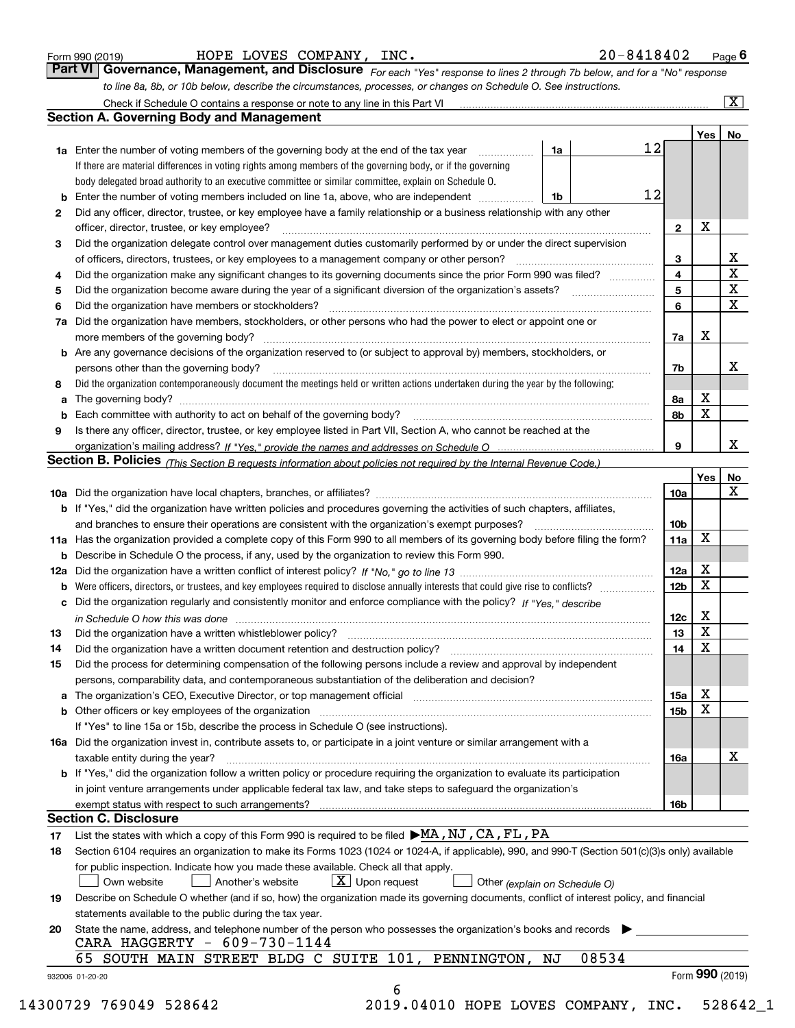|  | Form 990 (2019) |
|--|-----------------|
|  |                 |

HOPE LOVES COMPANY, INC. 20-8418402

*For each "Yes" response to lines 2 through 7b below, and for a "No" response to line 8a, 8b, or 10b below, describe the circumstances, processes, or changes on Schedule O. See instructions.* Form 990 (2019) **Form 990 (2019) Example 1 The State of Text** EQUES COMPANY, INC.<br>**Part VI Governance, Management, and Disclosure** For each "Yes" response to lines 2 through 7b below, and for a "No" response

|    |                                                                                                                                                                               |    |       |    |                 | Yes | No                      |
|----|-------------------------------------------------------------------------------------------------------------------------------------------------------------------------------|----|-------|----|-----------------|-----|-------------------------|
|    | <b>1a</b> Enter the number of voting members of the governing body at the end of the tax year                                                                                 | 1a |       | 12 |                 |     |                         |
|    | If there are material differences in voting rights among members of the governing body, or if the governing                                                                   |    |       |    |                 |     |                         |
|    | body delegated broad authority to an executive committee or similar committee, explain on Schedule O.                                                                         |    |       |    |                 |     |                         |
|    |                                                                                                                                                                               | 1b |       | 12 |                 |     |                         |
| 2  | Did any officer, director, trustee, or key employee have a family relationship or a business relationship with any other<br>officer, director, trustee, or key employee?      |    |       |    | $\mathbf{2}$    | X   |                         |
| 3  | Did the organization delegate control over management duties customarily performed by or under the direct supervision                                                         |    |       |    |                 |     |                         |
|    |                                                                                                                                                                               |    |       |    | 3               |     | X                       |
| 4  | Did the organization make any significant changes to its governing documents since the prior Form 990 was filed?                                                              |    |       |    | 4               |     | $\overline{\mathbf{x}}$ |
| 5  |                                                                                                                                                                               |    |       |    | 5               |     | $\mathbf X$             |
| 6  | Did the organization have members or stockholders?                                                                                                                            |    |       |    | 6               |     | $\mathbf x$             |
|    | 7a Did the organization have members, stockholders, or other persons who had the power to elect or appoint one or                                                             |    |       |    |                 |     |                         |
|    |                                                                                                                                                                               |    |       |    | 7a              | х   |                         |
|    | <b>b</b> Are any governance decisions of the organization reserved to (or subject to approval by) members, stockholders, or                                                   |    |       |    |                 |     |                         |
|    | persons other than the governing body?                                                                                                                                        |    |       |    | 7b              |     | х                       |
| 8  | Did the organization contemporaneously document the meetings held or written actions undertaken during the year by the following:                                             |    |       |    |                 |     |                         |
| a  |                                                                                                                                                                               |    |       |    | 8a              | X   |                         |
|    |                                                                                                                                                                               |    |       |    | 8b              | X   |                         |
| 9  |                                                                                                                                                                               |    |       |    |                 |     |                         |
|    | Is there any officer, director, trustee, or key employee listed in Part VII, Section A, who cannot be reached at the                                                          |    |       |    | 9               |     | х                       |
|    | Section B. Policies (This Section B requests information about policies not required by the Internal Revenue Code.)                                                           |    |       |    |                 |     |                         |
|    |                                                                                                                                                                               |    |       |    |                 | Yes | No                      |
|    |                                                                                                                                                                               |    |       |    |                 |     | X                       |
|    |                                                                                                                                                                               |    |       |    | 10a             |     |                         |
|    | <b>b</b> If "Yes," did the organization have written policies and procedures governing the activities of such chapters, affiliates,                                           |    |       |    |                 |     |                         |
|    |                                                                                                                                                                               |    |       |    | 10 <sub>b</sub> | X   |                         |
|    | 11a Has the organization provided a complete copy of this Form 990 to all members of its governing body before filing the form?                                               |    |       |    | 11a             |     |                         |
|    | <b>b</b> Describe in Schedule O the process, if any, used by the organization to review this Form 990.                                                                        |    |       |    |                 | X   |                         |
|    |                                                                                                                                                                               |    |       |    | 12a             | X   |                         |
| b  |                                                                                                                                                                               |    |       |    | 12b             |     |                         |
|    | c Did the organization regularly and consistently monitor and enforce compliance with the policy? If "Yes," describe                                                          |    |       |    |                 | х   |                         |
|    | in Schedule O how this was done manufactured and continuum control of the Schedule O how this was done manufactured and continuum control of the Schedule O how this was done |    |       |    | 12c             | X   |                         |
| 13 |                                                                                                                                                                               |    |       |    | 13              | X   |                         |
| 14 | Did the organization have a written document retention and destruction policy? manufactured and the organization have a written document retention and destruction policy?    |    |       |    | 14              |     |                         |
| 15 | Did the process for determining compensation of the following persons include a review and approval by independent                                                            |    |       |    |                 |     |                         |
|    | persons, comparability data, and contemporaneous substantiation of the deliberation and decision?                                                                             |    |       |    |                 |     |                         |
|    | a The organization's CEO, Executive Director, or top management official manufactured content of the organization's CEO, Executive Director, or top management official       |    |       |    | 15a             | X   |                         |
|    |                                                                                                                                                                               |    |       |    | 15b             | X   |                         |
|    | If "Yes" to line 15a or 15b, describe the process in Schedule O (see instructions).                                                                                           |    |       |    |                 |     |                         |
|    | 16a Did the organization invest in, contribute assets to, or participate in a joint venture or similar arrangement with a                                                     |    |       |    |                 |     |                         |
|    | taxable entity during the year?                                                                                                                                               |    |       |    | 16a             |     | X                       |
|    | b If "Yes," did the organization follow a written policy or procedure requiring the organization to evaluate its participation                                                |    |       |    |                 |     |                         |
|    | in joint venture arrangements under applicable federal tax law, and take steps to safequard the organization's                                                                |    |       |    |                 |     |                         |
|    | exempt status with respect to such arrangements?                                                                                                                              |    |       |    | 16b             |     |                         |
|    | <b>Section C. Disclosure</b>                                                                                                                                                  |    |       |    |                 |     |                         |
| 17 | List the states with which a copy of this Form 990 is required to be filed $\blacktriangleright$ MA, NJ, CA, FL, PA                                                           |    |       |    |                 |     |                         |
| 18 | Section 6104 requires an organization to make its Forms 1023 (1024 or 1024-A, if applicable), 990, and 990-T (Section 501(c)(3)s only) available                              |    |       |    |                 |     |                         |
|    | for public inspection. Indicate how you made these available. Check all that apply.                                                                                           |    |       |    |                 |     |                         |
|    | $X$ Upon request<br>Own website<br>Another's website<br>Other (explain on Schedule O)                                                                                         |    |       |    |                 |     |                         |
| 19 | Describe on Schedule O whether (and if so, how) the organization made its governing documents, conflict of interest policy, and financial                                     |    |       |    |                 |     |                         |
|    | statements available to the public during the tax year.                                                                                                                       |    |       |    |                 |     |                         |
| 20 | State the name, address, and telephone number of the person who possesses the organization's books and records                                                                |    |       |    |                 |     |                         |
|    | CARA HAGGERTY - 609-730-1144                                                                                                                                                  |    |       |    |                 |     |                         |
|    | 65 SOUTH MAIN STREET BLDG C SUITE 101, PENNINGTON,                                                                                                                            | ΝJ | 08534 |    |                 |     |                         |
|    |                                                                                                                                                                               |    |       |    |                 |     | Form 990 (2019)         |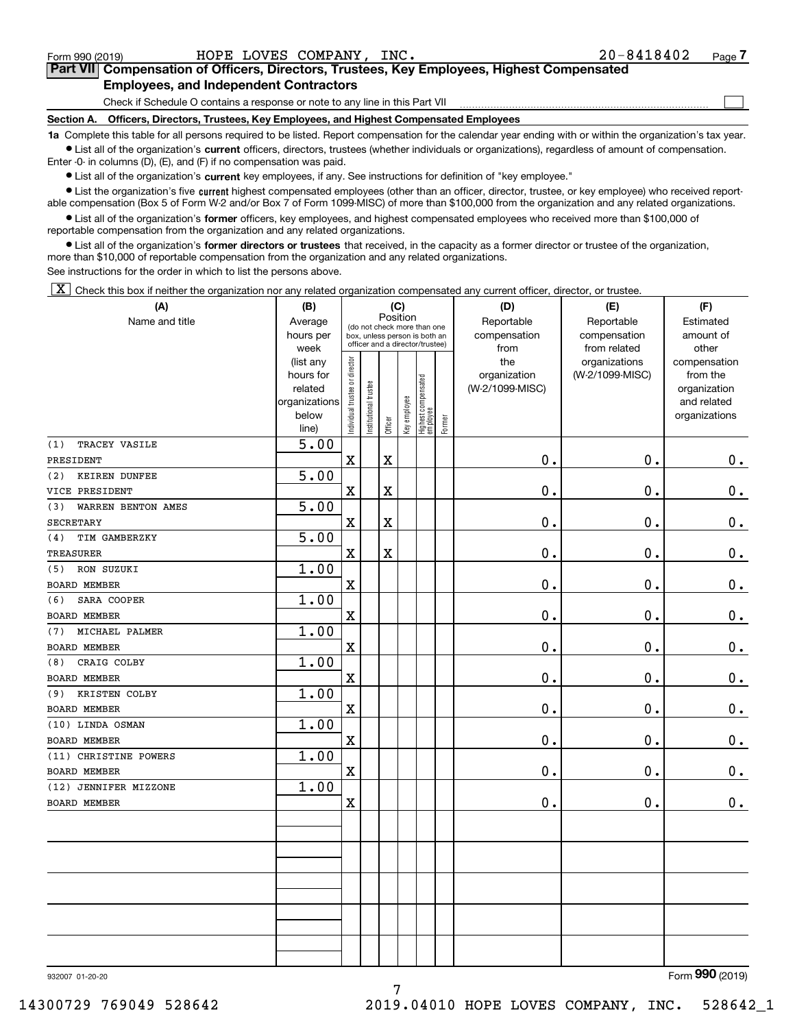$\mathcal{L}^{\text{max}}$ 

# **7Part VII Compensation of Officers, Directors, Trustees, Key Employees, Highest Compensated Employees, and Independent Contractors**

Check if Schedule O contains a response or note to any line in this Part VII

**Section A. Officers, Directors, Trustees, Key Employees, and Highest Compensated Employees**

**1a**  Complete this table for all persons required to be listed. Report compensation for the calendar year ending with or within the organization's tax year. **•** List all of the organization's current officers, directors, trustees (whether individuals or organizations), regardless of amount of compensation.

Enter -0- in columns (D), (E), and (F) if no compensation was paid.

 $\bullet$  List all of the organization's  $\,$ current key employees, if any. See instructions for definition of "key employee."

**•** List the organization's five current highest compensated employees (other than an officer, director, trustee, or key employee) who received reportable compensation (Box 5 of Form W-2 and/or Box 7 of Form 1099-MISC) of more than \$100,000 from the organization and any related organizations.

**•** List all of the organization's former officers, key employees, and highest compensated employees who received more than \$100,000 of reportable compensation from the organization and any related organizations.

**former directors or trustees**  ¥ List all of the organization's that received, in the capacity as a former director or trustee of the organization, more than \$10,000 of reportable compensation from the organization and any related organizations.

See instructions for the order in which to list the persons above.

 $\boxed{\textbf{X}}$  Check this box if neither the organization nor any related organization compensated any current officer, director, or trustee.

| (A)                         | (B)                    | (C)                            |                                                                                                 |             |              |                                 |              | (D)             | (E)             | (F)                          |
|-----------------------------|------------------------|--------------------------------|-------------------------------------------------------------------------------------------------|-------------|--------------|---------------------------------|--------------|-----------------|-----------------|------------------------------|
| Name and title              | Average                |                                |                                                                                                 | Position    |              |                                 |              | Reportable      | Reportable      | Estimated                    |
|                             | hours per              |                                | (do not check more than one<br>box, unless person is both an<br>officer and a director/trustee) |             |              |                                 | compensation | compensation    | amount of       |                              |
|                             | week                   |                                |                                                                                                 |             |              |                                 |              | from            | from related    | other                        |
|                             | (list any              |                                |                                                                                                 |             |              |                                 |              | the             | organizations   | compensation                 |
|                             | hours for              |                                |                                                                                                 |             |              |                                 |              | organization    | (W-2/1099-MISC) | from the                     |
|                             | related                |                                |                                                                                                 |             |              |                                 |              | (W-2/1099-MISC) |                 | organization                 |
|                             | organizations<br>below |                                |                                                                                                 |             |              |                                 |              |                 |                 | and related<br>organizations |
|                             | line)                  | Individual trustee or director | Institutional trustee                                                                           | Officer     | Key employee | Highest compensated<br>employee | Former       |                 |                 |                              |
| TRACEY VASILE<br>(1)        | 5.00                   |                                |                                                                                                 |             |              |                                 |              |                 |                 |                              |
| PRESIDENT                   |                        | $\mathbf x$                    |                                                                                                 | $\rm X$     |              |                                 |              | $0$ .           | 0.              | $0_{.}$                      |
| <b>KEIREN DUNFEE</b><br>(2) | $\overline{5.00}$      |                                |                                                                                                 |             |              |                                 |              |                 |                 |                              |
| VICE PRESIDENT              |                        | $\mathbf X$                    |                                                                                                 | $\mathbf X$ |              |                                 |              | 0.              | $\mathbf 0$ .   | $\mathbf 0$ .                |
| WARREN BENTON AMES<br>(3)   | 5.00                   |                                |                                                                                                 |             |              |                                 |              |                 |                 |                              |
| <b>SECRETARY</b>            |                        | $\mathbf X$                    |                                                                                                 | $\rm X$     |              |                                 |              | 0.              | $\mathbf 0$ .   | $\mathbf 0$ .                |
| (4)<br>TIM GAMBERZKY        | 5.00                   |                                |                                                                                                 |             |              |                                 |              |                 |                 |                              |
| TREASURER                   |                        | $\mathbf X$                    |                                                                                                 | $\rm X$     |              |                                 |              | 0.              | 0.              | $\mathbf 0$ .                |
| RON SUZUKI<br>(5)           | 1.00                   |                                |                                                                                                 |             |              |                                 |              |                 |                 |                              |
| <b>BOARD MEMBER</b>         |                        | $\mathbf X$                    |                                                                                                 |             |              |                                 |              | 0.              | $\mathbf 0$ .   | $\mathbf 0$ .                |
| SARA COOPER<br>(6)          | 1.00                   |                                |                                                                                                 |             |              |                                 |              |                 |                 |                              |
| <b>BOARD MEMBER</b>         |                        | $\mathbf X$                    |                                                                                                 |             |              |                                 |              | $\mathbf 0$ .   | $\mathbf 0$ .   | $\mathbf 0$ .                |
| MICHAEL PALMER<br>(7)       | 1.00                   |                                |                                                                                                 |             |              |                                 |              |                 |                 |                              |
| <b>BOARD MEMBER</b>         |                        | $\mathbf X$                    |                                                                                                 |             |              |                                 |              | 0.              | $\mathbf 0$ .   | $0_{.}$                      |
| CRAIG COLBY<br>(8)          | 1.00                   |                                |                                                                                                 |             |              |                                 |              |                 |                 |                              |
| <b>BOARD MEMBER</b>         |                        | $\mathbf X$                    |                                                                                                 |             |              |                                 |              | $\mathbf 0$ .   | $\mathbf 0$ .   | $\mathbf 0$ .                |
| KRISTEN COLBY<br>(9)        | 1.00                   |                                |                                                                                                 |             |              |                                 |              |                 |                 |                              |
| BOARD MEMBER                |                        | $\mathbf X$                    |                                                                                                 |             |              |                                 |              | $0$ .           | 0.              | 0.                           |
| (10) LINDA OSMAN            | 1.00                   |                                |                                                                                                 |             |              |                                 |              |                 |                 |                              |
| <b>BOARD MEMBER</b>         |                        | $\mathbf x$                    |                                                                                                 |             |              |                                 |              | $\mathbf 0$ .   | 0.              | $\mathbf 0$ .                |
| (11) CHRISTINE POWERS       | 1.00                   |                                |                                                                                                 |             |              |                                 |              |                 |                 |                              |
| <b>BOARD MEMBER</b>         |                        | $\mathbf X$                    |                                                                                                 |             |              |                                 |              | 0.              | 0.              | $\mathbf 0$ .                |
| (12) JENNIFER MIZZONE       | 1.00                   |                                |                                                                                                 |             |              |                                 |              |                 |                 |                              |
| BOARD MEMBER                |                        | $\mathbf X$                    |                                                                                                 |             |              |                                 |              | 0.              | $\mathbf 0$ .   | $\mathbf 0$ .                |
|                             |                        |                                |                                                                                                 |             |              |                                 |              |                 |                 |                              |
|                             |                        |                                |                                                                                                 |             |              |                                 |              |                 |                 |                              |
|                             |                        |                                |                                                                                                 |             |              |                                 |              |                 |                 |                              |
|                             |                        |                                |                                                                                                 |             |              |                                 |              |                 |                 |                              |
|                             |                        |                                |                                                                                                 |             |              |                                 |              |                 |                 |                              |
|                             |                        |                                |                                                                                                 |             |              |                                 |              |                 |                 |                              |
|                             |                        |                                |                                                                                                 |             |              |                                 |              |                 |                 |                              |
|                             |                        |                                |                                                                                                 |             |              |                                 |              |                 |                 |                              |
|                             |                        |                                |                                                                                                 |             |              |                                 |              |                 |                 |                              |
|                             |                        |                                |                                                                                                 |             |              |                                 |              |                 |                 | $\overline{2}$               |

7

932007 01-20-20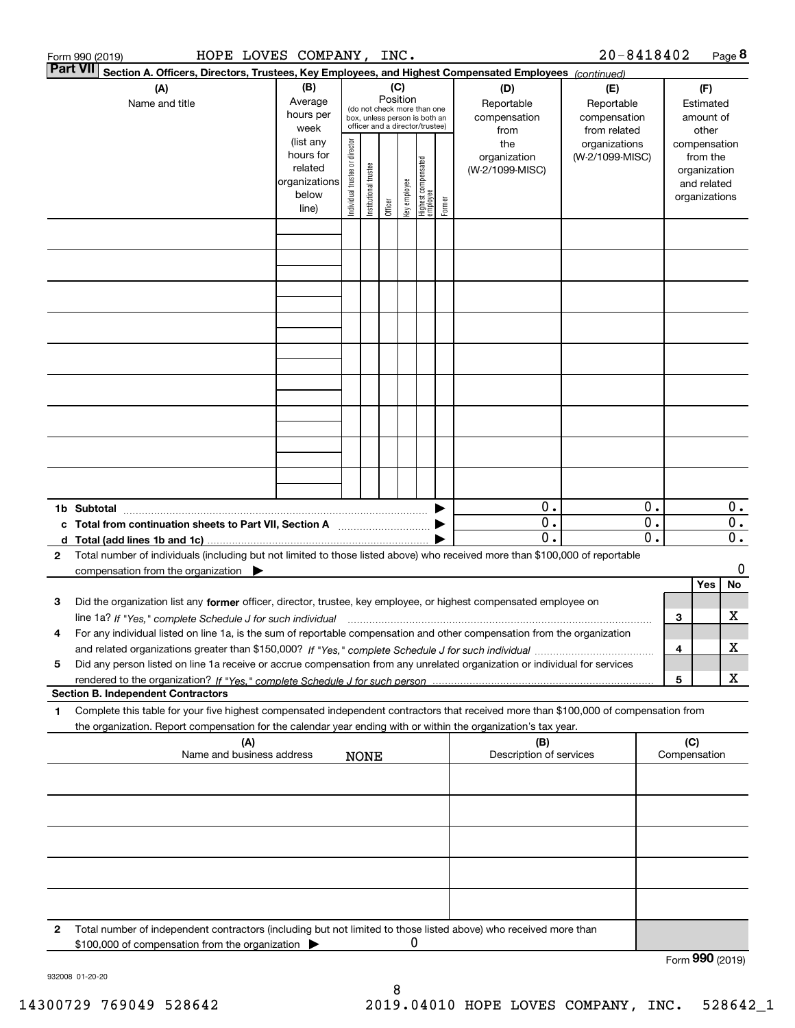|              | HOPE LOVES COMPANY, INC.<br>Form 990 (2019)                                                                                                                                                                                                                         |                               |                       |                                                                                                            |                 |                                 |        |                                                                |                                                                  | 20-8418402        |                                                 |                                                                                                |                  | Page 8                               |
|--------------|---------------------------------------------------------------------------------------------------------------------------------------------------------------------------------------------------------------------------------------------------------------------|-------------------------------|-----------------------|------------------------------------------------------------------------------------------------------------|-----------------|---------------------------------|--------|----------------------------------------------------------------|------------------------------------------------------------------|-------------------|-------------------------------------------------|------------------------------------------------------------------------------------------------|------------------|--------------------------------------|
|              | <b>Part VII</b><br>Section A. Officers, Directors, Trustees, Key Employees, and Highest Compensated Employees (continued)                                                                                                                                           |                               |                       |                                                                                                            |                 |                                 |        |                                                                |                                                                  |                   |                                                 |                                                                                                |                  |                                      |
|              | (A)<br>Name and title                                                                                                                                                                                                                                               | (B)<br>Average                |                       |                                                                                                            | (C)<br>Position |                                 |        |                                                                | (D)<br>Reportable                                                | (E)<br>Reportable |                                                 |                                                                                                | (F)<br>Estimated |                                      |
|              |                                                                                                                                                                                                                                                                     | ndividual trustee or director | Institutional trustee | (do not check more than one<br>box, unless person is both an<br>officer and a director/trustee)<br>Officer | Key employee    | Highest compensated<br>employee | Former | compensation<br>from<br>the<br>organization<br>(W-2/1099-MISC) | compensation<br>from related<br>organizations<br>(W-2/1099-MISC) |                   |                                                 | amount of<br>other<br>compensation<br>from the<br>organization<br>and related<br>organizations |                  |                                      |
|              |                                                                                                                                                                                                                                                                     | line)                         |                       |                                                                                                            |                 |                                 |        |                                                                |                                                                  |                   |                                                 |                                                                                                |                  |                                      |
|              |                                                                                                                                                                                                                                                                     |                               |                       |                                                                                                            |                 |                                 |        |                                                                |                                                                  |                   |                                                 |                                                                                                |                  |                                      |
|              |                                                                                                                                                                                                                                                                     |                               |                       |                                                                                                            |                 |                                 |        |                                                                |                                                                  |                   |                                                 |                                                                                                |                  |                                      |
|              |                                                                                                                                                                                                                                                                     |                               |                       |                                                                                                            |                 |                                 |        |                                                                |                                                                  |                   |                                                 |                                                                                                |                  |                                      |
|              |                                                                                                                                                                                                                                                                     |                               |                       |                                                                                                            |                 |                                 |        |                                                                |                                                                  |                   |                                                 |                                                                                                |                  |                                      |
|              |                                                                                                                                                                                                                                                                     |                               |                       |                                                                                                            |                 |                                 |        |                                                                |                                                                  |                   |                                                 |                                                                                                |                  |                                      |
|              |                                                                                                                                                                                                                                                                     |                               |                       |                                                                                                            |                 |                                 |        |                                                                |                                                                  |                   |                                                 |                                                                                                |                  |                                      |
|              |                                                                                                                                                                                                                                                                     |                               |                       |                                                                                                            |                 |                                 |        |                                                                |                                                                  |                   |                                                 |                                                                                                |                  |                                      |
|              | 1b Subtotal                                                                                                                                                                                                                                                         |                               |                       |                                                                                                            |                 |                                 |        |                                                                | 0.                                                               |                   | 0.                                              |                                                                                                |                  | 0.                                   |
|              | c Total from continuation sheets to Part VII, Section A <b>manual</b> contains the Total from continuum<br>d Total (add lines 1b and 1c).                                                                                                                           |                               |                       |                                                                                                            |                 |                                 |        |                                                                | $\overline{0}$ .<br>$\mathbf 0$ .                                |                   | $\overline{0}$ .<br>$\overline{\mathfrak{o}}$ . |                                                                                                |                  | $\overline{0}$ .<br>$\overline{0}$ . |
| $\mathbf{2}$ | Total number of individuals (including but not limited to those listed above) who received more than \$100,000 of reportable<br>compensation from the organization $\blacktriangleright$                                                                            |                               |                       |                                                                                                            |                 |                                 |        |                                                                |                                                                  |                   |                                                 |                                                                                                |                  | 0                                    |
| з            | Did the organization list any former officer, director, trustee, key employee, or highest compensated employee on                                                                                                                                                   |                               |                       |                                                                                                            |                 |                                 |        |                                                                |                                                                  |                   |                                                 |                                                                                                | Yes              | No                                   |
| 4            | line 1a? If "Yes," complete Schedule J for such individual manufactured contained and the Yes," complete Schedule J for such individual<br>For any individual listed on line 1a, is the sum of reportable compensation and other compensation from the organization |                               |                       |                                                                                                            |                 |                                 |        |                                                                |                                                                  |                   |                                                 | 3                                                                                              |                  | х<br>х                               |
| 5            | Did any person listed on line 1a receive or accrue compensation from any unrelated organization or individual for services                                                                                                                                          |                               |                       |                                                                                                            |                 |                                 |        |                                                                |                                                                  |                   |                                                 | 4<br>5                                                                                         |                  | X                                    |
|              | <b>Section B. Independent Contractors</b>                                                                                                                                                                                                                           |                               |                       |                                                                                                            |                 |                                 |        |                                                                |                                                                  |                   |                                                 |                                                                                                |                  |                                      |
| 1            | Complete this table for your five highest compensated independent contractors that received more than \$100,000 of compensation from<br>the organization. Report compensation for the calendar year ending with or within the organization's tax year.              |                               |                       |                                                                                                            |                 |                                 |        |                                                                |                                                                  |                   |                                                 |                                                                                                |                  |                                      |
|              | (A)<br>Name and business address                                                                                                                                                                                                                                    |                               |                       | <b>NONE</b>                                                                                                |                 |                                 |        |                                                                | (B)<br>Description of services                                   |                   |                                                 | (C)                                                                                            | Compensation     |                                      |
|              |                                                                                                                                                                                                                                                                     |                               |                       |                                                                                                            |                 |                                 |        |                                                                |                                                                  |                   |                                                 |                                                                                                |                  |                                      |
|              |                                                                                                                                                                                                                                                                     |                               |                       |                                                                                                            |                 |                                 |        |                                                                |                                                                  |                   |                                                 |                                                                                                |                  |                                      |
|              |                                                                                                                                                                                                                                                                     |                               |                       |                                                                                                            |                 |                                 |        |                                                                |                                                                  |                   |                                                 |                                                                                                |                  |                                      |
|              |                                                                                                                                                                                                                                                                     |                               |                       |                                                                                                            |                 |                                 |        |                                                                |                                                                  |                   |                                                 |                                                                                                |                  |                                      |
| 2            | Total number of independent contractors (including but not limited to those listed above) who received more than                                                                                                                                                    |                               |                       |                                                                                                            |                 |                                 |        |                                                                |                                                                  |                   |                                                 |                                                                                                |                  |                                      |
|              | \$100,000 of compensation from the organization                                                                                                                                                                                                                     |                               |                       |                                                                                                            |                 | 0                               |        |                                                                |                                                                  |                   |                                                 |                                                                                                | Form 990 (2019)  |                                      |

932008 01-20-20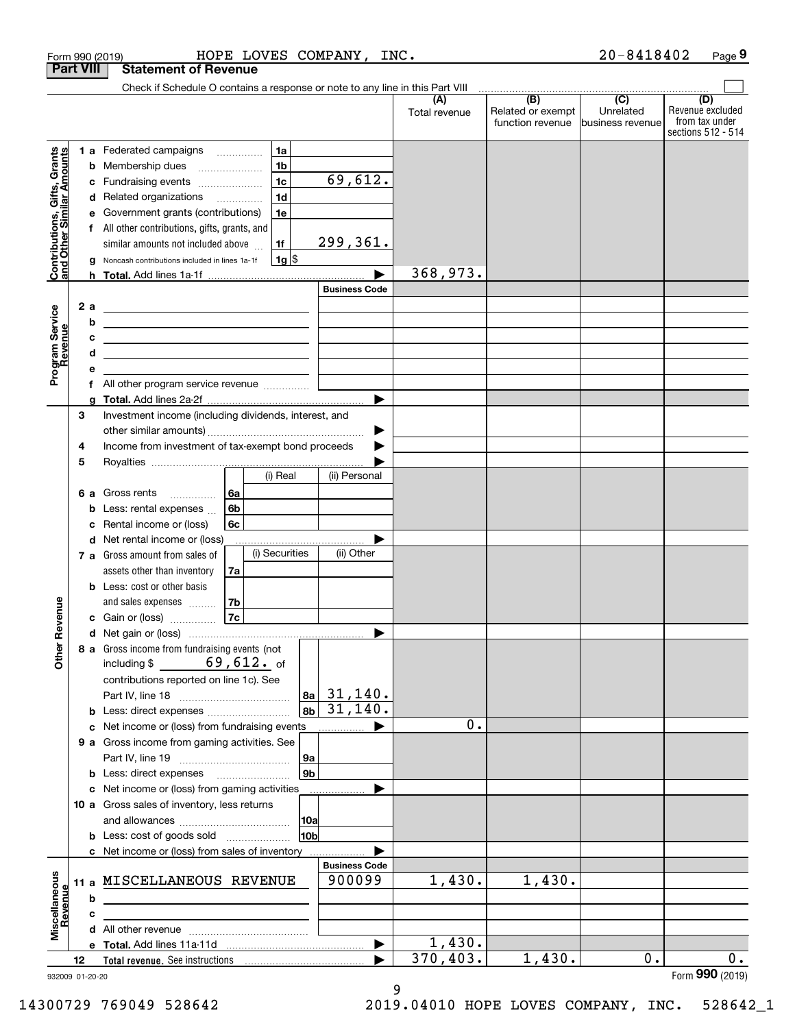| <b>Part VIII</b><br><b>Statement of Revenue</b><br>Check if Schedule O contains a response or note to any line in this Part VIII<br>$\overline{(\mathsf{B})}$ $\overline{(\mathsf{C})}$<br>(D)<br>(A)<br>Related or exempt<br>Unrelated<br>Total revenue<br>from tax under<br>function revenue<br>business revenue<br>1a<br>Contributions, Gifts, Grants<br>and Other Similar Amounts<br>1 a Federated campaigns<br>1 <sub>b</sub><br>Membership dues<br>b<br>69,612.<br>1 <sub>c</sub><br>c Fundraising events<br>1 <sub>d</sub><br>d Related organizations<br>e Government grants (contributions)<br>1e<br>f All other contributions, gifts, grants, and<br>299,361.<br>similar amounts not included above<br>1f<br>$1g$ $\frac{1}{3}$<br>Noncash contributions included in lines 1a-1f<br>g<br>368,973.<br><b>Business Code</b><br>2 a<br>Program Service<br>Revenue<br><u> 1989 - Andrea Stadt Britain, amerikansk politik (</u><br>b<br><u> 1989 - Johann Stein, marwolaethau a bhann an t-Albann an t-Albann an t-Albann an t-Albann an t-Albann an t-Alb</u><br>с<br><u> 1989 - Johann Barn, amerikansk politiker (d. 1989)</u><br>d<br><u> 1989 - Johann Barn, amerikansk politiker (</u><br>е<br>All other program service revenue<br>f<br>a<br>З<br>Investment income (including dividends, interest, and<br>Income from investment of tax-exempt bond proceeds<br>4<br>5<br>(i) Real<br>(ii) Personal<br><b>6 a</b> Gross rents<br>l 6a<br>6 <sub>b</sub><br><b>b</b> Less: rental expenses $\ldots$<br>Rental income or (loss)<br>6с<br>c<br>d Net rental income or (loss)<br>(i) Securities<br>(ii) Other<br>7 a Gross amount from sales of<br>assets other than inventory<br>7a<br><b>b</b> Less: cost or other basis<br>evenue<br>7b<br>and sales expenses<br>7c<br>c Gain or (loss)<br>Other R<br>8 a Gross income from fundraising events (not<br>including $$ 69,612.$ of<br>contributions reported on line 1c). See<br>31,140.<br> 8a<br>31,140.<br>8 <sub>b</sub><br>0.<br>c Net income or (loss) from fundraising events<br>9 a Gross income from gaming activities. See<br> 9a<br>9b<br><b>b</b> Less: direct expenses <b>manually</b><br>c Net income or (loss) from gaming activities<br>10 a Gross sales of inventory, less returns<br> 10a<br>10b<br><b>b</b> Less: cost of goods sold<br>c Net income or (loss) from sales of inventory<br><b>Business Code</b><br>Miscellaneous<br>1,430.<br>1,430.<br>900099<br>11 a MISCELLANEOUS REVENUE<br>Revenue<br>b<br><u> 1989 - Johann Stein, mars an deus Amerikaansk kommunister (</u><br>c<br>1,430.<br>$\overline{370,403}$ .<br>1,430.<br>$0$ .<br>12<br>Form 990 (2019)<br>932009 01-20-20<br>9 |  |  | Form 990 (2019) |  | HOPE LOVES COMPANY,<br>INC. |  | 20-8418402 | Page 9                                 |
|-----------------------------------------------------------------------------------------------------------------------------------------------------------------------------------------------------------------------------------------------------------------------------------------------------------------------------------------------------------------------------------------------------------------------------------------------------------------------------------------------------------------------------------------------------------------------------------------------------------------------------------------------------------------------------------------------------------------------------------------------------------------------------------------------------------------------------------------------------------------------------------------------------------------------------------------------------------------------------------------------------------------------------------------------------------------------------------------------------------------------------------------------------------------------------------------------------------------------------------------------------------------------------------------------------------------------------------------------------------------------------------------------------------------------------------------------------------------------------------------------------------------------------------------------------------------------------------------------------------------------------------------------------------------------------------------------------------------------------------------------------------------------------------------------------------------------------------------------------------------------------------------------------------------------------------------------------------------------------------------------------------------------------------------------------------------------------------------------------------------------------------------------------------------------------------------------------------------------------------------------------------------------------------------------------------------------------------------------------------------------------------------------------------------------------------------------------------------------------------------------------------------------------------------------------------------------------------------------------------------------------------------------------------------------------|--|--|-----------------|--|-----------------------------|--|------------|----------------------------------------|
|                                                                                                                                                                                                                                                                                                                                                                                                                                                                                                                                                                                                                                                                                                                                                                                                                                                                                                                                                                                                                                                                                                                                                                                                                                                                                                                                                                                                                                                                                                                                                                                                                                                                                                                                                                                                                                                                                                                                                                                                                                                                                                                                                                                                                                                                                                                                                                                                                                                                                                                                                                                                                                                                             |  |  |                 |  |                             |  |            |                                        |
|                                                                                                                                                                                                                                                                                                                                                                                                                                                                                                                                                                                                                                                                                                                                                                                                                                                                                                                                                                                                                                                                                                                                                                                                                                                                                                                                                                                                                                                                                                                                                                                                                                                                                                                                                                                                                                                                                                                                                                                                                                                                                                                                                                                                                                                                                                                                                                                                                                                                                                                                                                                                                                                                             |  |  |                 |  |                             |  |            |                                        |
|                                                                                                                                                                                                                                                                                                                                                                                                                                                                                                                                                                                                                                                                                                                                                                                                                                                                                                                                                                                                                                                                                                                                                                                                                                                                                                                                                                                                                                                                                                                                                                                                                                                                                                                                                                                                                                                                                                                                                                                                                                                                                                                                                                                                                                                                                                                                                                                                                                                                                                                                                                                                                                                                             |  |  |                 |  |                             |  |            | Revenue excluded<br>sections 512 - 514 |
|                                                                                                                                                                                                                                                                                                                                                                                                                                                                                                                                                                                                                                                                                                                                                                                                                                                                                                                                                                                                                                                                                                                                                                                                                                                                                                                                                                                                                                                                                                                                                                                                                                                                                                                                                                                                                                                                                                                                                                                                                                                                                                                                                                                                                                                                                                                                                                                                                                                                                                                                                                                                                                                                             |  |  |                 |  |                             |  |            |                                        |
|                                                                                                                                                                                                                                                                                                                                                                                                                                                                                                                                                                                                                                                                                                                                                                                                                                                                                                                                                                                                                                                                                                                                                                                                                                                                                                                                                                                                                                                                                                                                                                                                                                                                                                                                                                                                                                                                                                                                                                                                                                                                                                                                                                                                                                                                                                                                                                                                                                                                                                                                                                                                                                                                             |  |  |                 |  |                             |  |            |                                        |
|                                                                                                                                                                                                                                                                                                                                                                                                                                                                                                                                                                                                                                                                                                                                                                                                                                                                                                                                                                                                                                                                                                                                                                                                                                                                                                                                                                                                                                                                                                                                                                                                                                                                                                                                                                                                                                                                                                                                                                                                                                                                                                                                                                                                                                                                                                                                                                                                                                                                                                                                                                                                                                                                             |  |  |                 |  |                             |  |            |                                        |
|                                                                                                                                                                                                                                                                                                                                                                                                                                                                                                                                                                                                                                                                                                                                                                                                                                                                                                                                                                                                                                                                                                                                                                                                                                                                                                                                                                                                                                                                                                                                                                                                                                                                                                                                                                                                                                                                                                                                                                                                                                                                                                                                                                                                                                                                                                                                                                                                                                                                                                                                                                                                                                                                             |  |  |                 |  |                             |  |            |                                        |
|                                                                                                                                                                                                                                                                                                                                                                                                                                                                                                                                                                                                                                                                                                                                                                                                                                                                                                                                                                                                                                                                                                                                                                                                                                                                                                                                                                                                                                                                                                                                                                                                                                                                                                                                                                                                                                                                                                                                                                                                                                                                                                                                                                                                                                                                                                                                                                                                                                                                                                                                                                                                                                                                             |  |  |                 |  |                             |  |            |                                        |
|                                                                                                                                                                                                                                                                                                                                                                                                                                                                                                                                                                                                                                                                                                                                                                                                                                                                                                                                                                                                                                                                                                                                                                                                                                                                                                                                                                                                                                                                                                                                                                                                                                                                                                                                                                                                                                                                                                                                                                                                                                                                                                                                                                                                                                                                                                                                                                                                                                                                                                                                                                                                                                                                             |  |  |                 |  |                             |  |            |                                        |
|                                                                                                                                                                                                                                                                                                                                                                                                                                                                                                                                                                                                                                                                                                                                                                                                                                                                                                                                                                                                                                                                                                                                                                                                                                                                                                                                                                                                                                                                                                                                                                                                                                                                                                                                                                                                                                                                                                                                                                                                                                                                                                                                                                                                                                                                                                                                                                                                                                                                                                                                                                                                                                                                             |  |  |                 |  |                             |  |            |                                        |
|                                                                                                                                                                                                                                                                                                                                                                                                                                                                                                                                                                                                                                                                                                                                                                                                                                                                                                                                                                                                                                                                                                                                                                                                                                                                                                                                                                                                                                                                                                                                                                                                                                                                                                                                                                                                                                                                                                                                                                                                                                                                                                                                                                                                                                                                                                                                                                                                                                                                                                                                                                                                                                                                             |  |  |                 |  |                             |  |            |                                        |
|                                                                                                                                                                                                                                                                                                                                                                                                                                                                                                                                                                                                                                                                                                                                                                                                                                                                                                                                                                                                                                                                                                                                                                                                                                                                                                                                                                                                                                                                                                                                                                                                                                                                                                                                                                                                                                                                                                                                                                                                                                                                                                                                                                                                                                                                                                                                                                                                                                                                                                                                                                                                                                                                             |  |  |                 |  |                             |  |            |                                        |
|                                                                                                                                                                                                                                                                                                                                                                                                                                                                                                                                                                                                                                                                                                                                                                                                                                                                                                                                                                                                                                                                                                                                                                                                                                                                                                                                                                                                                                                                                                                                                                                                                                                                                                                                                                                                                                                                                                                                                                                                                                                                                                                                                                                                                                                                                                                                                                                                                                                                                                                                                                                                                                                                             |  |  |                 |  |                             |  |            |                                        |
|                                                                                                                                                                                                                                                                                                                                                                                                                                                                                                                                                                                                                                                                                                                                                                                                                                                                                                                                                                                                                                                                                                                                                                                                                                                                                                                                                                                                                                                                                                                                                                                                                                                                                                                                                                                                                                                                                                                                                                                                                                                                                                                                                                                                                                                                                                                                                                                                                                                                                                                                                                                                                                                                             |  |  |                 |  |                             |  |            |                                        |
|                                                                                                                                                                                                                                                                                                                                                                                                                                                                                                                                                                                                                                                                                                                                                                                                                                                                                                                                                                                                                                                                                                                                                                                                                                                                                                                                                                                                                                                                                                                                                                                                                                                                                                                                                                                                                                                                                                                                                                                                                                                                                                                                                                                                                                                                                                                                                                                                                                                                                                                                                                                                                                                                             |  |  |                 |  |                             |  |            |                                        |
|                                                                                                                                                                                                                                                                                                                                                                                                                                                                                                                                                                                                                                                                                                                                                                                                                                                                                                                                                                                                                                                                                                                                                                                                                                                                                                                                                                                                                                                                                                                                                                                                                                                                                                                                                                                                                                                                                                                                                                                                                                                                                                                                                                                                                                                                                                                                                                                                                                                                                                                                                                                                                                                                             |  |  |                 |  |                             |  |            |                                        |
|                                                                                                                                                                                                                                                                                                                                                                                                                                                                                                                                                                                                                                                                                                                                                                                                                                                                                                                                                                                                                                                                                                                                                                                                                                                                                                                                                                                                                                                                                                                                                                                                                                                                                                                                                                                                                                                                                                                                                                                                                                                                                                                                                                                                                                                                                                                                                                                                                                                                                                                                                                                                                                                                             |  |  |                 |  |                             |  |            |                                        |
|                                                                                                                                                                                                                                                                                                                                                                                                                                                                                                                                                                                                                                                                                                                                                                                                                                                                                                                                                                                                                                                                                                                                                                                                                                                                                                                                                                                                                                                                                                                                                                                                                                                                                                                                                                                                                                                                                                                                                                                                                                                                                                                                                                                                                                                                                                                                                                                                                                                                                                                                                                                                                                                                             |  |  |                 |  |                             |  |            |                                        |
|                                                                                                                                                                                                                                                                                                                                                                                                                                                                                                                                                                                                                                                                                                                                                                                                                                                                                                                                                                                                                                                                                                                                                                                                                                                                                                                                                                                                                                                                                                                                                                                                                                                                                                                                                                                                                                                                                                                                                                                                                                                                                                                                                                                                                                                                                                                                                                                                                                                                                                                                                                                                                                                                             |  |  |                 |  |                             |  |            |                                        |
|                                                                                                                                                                                                                                                                                                                                                                                                                                                                                                                                                                                                                                                                                                                                                                                                                                                                                                                                                                                                                                                                                                                                                                                                                                                                                                                                                                                                                                                                                                                                                                                                                                                                                                                                                                                                                                                                                                                                                                                                                                                                                                                                                                                                                                                                                                                                                                                                                                                                                                                                                                                                                                                                             |  |  |                 |  |                             |  |            |                                        |
|                                                                                                                                                                                                                                                                                                                                                                                                                                                                                                                                                                                                                                                                                                                                                                                                                                                                                                                                                                                                                                                                                                                                                                                                                                                                                                                                                                                                                                                                                                                                                                                                                                                                                                                                                                                                                                                                                                                                                                                                                                                                                                                                                                                                                                                                                                                                                                                                                                                                                                                                                                                                                                                                             |  |  |                 |  |                             |  |            |                                        |
|                                                                                                                                                                                                                                                                                                                                                                                                                                                                                                                                                                                                                                                                                                                                                                                                                                                                                                                                                                                                                                                                                                                                                                                                                                                                                                                                                                                                                                                                                                                                                                                                                                                                                                                                                                                                                                                                                                                                                                                                                                                                                                                                                                                                                                                                                                                                                                                                                                                                                                                                                                                                                                                                             |  |  |                 |  |                             |  |            |                                        |
|                                                                                                                                                                                                                                                                                                                                                                                                                                                                                                                                                                                                                                                                                                                                                                                                                                                                                                                                                                                                                                                                                                                                                                                                                                                                                                                                                                                                                                                                                                                                                                                                                                                                                                                                                                                                                                                                                                                                                                                                                                                                                                                                                                                                                                                                                                                                                                                                                                                                                                                                                                                                                                                                             |  |  |                 |  |                             |  |            |                                        |
|                                                                                                                                                                                                                                                                                                                                                                                                                                                                                                                                                                                                                                                                                                                                                                                                                                                                                                                                                                                                                                                                                                                                                                                                                                                                                                                                                                                                                                                                                                                                                                                                                                                                                                                                                                                                                                                                                                                                                                                                                                                                                                                                                                                                                                                                                                                                                                                                                                                                                                                                                                                                                                                                             |  |  |                 |  |                             |  |            |                                        |
|                                                                                                                                                                                                                                                                                                                                                                                                                                                                                                                                                                                                                                                                                                                                                                                                                                                                                                                                                                                                                                                                                                                                                                                                                                                                                                                                                                                                                                                                                                                                                                                                                                                                                                                                                                                                                                                                                                                                                                                                                                                                                                                                                                                                                                                                                                                                                                                                                                                                                                                                                                                                                                                                             |  |  |                 |  |                             |  |            |                                        |
|                                                                                                                                                                                                                                                                                                                                                                                                                                                                                                                                                                                                                                                                                                                                                                                                                                                                                                                                                                                                                                                                                                                                                                                                                                                                                                                                                                                                                                                                                                                                                                                                                                                                                                                                                                                                                                                                                                                                                                                                                                                                                                                                                                                                                                                                                                                                                                                                                                                                                                                                                                                                                                                                             |  |  |                 |  |                             |  |            |                                        |
|                                                                                                                                                                                                                                                                                                                                                                                                                                                                                                                                                                                                                                                                                                                                                                                                                                                                                                                                                                                                                                                                                                                                                                                                                                                                                                                                                                                                                                                                                                                                                                                                                                                                                                                                                                                                                                                                                                                                                                                                                                                                                                                                                                                                                                                                                                                                                                                                                                                                                                                                                                                                                                                                             |  |  |                 |  |                             |  |            |                                        |
|                                                                                                                                                                                                                                                                                                                                                                                                                                                                                                                                                                                                                                                                                                                                                                                                                                                                                                                                                                                                                                                                                                                                                                                                                                                                                                                                                                                                                                                                                                                                                                                                                                                                                                                                                                                                                                                                                                                                                                                                                                                                                                                                                                                                                                                                                                                                                                                                                                                                                                                                                                                                                                                                             |  |  |                 |  |                             |  |            |                                        |
|                                                                                                                                                                                                                                                                                                                                                                                                                                                                                                                                                                                                                                                                                                                                                                                                                                                                                                                                                                                                                                                                                                                                                                                                                                                                                                                                                                                                                                                                                                                                                                                                                                                                                                                                                                                                                                                                                                                                                                                                                                                                                                                                                                                                                                                                                                                                                                                                                                                                                                                                                                                                                                                                             |  |  |                 |  |                             |  |            |                                        |
|                                                                                                                                                                                                                                                                                                                                                                                                                                                                                                                                                                                                                                                                                                                                                                                                                                                                                                                                                                                                                                                                                                                                                                                                                                                                                                                                                                                                                                                                                                                                                                                                                                                                                                                                                                                                                                                                                                                                                                                                                                                                                                                                                                                                                                                                                                                                                                                                                                                                                                                                                                                                                                                                             |  |  |                 |  |                             |  |            |                                        |
|                                                                                                                                                                                                                                                                                                                                                                                                                                                                                                                                                                                                                                                                                                                                                                                                                                                                                                                                                                                                                                                                                                                                                                                                                                                                                                                                                                                                                                                                                                                                                                                                                                                                                                                                                                                                                                                                                                                                                                                                                                                                                                                                                                                                                                                                                                                                                                                                                                                                                                                                                                                                                                                                             |  |  |                 |  |                             |  |            |                                        |
|                                                                                                                                                                                                                                                                                                                                                                                                                                                                                                                                                                                                                                                                                                                                                                                                                                                                                                                                                                                                                                                                                                                                                                                                                                                                                                                                                                                                                                                                                                                                                                                                                                                                                                                                                                                                                                                                                                                                                                                                                                                                                                                                                                                                                                                                                                                                                                                                                                                                                                                                                                                                                                                                             |  |  |                 |  |                             |  |            |                                        |
|                                                                                                                                                                                                                                                                                                                                                                                                                                                                                                                                                                                                                                                                                                                                                                                                                                                                                                                                                                                                                                                                                                                                                                                                                                                                                                                                                                                                                                                                                                                                                                                                                                                                                                                                                                                                                                                                                                                                                                                                                                                                                                                                                                                                                                                                                                                                                                                                                                                                                                                                                                                                                                                                             |  |  |                 |  |                             |  |            |                                        |
|                                                                                                                                                                                                                                                                                                                                                                                                                                                                                                                                                                                                                                                                                                                                                                                                                                                                                                                                                                                                                                                                                                                                                                                                                                                                                                                                                                                                                                                                                                                                                                                                                                                                                                                                                                                                                                                                                                                                                                                                                                                                                                                                                                                                                                                                                                                                                                                                                                                                                                                                                                                                                                                                             |  |  |                 |  |                             |  |            |                                        |
|                                                                                                                                                                                                                                                                                                                                                                                                                                                                                                                                                                                                                                                                                                                                                                                                                                                                                                                                                                                                                                                                                                                                                                                                                                                                                                                                                                                                                                                                                                                                                                                                                                                                                                                                                                                                                                                                                                                                                                                                                                                                                                                                                                                                                                                                                                                                                                                                                                                                                                                                                                                                                                                                             |  |  |                 |  |                             |  |            |                                        |
|                                                                                                                                                                                                                                                                                                                                                                                                                                                                                                                                                                                                                                                                                                                                                                                                                                                                                                                                                                                                                                                                                                                                                                                                                                                                                                                                                                                                                                                                                                                                                                                                                                                                                                                                                                                                                                                                                                                                                                                                                                                                                                                                                                                                                                                                                                                                                                                                                                                                                                                                                                                                                                                                             |  |  |                 |  |                             |  |            |                                        |
|                                                                                                                                                                                                                                                                                                                                                                                                                                                                                                                                                                                                                                                                                                                                                                                                                                                                                                                                                                                                                                                                                                                                                                                                                                                                                                                                                                                                                                                                                                                                                                                                                                                                                                                                                                                                                                                                                                                                                                                                                                                                                                                                                                                                                                                                                                                                                                                                                                                                                                                                                                                                                                                                             |  |  |                 |  |                             |  |            |                                        |
|                                                                                                                                                                                                                                                                                                                                                                                                                                                                                                                                                                                                                                                                                                                                                                                                                                                                                                                                                                                                                                                                                                                                                                                                                                                                                                                                                                                                                                                                                                                                                                                                                                                                                                                                                                                                                                                                                                                                                                                                                                                                                                                                                                                                                                                                                                                                                                                                                                                                                                                                                                                                                                                                             |  |  |                 |  |                             |  |            |                                        |
|                                                                                                                                                                                                                                                                                                                                                                                                                                                                                                                                                                                                                                                                                                                                                                                                                                                                                                                                                                                                                                                                                                                                                                                                                                                                                                                                                                                                                                                                                                                                                                                                                                                                                                                                                                                                                                                                                                                                                                                                                                                                                                                                                                                                                                                                                                                                                                                                                                                                                                                                                                                                                                                                             |  |  |                 |  |                             |  |            |                                        |
|                                                                                                                                                                                                                                                                                                                                                                                                                                                                                                                                                                                                                                                                                                                                                                                                                                                                                                                                                                                                                                                                                                                                                                                                                                                                                                                                                                                                                                                                                                                                                                                                                                                                                                                                                                                                                                                                                                                                                                                                                                                                                                                                                                                                                                                                                                                                                                                                                                                                                                                                                                                                                                                                             |  |  |                 |  |                             |  |            |                                        |
|                                                                                                                                                                                                                                                                                                                                                                                                                                                                                                                                                                                                                                                                                                                                                                                                                                                                                                                                                                                                                                                                                                                                                                                                                                                                                                                                                                                                                                                                                                                                                                                                                                                                                                                                                                                                                                                                                                                                                                                                                                                                                                                                                                                                                                                                                                                                                                                                                                                                                                                                                                                                                                                                             |  |  |                 |  |                             |  |            |                                        |
|                                                                                                                                                                                                                                                                                                                                                                                                                                                                                                                                                                                                                                                                                                                                                                                                                                                                                                                                                                                                                                                                                                                                                                                                                                                                                                                                                                                                                                                                                                                                                                                                                                                                                                                                                                                                                                                                                                                                                                                                                                                                                                                                                                                                                                                                                                                                                                                                                                                                                                                                                                                                                                                                             |  |  |                 |  |                             |  |            |                                        |
|                                                                                                                                                                                                                                                                                                                                                                                                                                                                                                                                                                                                                                                                                                                                                                                                                                                                                                                                                                                                                                                                                                                                                                                                                                                                                                                                                                                                                                                                                                                                                                                                                                                                                                                                                                                                                                                                                                                                                                                                                                                                                                                                                                                                                                                                                                                                                                                                                                                                                                                                                                                                                                                                             |  |  |                 |  |                             |  |            |                                        |
|                                                                                                                                                                                                                                                                                                                                                                                                                                                                                                                                                                                                                                                                                                                                                                                                                                                                                                                                                                                                                                                                                                                                                                                                                                                                                                                                                                                                                                                                                                                                                                                                                                                                                                                                                                                                                                                                                                                                                                                                                                                                                                                                                                                                                                                                                                                                                                                                                                                                                                                                                                                                                                                                             |  |  |                 |  |                             |  |            |                                        |
|                                                                                                                                                                                                                                                                                                                                                                                                                                                                                                                                                                                                                                                                                                                                                                                                                                                                                                                                                                                                                                                                                                                                                                                                                                                                                                                                                                                                                                                                                                                                                                                                                                                                                                                                                                                                                                                                                                                                                                                                                                                                                                                                                                                                                                                                                                                                                                                                                                                                                                                                                                                                                                                                             |  |  |                 |  |                             |  |            |                                        |
|                                                                                                                                                                                                                                                                                                                                                                                                                                                                                                                                                                                                                                                                                                                                                                                                                                                                                                                                                                                                                                                                                                                                                                                                                                                                                                                                                                                                                                                                                                                                                                                                                                                                                                                                                                                                                                                                                                                                                                                                                                                                                                                                                                                                                                                                                                                                                                                                                                                                                                                                                                                                                                                                             |  |  |                 |  |                             |  |            |                                        |
|                                                                                                                                                                                                                                                                                                                                                                                                                                                                                                                                                                                                                                                                                                                                                                                                                                                                                                                                                                                                                                                                                                                                                                                                                                                                                                                                                                                                                                                                                                                                                                                                                                                                                                                                                                                                                                                                                                                                                                                                                                                                                                                                                                                                                                                                                                                                                                                                                                                                                                                                                                                                                                                                             |  |  |                 |  |                             |  |            |                                        |
|                                                                                                                                                                                                                                                                                                                                                                                                                                                                                                                                                                                                                                                                                                                                                                                                                                                                                                                                                                                                                                                                                                                                                                                                                                                                                                                                                                                                                                                                                                                                                                                                                                                                                                                                                                                                                                                                                                                                                                                                                                                                                                                                                                                                                                                                                                                                                                                                                                                                                                                                                                                                                                                                             |  |  |                 |  |                             |  |            |                                        |
|                                                                                                                                                                                                                                                                                                                                                                                                                                                                                                                                                                                                                                                                                                                                                                                                                                                                                                                                                                                                                                                                                                                                                                                                                                                                                                                                                                                                                                                                                                                                                                                                                                                                                                                                                                                                                                                                                                                                                                                                                                                                                                                                                                                                                                                                                                                                                                                                                                                                                                                                                                                                                                                                             |  |  |                 |  |                             |  |            |                                        |
|                                                                                                                                                                                                                                                                                                                                                                                                                                                                                                                                                                                                                                                                                                                                                                                                                                                                                                                                                                                                                                                                                                                                                                                                                                                                                                                                                                                                                                                                                                                                                                                                                                                                                                                                                                                                                                                                                                                                                                                                                                                                                                                                                                                                                                                                                                                                                                                                                                                                                                                                                                                                                                                                             |  |  |                 |  |                             |  |            |                                        |
|                                                                                                                                                                                                                                                                                                                                                                                                                                                                                                                                                                                                                                                                                                                                                                                                                                                                                                                                                                                                                                                                                                                                                                                                                                                                                                                                                                                                                                                                                                                                                                                                                                                                                                                                                                                                                                                                                                                                                                                                                                                                                                                                                                                                                                                                                                                                                                                                                                                                                                                                                                                                                                                                             |  |  |                 |  |                             |  |            | 0.                                     |
|                                                                                                                                                                                                                                                                                                                                                                                                                                                                                                                                                                                                                                                                                                                                                                                                                                                                                                                                                                                                                                                                                                                                                                                                                                                                                                                                                                                                                                                                                                                                                                                                                                                                                                                                                                                                                                                                                                                                                                                                                                                                                                                                                                                                                                                                                                                                                                                                                                                                                                                                                                                                                                                                             |  |  |                 |  |                             |  |            |                                        |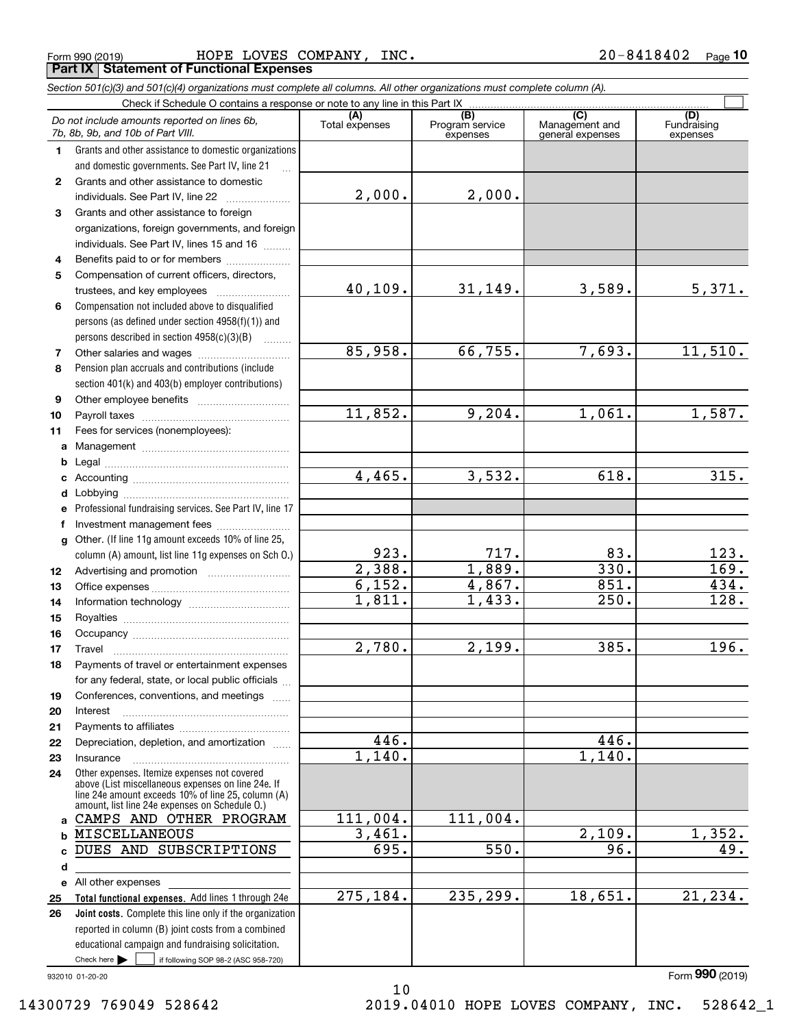Form 990 (2019) Page HOPE LOVES COMPANY, INC. 20-8418402 **Part IX Statement of Functional Expenses**

|              | Section 501(c)(3) and 501(c)(4) organizations must complete all columns. All other organizations must complete column (A).                                                                                 |                       |                                    |                                                      |                                |
|--------------|------------------------------------------------------------------------------------------------------------------------------------------------------------------------------------------------------------|-----------------------|------------------------------------|------------------------------------------------------|--------------------------------|
|              | Check if Schedule O contains a response or note to any line in this Part IX                                                                                                                                |                       |                                    |                                                      |                                |
|              | Do not include amounts reported on lines 6b,<br>7b, 8b, 9b, and 10b of Part VIII.                                                                                                                          | (A)<br>Total expenses | (B)<br>Program service<br>expenses | $\overline{C}$<br>Management and<br>general expenses | (D)<br>Fundraising<br>expenses |
| 1.           | Grants and other assistance to domestic organizations                                                                                                                                                      |                       |                                    |                                                      |                                |
|              | and domestic governments. See Part IV, line 21                                                                                                                                                             |                       |                                    |                                                      |                                |
| $\mathbf{2}$ | Grants and other assistance to domestic                                                                                                                                                                    |                       |                                    |                                                      |                                |
|              | individuals. See Part IV, line 22                                                                                                                                                                          | 2,000.                | 2,000.                             |                                                      |                                |
| 3            | Grants and other assistance to foreign                                                                                                                                                                     |                       |                                    |                                                      |                                |
|              | organizations, foreign governments, and foreign                                                                                                                                                            |                       |                                    |                                                      |                                |
|              | individuals. See Part IV, lines 15 and 16                                                                                                                                                                  |                       |                                    |                                                      |                                |
| 4            | Benefits paid to or for members                                                                                                                                                                            |                       |                                    |                                                      |                                |
| 5            | Compensation of current officers, directors,                                                                                                                                                               |                       |                                    |                                                      |                                |
|              |                                                                                                                                                                                                            | 40,109.               | 31,149.                            | 3,589.                                               | 5,371.                         |
| 6            | Compensation not included above to disqualified                                                                                                                                                            |                       |                                    |                                                      |                                |
|              | persons (as defined under section 4958(f)(1)) and                                                                                                                                                          |                       |                                    |                                                      |                                |
|              | persons described in section 4958(c)(3)(B)                                                                                                                                                                 |                       |                                    |                                                      |                                |
| 7            |                                                                                                                                                                                                            | 85,958.               | 66,755.                            | 7,693.                                               | 11,510.                        |
| 8            | Pension plan accruals and contributions (include                                                                                                                                                           |                       |                                    |                                                      |                                |
|              | section 401(k) and 403(b) employer contributions)                                                                                                                                                          |                       |                                    |                                                      |                                |
| 9            |                                                                                                                                                                                                            |                       |                                    |                                                      |                                |
| 10           |                                                                                                                                                                                                            | 11,852.               | 9,204.                             | 1,061.                                               | 1,587.                         |
| 11           | Fees for services (nonemployees):                                                                                                                                                                          |                       |                                    |                                                      |                                |
|              |                                                                                                                                                                                                            |                       |                                    |                                                      |                                |
| b            |                                                                                                                                                                                                            |                       |                                    |                                                      |                                |
|              |                                                                                                                                                                                                            | 4,465.                | 3,532.                             | 618.                                                 | 315.                           |
|              |                                                                                                                                                                                                            |                       |                                    |                                                      |                                |
|              | e Professional fundraising services. See Part IV, line 17                                                                                                                                                  |                       |                                    |                                                      |                                |
| f            | Investment management fees                                                                                                                                                                                 |                       |                                    |                                                      |                                |
|              | g Other. (If line 11g amount exceeds 10% of line 25,                                                                                                                                                       |                       |                                    |                                                      |                                |
|              | column (A) amount, list line 11g expenses on Sch O.)                                                                                                                                                       | 923.                  | 717.                               | 83.                                                  | 123.                           |
| 12           |                                                                                                                                                                                                            | 2,388.                | 1,889.                             | 330.                                                 | $\overline{169.}$              |
| 13           |                                                                                                                                                                                                            | 6,152.                | 4,867.                             | 851.                                                 | 434.                           |
| 14           |                                                                                                                                                                                                            | 1,811.                | 1,433.                             | 250.                                                 | 128.                           |
| 15           |                                                                                                                                                                                                            |                       |                                    |                                                      |                                |
| 16           |                                                                                                                                                                                                            |                       |                                    |                                                      |                                |
| 17           |                                                                                                                                                                                                            | 2,780.                | 2,199.                             | 385.                                                 | 196.                           |
| 18           | Payments of travel or entertainment expenses                                                                                                                                                               |                       |                                    |                                                      |                                |
|              | for any federal, state, or local public officials                                                                                                                                                          |                       |                                    |                                                      |                                |
| 19           | Conferences, conventions, and meetings                                                                                                                                                                     |                       |                                    |                                                      |                                |
| 20           | Interest                                                                                                                                                                                                   |                       |                                    |                                                      |                                |
| 21           |                                                                                                                                                                                                            |                       |                                    |                                                      |                                |
| 22           | Depreciation, depletion, and amortization                                                                                                                                                                  | 446.                  |                                    | 446.                                                 |                                |
| 23           | Insurance                                                                                                                                                                                                  | 1,140.                |                                    | 1,140.                                               |                                |
| 24           | Other expenses. Itemize expenses not covered<br>above (List miscellaneous expenses on line 24e. If<br>line 24e amount exceeds 10% of line 25, column (A)<br>amount, list line 24e expenses on Schedule O.) |                       |                                    |                                                      |                                |
|              | a CAMPS AND OTHER PROGRAM                                                                                                                                                                                  | 111,004.              | 111,004.                           |                                                      |                                |
|              | <b>b MISCELLANEOUS</b>                                                                                                                                                                                     | 3,461.                |                                    | 2,109.                                               | 1,352.                         |
| c            | DUES AND SUBSCRIPTIONS                                                                                                                                                                                     | 695.                  | 550.                               | 96.                                                  | 49.                            |
| d            |                                                                                                                                                                                                            |                       |                                    |                                                      |                                |
|              | e All other expenses                                                                                                                                                                                       |                       |                                    |                                                      |                                |
| 25           | Total functional expenses. Add lines 1 through 24e                                                                                                                                                         | 275,184.              | 235,299.                           | 18,651.                                              | 21, 234.                       |
| 26           | Joint costs. Complete this line only if the organization                                                                                                                                                   |                       |                                    |                                                      |                                |
|              | reported in column (B) joint costs from a combined                                                                                                                                                         |                       |                                    |                                                      |                                |
|              | educational campaign and fundraising solicitation.                                                                                                                                                         |                       |                                    |                                                      |                                |
|              | Check here $\blacktriangleright$<br>if following SOP 98-2 (ASC 958-720)                                                                                                                                    |                       |                                    |                                                      |                                |

10

932010 01-20-20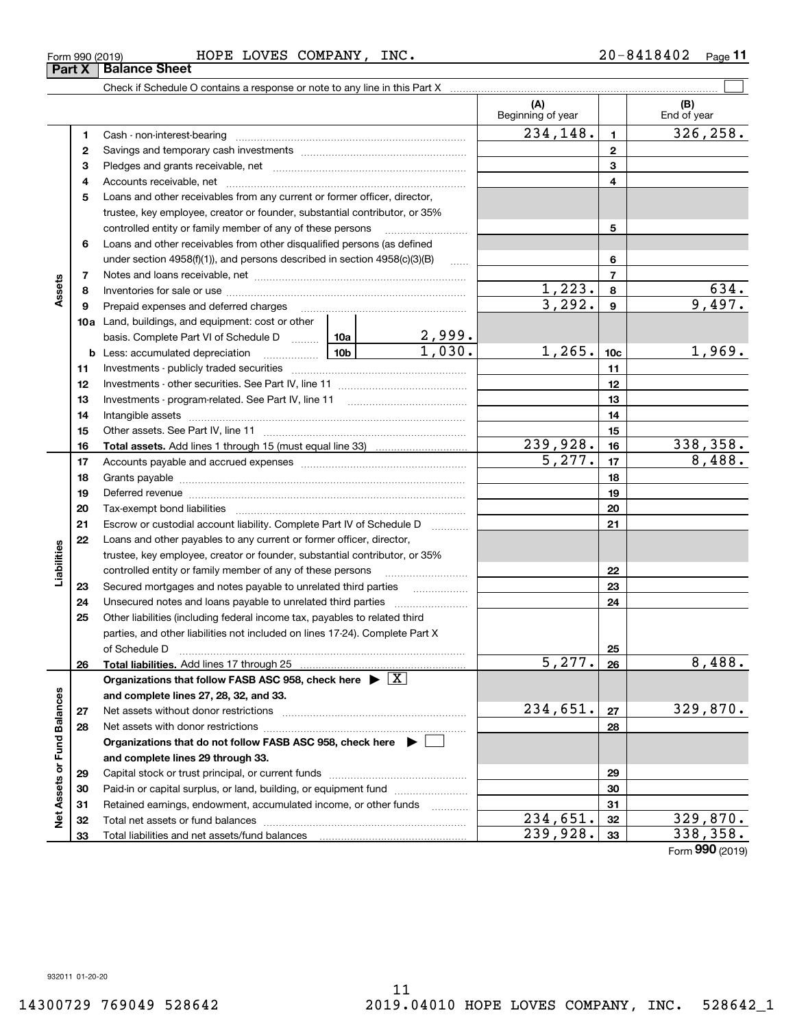## Form 990 (2019) Page HOPE LOVES COMPANY, INC. 20-8418402 **Part X Balance Sheet**

|                             |    |                                                                                                                                                                                                                               |        |                         | (A)<br>Beginning of year |                 | (B)<br>End of year |
|-----------------------------|----|-------------------------------------------------------------------------------------------------------------------------------------------------------------------------------------------------------------------------------|--------|-------------------------|--------------------------|-----------------|--------------------|
|                             | 1  | Cash - non-interest-bearing                                                                                                                                                                                                   |        |                         | 234, 148.                | $\blacksquare$  | 326, 258.          |
|                             | 2  |                                                                                                                                                                                                                               |        | $\mathbf{2}$            |                          |                 |                    |
|                             | з  |                                                                                                                                                                                                                               |        | 3                       |                          |                 |                    |
|                             | 4  |                                                                                                                                                                                                                               |        |                         | 4                        |                 |                    |
|                             | 5  | Loans and other receivables from any current or former officer, director,                                                                                                                                                     |        |                         |                          |                 |                    |
|                             |    | trustee, key employee, creator or founder, substantial contributor, or 35%                                                                                                                                                    |        |                         |                          |                 |                    |
|                             |    | controlled entity or family member of any of these persons                                                                                                                                                                    |        |                         |                          | 5               |                    |
|                             | 6  | Loans and other receivables from other disqualified persons (as defined                                                                                                                                                       |        |                         |                          |                 |                    |
|                             |    | under section 4958(f)(1)), and persons described in section 4958(c)(3)(B)                                                                                                                                                     |        | $\ldots$                |                          | 6               |                    |
|                             | 7  |                                                                                                                                                                                                                               |        |                         |                          | $\overline{7}$  |                    |
| Assets                      | 8  |                                                                                                                                                                                                                               |        |                         |                          | 8               | 634.               |
|                             | 9  | Prepaid expenses and deferred charges                                                                                                                                                                                         |        |                         | $\frac{1,223}{3,292}$    | 9               | 9,497.             |
|                             |    | <b>10a</b> Land, buildings, and equipment: cost or other                                                                                                                                                                      |        |                         |                          |                 |                    |
|                             |    | basis. Complete Part VI of Schedule D  10a                                                                                                                                                                                    |        |                         |                          |                 |                    |
|                             |    | $\frac{10b}{2}$<br><b>b</b> Less: accumulated depreciation                                                                                                                                                                    |        | $\frac{2,999}{1,030}$ . | 1,265.                   | 10 <sub>c</sub> | 1,969.             |
|                             | 11 |                                                                                                                                                                                                                               |        |                         |                          | 11              |                    |
|                             | 12 |                                                                                                                                                                                                                               |        |                         |                          | 12              |                    |
|                             | 13 |                                                                                                                                                                                                                               |        |                         |                          | 13              |                    |
|                             | 14 |                                                                                                                                                                                                                               |        |                         |                          | 14              |                    |
|                             | 15 |                                                                                                                                                                                                                               |        | 15                      |                          |                 |                    |
|                             | 16 |                                                                                                                                                                                                                               |        |                         | 239,928.                 | 16              | 338,358.           |
|                             | 17 |                                                                                                                                                                                                                               | 5,277. | 17                      | 8,488.                   |                 |                    |
|                             | 18 |                                                                                                                                                                                                                               |        |                         |                          | 18              |                    |
|                             | 19 | Deferred revenue manual contracts and contracts and contracts are contracted and contracts are contracted and contract are contracted and contract are contracted and contract are contracted and contract are contracted and |        | 19                      |                          |                 |                    |
|                             | 20 |                                                                                                                                                                                                                               |        |                         |                          | 20              |                    |
|                             | 21 | Escrow or custodial account liability. Complete Part IV of Schedule D                                                                                                                                                         |        | 1.1.1.1.1.1.1.1.1.1     |                          | 21              |                    |
|                             | 22 | Loans and other payables to any current or former officer, director,                                                                                                                                                          |        |                         |                          |                 |                    |
| abilities                   |    | trustee, key employee, creator or founder, substantial contributor, or 35%                                                                                                                                                    |        |                         |                          |                 |                    |
|                             |    | controlled entity or family member of any of these persons                                                                                                                                                                    |        |                         |                          | 22              |                    |
|                             | 23 | Secured mortgages and notes payable to unrelated third parties                                                                                                                                                                |        |                         |                          | 23              |                    |
|                             | 24 | Unsecured notes and loans payable to unrelated third parties                                                                                                                                                                  |        |                         |                          | 24              |                    |
|                             | 25 | Other liabilities (including federal income tax, payables to related third                                                                                                                                                    |        |                         |                          |                 |                    |
|                             |    | parties, and other liabilities not included on lines 17-24). Complete Part X                                                                                                                                                  |        |                         |                          |                 |                    |
|                             |    | of Schedule D                                                                                                                                                                                                                 |        |                         |                          | 25              |                    |
|                             | 26 |                                                                                                                                                                                                                               |        |                         | 5, 277.                  | 26              | 8,488.             |
|                             |    | Organizations that follow FASB ASC 958, check here $\blacktriangleright \boxed{X}$                                                                                                                                            |        |                         |                          |                 |                    |
|                             |    | and complete lines 27, 28, 32, and 33.                                                                                                                                                                                        |        |                         |                          |                 |                    |
|                             | 27 |                                                                                                                                                                                                                               |        |                         | 234,651.                 | 27              | 329,870.           |
|                             | 28 |                                                                                                                                                                                                                               |        |                         |                          | 28              |                    |
|                             |    | Organizations that do not follow FASB ASC 958, check here $\blacktriangleright$                                                                                                                                               |        |                         |                          |                 |                    |
|                             |    | and complete lines 29 through 33.                                                                                                                                                                                             |        |                         |                          |                 |                    |
| Net Assets or Fund Balances | 29 |                                                                                                                                                                                                                               |        |                         |                          | 29              |                    |
|                             | 30 | Paid-in or capital surplus, or land, building, or equipment fund                                                                                                                                                              |        |                         |                          | 30              |                    |
|                             | 31 | Retained earnings, endowment, accumulated income, or other funds                                                                                                                                                              |        |                         |                          | 31              |                    |
|                             | 32 |                                                                                                                                                                                                                               |        |                         | $\overline{234}$ , 651.  | 32              | 329,870.           |
|                             | 33 |                                                                                                                                                                                                                               |        |                         | $\overline{239,928.}$    | 33              | 338,358.           |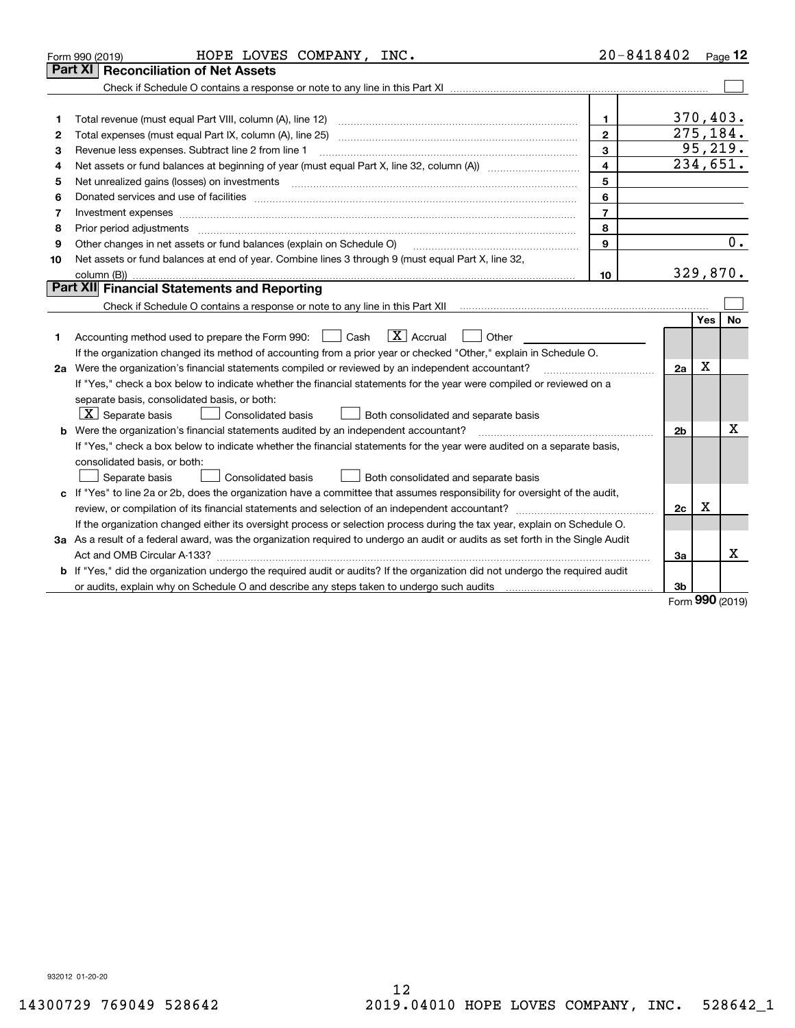|    | HOPE LOVES COMPANY, INC.<br>Form 990 (2019)                                                                                                                                                                                    | $20 - 8418402$          |                |            | Page 12  |
|----|--------------------------------------------------------------------------------------------------------------------------------------------------------------------------------------------------------------------------------|-------------------------|----------------|------------|----------|
|    | <b>Reconciliation of Net Assets</b><br>Part XI                                                                                                                                                                                 |                         |                |            |          |
|    |                                                                                                                                                                                                                                |                         |                |            |          |
|    |                                                                                                                                                                                                                                |                         |                |            |          |
| 1  | Total revenue (must equal Part VIII, column (A), line 12)                                                                                                                                                                      | $\mathbf{1}$            | 370,403.       |            |          |
| 2  | Total expenses (must equal Part IX, column (A), line 25)                                                                                                                                                                       | $\mathbf{2}$            | 275,184.       |            |          |
| 3  | Revenue less expenses. Subtract line 2 from line 1                                                                                                                                                                             | 3                       |                |            | 95, 219. |
| 4  |                                                                                                                                                                                                                                | $\overline{\mathbf{4}}$ | 234,651.       |            |          |
| 5  | Net unrealized gains (losses) on investments                                                                                                                                                                                   | 5                       |                |            |          |
| 6  | Donated services and use of facilities [111] Donated and the service of facilities [11] Donated services and use of facilities [11] Donated and the service of the service of the service of the service of the service of the | 6                       |                |            |          |
| 7  | Investment expenses www.communication.communication.com/www.communication.com/www.communication.com                                                                                                                            | $\overline{7}$          |                |            |          |
| 8  | Prior period adjustments                                                                                                                                                                                                       | 8                       |                |            |          |
| 9  | Other changes in net assets or fund balances (explain on Schedule O)                                                                                                                                                           | $\mathbf{Q}$            |                |            | 0.       |
| 10 | Net assets or fund balances at end of year. Combine lines 3 through 9 (must equal Part X, line 32,                                                                                                                             |                         |                |            |          |
|    | column (B)).                                                                                                                                                                                                                   | 10                      | 329,870.       |            |          |
|    | Part XII Financial Statements and Reporting                                                                                                                                                                                    |                         |                |            |          |
|    |                                                                                                                                                                                                                                |                         |                |            |          |
|    |                                                                                                                                                                                                                                |                         |                | <b>Yes</b> | No       |
| 1  | $ X $ Accrual<br>Accounting method used to prepare the Form 990: <u>II</u> Cash<br>Other                                                                                                                                       |                         |                |            |          |
|    | If the organization changed its method of accounting from a prior year or checked "Other," explain in Schedule O.                                                                                                              |                         |                |            |          |
|    | 2a Were the organization's financial statements compiled or reviewed by an independent accountant?                                                                                                                             |                         | 2a             | х          |          |
|    | If "Yes," check a box below to indicate whether the financial statements for the year were compiled or reviewed on a                                                                                                           |                         |                |            |          |
|    | separate basis, consolidated basis, or both:                                                                                                                                                                                   |                         |                |            |          |
|    | $X$ Separate basis<br><b>Consolidated basis</b><br>Both consolidated and separate basis                                                                                                                                        |                         |                |            |          |
|    | <b>b</b> Were the organization's financial statements audited by an independent accountant?                                                                                                                                    |                         | 2 <sub>b</sub> |            | x        |
|    | If "Yes," check a box below to indicate whether the financial statements for the year were audited on a separate basis,                                                                                                        |                         |                |            |          |
|    | consolidated basis, or both:                                                                                                                                                                                                   |                         |                |            |          |
|    | Separate basis<br>Consolidated basis<br>Both consolidated and separate basis                                                                                                                                                   |                         |                |            |          |
|    | c If "Yes" to line 2a or 2b, does the organization have a committee that assumes responsibility for oversight of the audit,                                                                                                    |                         |                |            |          |
|    |                                                                                                                                                                                                                                |                         | 2c             | x          |          |
|    | If the organization changed either its oversight process or selection process during the tax year, explain on Schedule O.                                                                                                      |                         |                |            |          |
|    | 3a As a result of a federal award, was the organization required to undergo an audit or audits as set forth in the Single Audit                                                                                                |                         |                |            |          |
|    |                                                                                                                                                                                                                                |                         | За             |            | X        |
|    | b If "Yes," did the organization undergo the required audit or audits? If the organization did not undergo the required audit                                                                                                  |                         |                |            |          |
|    |                                                                                                                                                                                                                                |                         | 3b             | מהה        |          |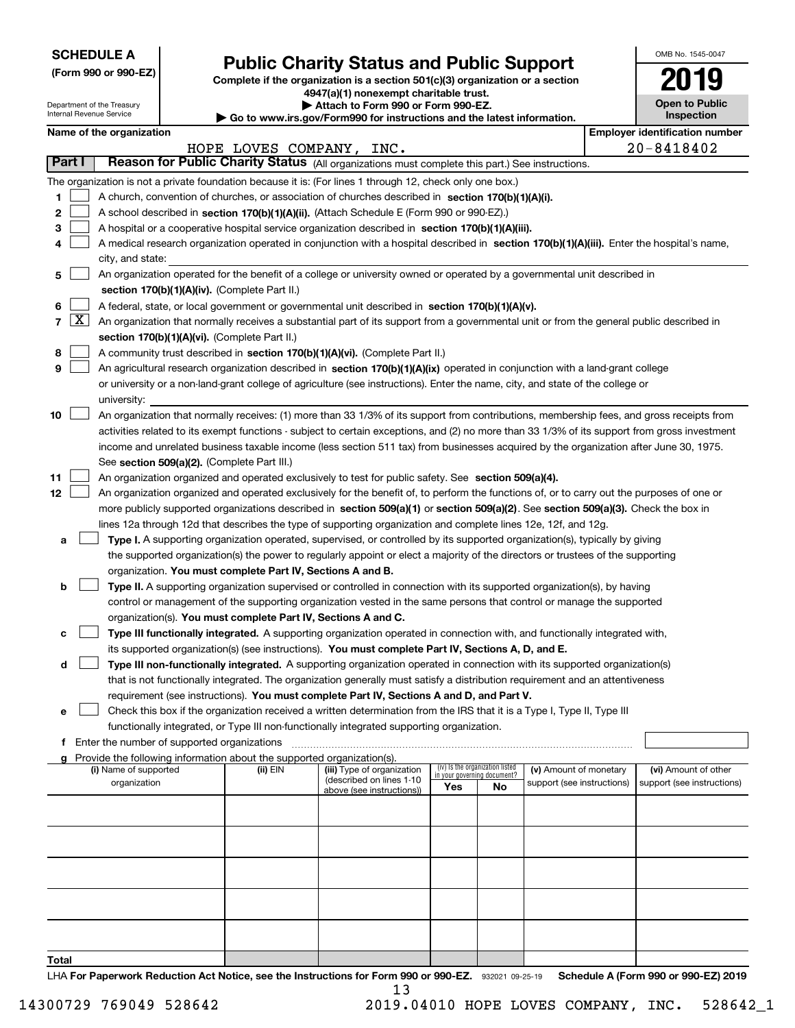| <b>SCHEDULE A</b> |
|-------------------|
|-------------------|

Department of the Treasury Internal Revenue Service

**(Form 990 or 990-EZ)**

# **Public Charity Status and Public Support**

**Complete if the organization is a section 501(c)(3) organization or a section 4947(a)(1) nonexempt charitable trust. | Attach to Form 990 or Form 990-EZ.** 

| ▶ Go to www.irs.gov/Form990 for instructions and the latest information |
|-------------------------------------------------------------------------|

| OMB No. 1545-0047                   |
|-------------------------------------|
|                                     |
| <b>Open to Public</b><br>Inspection |

|        |                    | Name of the organization                                                                                                                                                              |                          |                                                       |     |                                                                |                            |  | <b>Employer identification number</b> |  |
|--------|--------------------|---------------------------------------------------------------------------------------------------------------------------------------------------------------------------------------|--------------------------|-------------------------------------------------------|-----|----------------------------------------------------------------|----------------------------|--|---------------------------------------|--|
|        |                    |                                                                                                                                                                                       | HOPE LOVES COMPANY, INC. |                                                       |     |                                                                |                            |  | 20-8418402                            |  |
| Part I |                    | Reason for Public Charity Status (All organizations must complete this part.) See instructions.                                                                                       |                          |                                                       |     |                                                                |                            |  |                                       |  |
|        |                    | The organization is not a private foundation because it is: (For lines 1 through 12, check only one box.)                                                                             |                          |                                                       |     |                                                                |                            |  |                                       |  |
| 1      |                    | A church, convention of churches, or association of churches described in section 170(b)(1)(A)(i).                                                                                    |                          |                                                       |     |                                                                |                            |  |                                       |  |
| 2      |                    | A school described in section 170(b)(1)(A)(ii). (Attach Schedule E (Form 990 or 990-EZ).)                                                                                             |                          |                                                       |     |                                                                |                            |  |                                       |  |
| з      |                    | A hospital or a cooperative hospital service organization described in section 170(b)(1)(A)(iii).                                                                                     |                          |                                                       |     |                                                                |                            |  |                                       |  |
|        |                    | A medical research organization operated in conjunction with a hospital described in section 170(b)(1)(A)(iii). Enter the hospital's name,                                            |                          |                                                       |     |                                                                |                            |  |                                       |  |
|        |                    | city, and state:                                                                                                                                                                      |                          |                                                       |     |                                                                |                            |  |                                       |  |
| 5      |                    | An organization operated for the benefit of a college or university owned or operated by a governmental unit described in                                                             |                          |                                                       |     |                                                                |                            |  |                                       |  |
|        |                    | section 170(b)(1)(A)(iv). (Complete Part II.)                                                                                                                                         |                          |                                                       |     |                                                                |                            |  |                                       |  |
| 6      |                    | A federal, state, or local government or governmental unit described in section 170(b)(1)(A)(v).                                                                                      |                          |                                                       |     |                                                                |                            |  |                                       |  |
| 7      | $\boxed{\text{X}}$ | An organization that normally receives a substantial part of its support from a governmental unit or from the general public described in                                             |                          |                                                       |     |                                                                |                            |  |                                       |  |
|        |                    | section 170(b)(1)(A)(vi). (Complete Part II.)                                                                                                                                         |                          |                                                       |     |                                                                |                            |  |                                       |  |
| 8      |                    | A community trust described in section 170(b)(1)(A)(vi). (Complete Part II.)                                                                                                          |                          |                                                       |     |                                                                |                            |  |                                       |  |
| 9      |                    | An agricultural research organization described in section 170(b)(1)(A)(ix) operated in conjunction with a land-grant college                                                         |                          |                                                       |     |                                                                |                            |  |                                       |  |
|        |                    | or university or a non-land-grant college of agriculture (see instructions). Enter the name, city, and state of the college or                                                        |                          |                                                       |     |                                                                |                            |  |                                       |  |
|        |                    | university:                                                                                                                                                                           |                          |                                                       |     |                                                                |                            |  |                                       |  |
| 10     |                    | An organization that normally receives: (1) more than 33 1/3% of its support from contributions, membership fees, and gross receipts from                                             |                          |                                                       |     |                                                                |                            |  |                                       |  |
|        |                    | activities related to its exempt functions - subject to certain exceptions, and (2) no more than 33 1/3% of its support from gross investment                                         |                          |                                                       |     |                                                                |                            |  |                                       |  |
|        |                    | income and unrelated business taxable income (less section 511 tax) from businesses acquired by the organization after June 30, 1975.                                                 |                          |                                                       |     |                                                                |                            |  |                                       |  |
|        |                    | See section 509(a)(2). (Complete Part III.)                                                                                                                                           |                          |                                                       |     |                                                                |                            |  |                                       |  |
| 11     |                    | An organization organized and operated exclusively to test for public safety. See section 509(a)(4).                                                                                  |                          |                                                       |     |                                                                |                            |  |                                       |  |
| 12     |                    | An organization organized and operated exclusively for the benefit of, to perform the functions of, or to carry out the purposes of one or                                            |                          |                                                       |     |                                                                |                            |  |                                       |  |
|        |                    | more publicly supported organizations described in section 509(a)(1) or section 509(a)(2). See section 509(a)(3). Check the box in                                                    |                          |                                                       |     |                                                                |                            |  |                                       |  |
|        |                    | lines 12a through 12d that describes the type of supporting organization and complete lines 12e, 12f, and 12g.                                                                        |                          |                                                       |     |                                                                |                            |  |                                       |  |
| а      |                    | Type I. A supporting organization operated, supervised, or controlled by its supported organization(s), typically by giving                                                           |                          |                                                       |     |                                                                |                            |  |                                       |  |
|        |                    | the supported organization(s) the power to regularly appoint or elect a majority of the directors or trustees of the supporting                                                       |                          |                                                       |     |                                                                |                            |  |                                       |  |
|        |                    | organization. You must complete Part IV, Sections A and B.                                                                                                                            |                          |                                                       |     |                                                                |                            |  |                                       |  |
| b      |                    | Type II. A supporting organization supervised or controlled in connection with its supported organization(s), by having                                                               |                          |                                                       |     |                                                                |                            |  |                                       |  |
|        |                    | control or management of the supporting organization vested in the same persons that control or manage the supported<br>organization(s). You must complete Part IV, Sections A and C. |                          |                                                       |     |                                                                |                            |  |                                       |  |
| с      |                    | Type III functionally integrated. A supporting organization operated in connection with, and functionally integrated with,                                                            |                          |                                                       |     |                                                                |                            |  |                                       |  |
|        |                    | its supported organization(s) (see instructions). You must complete Part IV, Sections A, D, and E.                                                                                    |                          |                                                       |     |                                                                |                            |  |                                       |  |
| d      |                    | Type III non-functionally integrated. A supporting organization operated in connection with its supported organization(s)                                                             |                          |                                                       |     |                                                                |                            |  |                                       |  |
|        |                    | that is not functionally integrated. The organization generally must satisfy a distribution requirement and an attentiveness                                                          |                          |                                                       |     |                                                                |                            |  |                                       |  |
|        |                    | requirement (see instructions). You must complete Part IV, Sections A and D, and Part V.                                                                                              |                          |                                                       |     |                                                                |                            |  |                                       |  |
| е      |                    | Check this box if the organization received a written determination from the IRS that it is a Type I, Type II, Type III                                                               |                          |                                                       |     |                                                                |                            |  |                                       |  |
|        |                    | functionally integrated, or Type III non-functionally integrated supporting organization.                                                                                             |                          |                                                       |     |                                                                |                            |  |                                       |  |
|        |                    | f Enter the number of supported organizations                                                                                                                                         |                          |                                                       |     |                                                                |                            |  |                                       |  |
|        |                    | Provide the following information about the supported organization(s).                                                                                                                |                          |                                                       |     |                                                                |                            |  |                                       |  |
|        |                    | (i) Name of supported                                                                                                                                                                 | $(ii)$ EIN               | (iii) Type of organization                            |     | (iv) Is the organization listed<br>in your governing document? | (v) Amount of monetary     |  | (vi) Amount of other                  |  |
|        |                    | organization                                                                                                                                                                          |                          | (described on lines 1-10<br>above (see instructions)) | Yes | No                                                             | support (see instructions) |  | support (see instructions)            |  |
|        |                    |                                                                                                                                                                                       |                          |                                                       |     |                                                                |                            |  |                                       |  |
|        |                    |                                                                                                                                                                                       |                          |                                                       |     |                                                                |                            |  |                                       |  |
|        |                    |                                                                                                                                                                                       |                          |                                                       |     |                                                                |                            |  |                                       |  |
|        |                    |                                                                                                                                                                                       |                          |                                                       |     |                                                                |                            |  |                                       |  |
|        |                    |                                                                                                                                                                                       |                          |                                                       |     |                                                                |                            |  |                                       |  |
|        |                    |                                                                                                                                                                                       |                          |                                                       |     |                                                                |                            |  |                                       |  |
|        |                    |                                                                                                                                                                                       |                          |                                                       |     |                                                                |                            |  |                                       |  |
|        |                    |                                                                                                                                                                                       |                          |                                                       |     |                                                                |                            |  |                                       |  |
|        |                    |                                                                                                                                                                                       |                          |                                                       |     |                                                                |                            |  |                                       |  |
|        |                    |                                                                                                                                                                                       |                          |                                                       |     |                                                                |                            |  |                                       |  |
| Total  |                    |                                                                                                                                                                                       |                          |                                                       |     |                                                                |                            |  |                                       |  |

LHA For Paperwork Reduction Act Notice, see the Instructions for Form 990 or 990-EZ. 932021 09-25-19 Schedule A (Form 990 or 990-EZ) 2019 13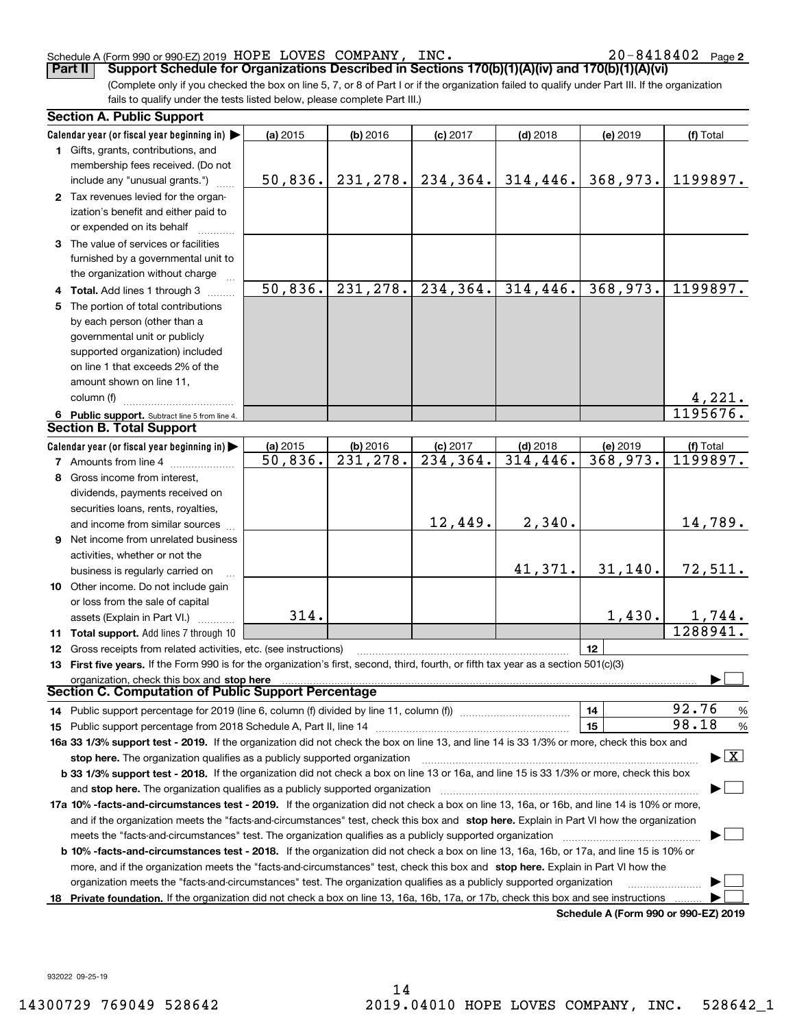### Schedule A (Form 990 or 990-EZ) 2019 HOPE LOVES COMPANY,INC。 2 U-84I 84U2 Page HOPE LOVES COMPANY, INC. 20-8418402

**2**

(Complete only if you checked the box on line 5, 7, or 8 of Part I or if the organization failed to qualify under Part III. If the organization fails to qualify under the tests listed below, please complete Part III.) **Part II Support Schedule for Organizations Described in Sections 170(b)(1)(A)(iv) and 170(b)(1)(A)(vi)**

| <b>Section A. Public Support</b>                                                                                                               |          |                                    |                                      |                         |                                      |                                          |
|------------------------------------------------------------------------------------------------------------------------------------------------|----------|------------------------------------|--------------------------------------|-------------------------|--------------------------------------|------------------------------------------|
| Calendar year (or fiscal year beginning in)                                                                                                    | (a) 2015 | $(b)$ 2016                         | $(c)$ 2017                           | $(d)$ 2018              | (e) 2019                             | (f) Total                                |
| 1 Gifts, grants, contributions, and                                                                                                            |          |                                    |                                      |                         |                                      |                                          |
| membership fees received. (Do not                                                                                                              |          |                                    |                                      |                         |                                      |                                          |
| include any "unusual grants.")                                                                                                                 | 50,836.  | 231, 278.                          | 234,364.                             | 314, 446.               | 368,973.                             | 1199897.                                 |
| 2 Tax revenues levied for the organ-                                                                                                           |          |                                    |                                      |                         |                                      |                                          |
| ization's benefit and either paid to                                                                                                           |          |                                    |                                      |                         |                                      |                                          |
| or expended on its behalf                                                                                                                      |          |                                    |                                      |                         |                                      |                                          |
| 3 The value of services or facilities                                                                                                          |          |                                    |                                      |                         |                                      |                                          |
| furnished by a governmental unit to                                                                                                            |          |                                    |                                      |                         |                                      |                                          |
| the organization without charge                                                                                                                |          |                                    |                                      |                         |                                      |                                          |
| 4 Total. Add lines 1 through 3                                                                                                                 | 50,836.  | 231,278.                           | 234, 364.                            | 314,446.                | 368,973.                             | 1199897.                                 |
| 5 The portion of total contributions                                                                                                           |          |                                    |                                      |                         |                                      |                                          |
| by each person (other than a                                                                                                                   |          |                                    |                                      |                         |                                      |                                          |
| governmental unit or publicly                                                                                                                  |          |                                    |                                      |                         |                                      |                                          |
| supported organization) included                                                                                                               |          |                                    |                                      |                         |                                      |                                          |
| on line 1 that exceeds 2% of the                                                                                                               |          |                                    |                                      |                         |                                      |                                          |
| amount shown on line 11,                                                                                                                       |          |                                    |                                      |                         |                                      |                                          |
| column (f)                                                                                                                                     |          |                                    |                                      |                         |                                      |                                          |
|                                                                                                                                                |          |                                    |                                      |                         |                                      | $\frac{4,221}{1195676}$                  |
| 6 Public support. Subtract line 5 from line 4.<br><b>Section B. Total Support</b>                                                              |          |                                    |                                      |                         |                                      |                                          |
|                                                                                                                                                |          |                                    |                                      |                         |                                      |                                          |
| Calendar year (or fiscal year beginning in)                                                                                                    | (a) 2015 | (b) 2016<br>$\overline{231,278}$ . | $(c)$ 2017<br>$\overline{234,364}$ . | $(d)$ 2018<br>314, 446. | (e) 2019<br>368,973.                 | (f) Total<br>1199897.                    |
| 7 Amounts from line 4                                                                                                                          | 50,836.  |                                    |                                      |                         |                                      |                                          |
| 8 Gross income from interest,                                                                                                                  |          |                                    |                                      |                         |                                      |                                          |
| dividends, payments received on                                                                                                                |          |                                    |                                      |                         |                                      |                                          |
| securities loans, rents, royalties,                                                                                                            |          |                                    |                                      |                         |                                      |                                          |
| and income from similar sources                                                                                                                |          |                                    | 12,449.                              | 2,340.                  |                                      | 14,789.                                  |
| 9 Net income from unrelated business                                                                                                           |          |                                    |                                      |                         |                                      |                                          |
| activities, whether or not the                                                                                                                 |          |                                    |                                      |                         |                                      |                                          |
| business is regularly carried on                                                                                                               |          |                                    |                                      | 41,371.                 | 31,140.                              | 72,511.                                  |
| 10 Other income. Do not include gain                                                                                                           |          |                                    |                                      |                         |                                      |                                          |
| or loss from the sale of capital                                                                                                               |          |                                    |                                      |                         |                                      |                                          |
| assets (Explain in Part VI.)                                                                                                                   | 314.     |                                    |                                      |                         | 1,430.                               | 1,744.                                   |
| 11 Total support. Add lines 7 through 10                                                                                                       |          |                                    |                                      |                         |                                      | 1288941.                                 |
| <b>12</b> Gross receipts from related activities, etc. (see instructions)                                                                      |          |                                    |                                      |                         | 12                                   |                                          |
| 13 First five years. If the Form 990 is for the organization's first, second, third, fourth, or fifth tax year as a section 501(c)(3)          |          |                                    |                                      |                         |                                      |                                          |
| organization, check this box and stop here                                                                                                     |          |                                    |                                      |                         |                                      |                                          |
| Section C. Computation of Public Support Percentage                                                                                            |          |                                    |                                      |                         |                                      |                                          |
| 14 Public support percentage for 2019 (line 6, column (f) divided by line 11, column (f) <i>mummumumum</i>                                     |          |                                    |                                      |                         | 14                                   | 92.76<br>%                               |
|                                                                                                                                                |          |                                    |                                      |                         | 15                                   | 98.18<br>$\%$                            |
| 16a 33 1/3% support test - 2019. If the organization did not check the box on line 13, and line 14 is 33 1/3% or more, check this box and      |          |                                    |                                      |                         |                                      |                                          |
| stop here. The organization qualifies as a publicly supported organization                                                                     |          |                                    |                                      |                         |                                      | $\blacktriangleright$ $\boxed{\text{X}}$ |
| b 33 1/3% support test - 2018. If the organization did not check a box on line 13 or 16a, and line 15 is 33 1/3% or more, check this box       |          |                                    |                                      |                         |                                      |                                          |
| and stop here. The organization qualifies as a publicly supported organization                                                                 |          |                                    |                                      |                         |                                      |                                          |
| 17a 10% -facts-and-circumstances test - 2019. If the organization did not check a box on line 13, 16a, or 16b, and line 14 is 10% or more,     |          |                                    |                                      |                         |                                      |                                          |
| and if the organization meets the "facts-and-circumstances" test, check this box and stop here. Explain in Part VI how the organization        |          |                                    |                                      |                         |                                      |                                          |
| meets the "facts-and-circumstances" test. The organization qualifies as a publicly supported organization <i>marroummumumum</i>                |          |                                    |                                      |                         |                                      |                                          |
| <b>b 10% -facts-and-circumstances test - 2018.</b> If the organization did not check a box on line 13, 16a, 16b, or 17a, and line 15 is 10% or |          |                                    |                                      |                         |                                      |                                          |
| more, and if the organization meets the "facts-and-circumstances" test, check this box and stop here. Explain in Part VI how the               |          |                                    |                                      |                         |                                      |                                          |
| organization meets the "facts-and-circumstances" test. The organization qualifies as a publicly supported organization                         |          |                                    |                                      |                         |                                      |                                          |
| 18 Private foundation. If the organization did not check a box on line 13, 16a, 16b, 17a, or 17b, check this box and see instructions          |          |                                    |                                      |                         |                                      |                                          |
|                                                                                                                                                |          |                                    |                                      |                         | Schodule A (Form 000 or 000 EZ) 2010 |                                          |

**Schedule A (Form 990 or 990-EZ) 2019**

932022 09-25-19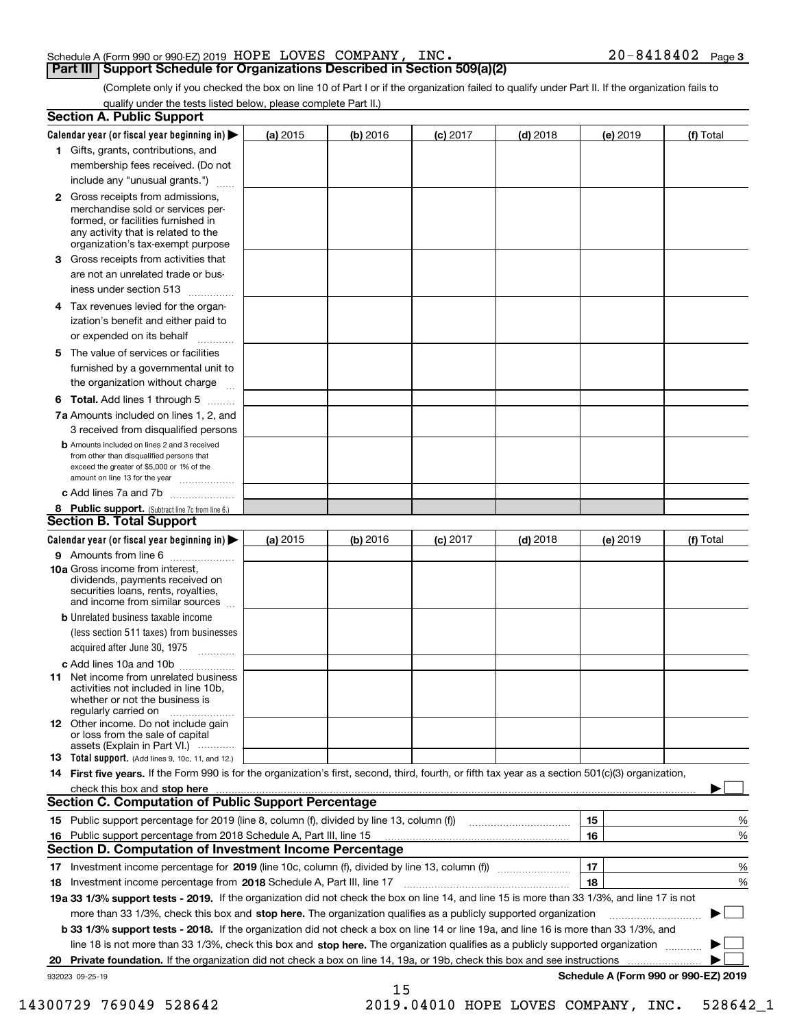### Schedule A (Form 990 or 990-EZ) 2019 Page HOPE LOVES COMPANY, INC. 20-8418402 **Part III Support Schedule for Organizations Described in Section 509(a)(2)**

(Complete only if you checked the box on line 10 of Part I or if the organization failed to qualify under Part II. If the organization fails to qualify under the tests listed below, please complete Part II.)

|    | <b>Section A. Public Support</b>                                                                                                                                                                |          |          |                 |            |          |                                      |
|----|-------------------------------------------------------------------------------------------------------------------------------------------------------------------------------------------------|----------|----------|-----------------|------------|----------|--------------------------------------|
|    | Calendar year (or fiscal year beginning in) $\blacktriangleright$                                                                                                                               | (a) 2015 | (b) 2016 | <b>(c)</b> 2017 | $(d)$ 2018 | (e) 2019 | (f) Total                            |
|    | 1 Gifts, grants, contributions, and                                                                                                                                                             |          |          |                 |            |          |                                      |
|    | membership fees received. (Do not                                                                                                                                                               |          |          |                 |            |          |                                      |
|    | include any "unusual grants.")                                                                                                                                                                  |          |          |                 |            |          |                                      |
|    | <b>2</b> Gross receipts from admissions,<br>merchandise sold or services per-<br>formed, or facilities furnished in<br>any activity that is related to the<br>organization's tax-exempt purpose |          |          |                 |            |          |                                      |
|    | 3 Gross receipts from activities that<br>are not an unrelated trade or bus-                                                                                                                     |          |          |                 |            |          |                                      |
|    | iness under section 513                                                                                                                                                                         |          |          |                 |            |          |                                      |
|    | 4 Tax revenues levied for the organ-<br>ization's benefit and either paid to<br>or expended on its behalf                                                                                       |          |          |                 |            |          |                                      |
|    | 5 The value of services or facilities                                                                                                                                                           |          |          |                 |            |          |                                      |
|    | furnished by a governmental unit to<br>the organization without charge                                                                                                                          |          |          |                 |            |          |                                      |
|    | <b>6 Total.</b> Add lines 1 through 5                                                                                                                                                           |          |          |                 |            |          |                                      |
|    | 7a Amounts included on lines 1, 2, and<br>3 received from disqualified persons                                                                                                                  |          |          |                 |            |          |                                      |
|    | <b>b</b> Amounts included on lines 2 and 3 received<br>from other than disqualified persons that<br>exceed the greater of \$5,000 or 1% of the<br>amount on line 13 for the year                |          |          |                 |            |          |                                      |
|    | c Add lines 7a and 7b                                                                                                                                                                           |          |          |                 |            |          |                                      |
|    | 8 Public support. (Subtract line 7c from line 6.)                                                                                                                                               |          |          |                 |            |          |                                      |
|    | <b>Section B. Total Support</b>                                                                                                                                                                 |          |          |                 |            |          |                                      |
|    | Calendar year (or fiscal year beginning in)                                                                                                                                                     | (a) 2015 | (b) 2016 | $(c)$ 2017      | $(d)$ 2018 | (e) 2019 | (f) Total                            |
|    | 9 Amounts from line 6                                                                                                                                                                           |          |          |                 |            |          |                                      |
|    | <b>10a</b> Gross income from interest,<br>dividends, payments received on<br>securities loans, rents, royalties,<br>and income from similar sources                                             |          |          |                 |            |          |                                      |
|    | <b>b</b> Unrelated business taxable income<br>(less section 511 taxes) from businesses<br>acquired after June 30, 1975                                                                          |          |          |                 |            |          |                                      |
|    | c Add lines 10a and 10b                                                                                                                                                                         |          |          |                 |            |          |                                      |
|    | 11 Net income from unrelated business<br>activities not included in line 10b,<br>whether or not the business is<br>regularly carried on                                                         |          |          |                 |            |          |                                      |
|    | <b>12</b> Other income. Do not include gain<br>or loss from the sale of capital<br>assets (Explain in Part VI.)                                                                                 |          |          |                 |            |          |                                      |
|    | 13 Total support. (Add lines 9, 10c, 11, and 12.)                                                                                                                                               |          |          |                 |            |          |                                      |
|    | 14 First five years. If the Form 990 is for the organization's first, second, third, fourth, or fifth tax year as a section 501(c)(3) organization,                                             |          |          |                 |            |          |                                      |
|    | check this box and stop here measurements and stop here are constructed and stop here are all the state of the                                                                                  |          |          |                 |            |          |                                      |
|    | <b>Section C. Computation of Public Support Percentage</b>                                                                                                                                      |          |          |                 |            |          |                                      |
|    |                                                                                                                                                                                                 |          |          |                 |            | 15       | %                                    |
| 16 | Public support percentage from 2018 Schedule A, Part III, line 15                                                                                                                               |          |          |                 |            | 16       | %                                    |
|    | <b>Section D. Computation of Investment Income Percentage</b>                                                                                                                                   |          |          |                 |            |          |                                      |
|    | 17 Investment income percentage for 2019 (line 10c, column (f), divided by line 13, column (f))                                                                                                 |          |          |                 |            | 17       | %                                    |
|    | 18 Investment income percentage from 2018 Schedule A, Part III, line 17                                                                                                                         |          |          |                 |            | 18       | %                                    |
|    | 19a 33 1/3% support tests - 2019. If the organization did not check the box on line 14, and line 15 is more than 33 1/3%, and line 17 is not                                                    |          |          |                 |            |          |                                      |
|    | more than 33 1/3%, check this box and stop here. The organization qualifies as a publicly supported organization                                                                                |          |          |                 |            |          |                                      |
|    | b 33 1/3% support tests - 2018. If the organization did not check a box on line 14 or line 19a, and line 16 is more than 33 1/3%, and                                                           |          |          |                 |            |          |                                      |
|    | line 18 is not more than 33 1/3%, check this box and stop here. The organization qualifies as a publicly supported organization                                                                 |          |          |                 |            |          |                                      |
| 20 | Private foundation. If the organization did not check a box on line 14, 19a, or 19b, check this box and see instructions                                                                        |          |          |                 |            |          | .                                    |
|    | 932023 09-25-19                                                                                                                                                                                 |          | 15       |                 |            |          | Schedule A (Form 990 or 990-EZ) 2019 |

 <sup>14300729 769049 528642 2019.04010</sup> HOPE LOVES COMPANY, INC. 528642\_1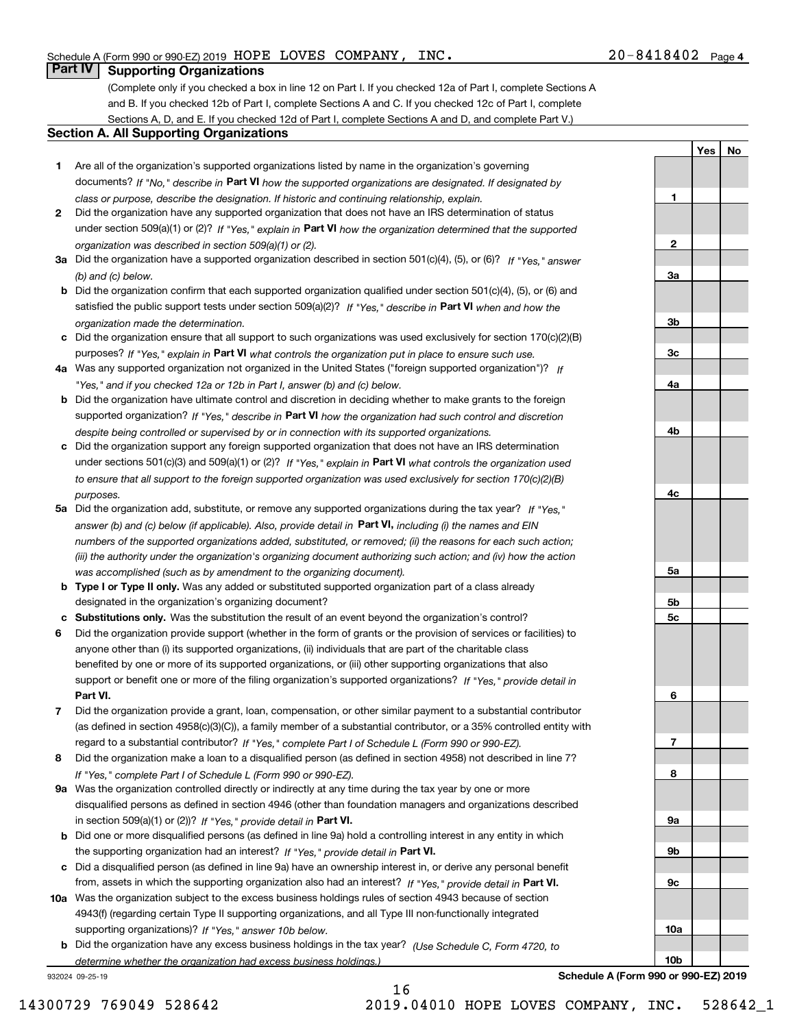**1**

**2**

**3a**

**3b**

**3c**

**4a**

**4b**

**4c**

**5a**

**5b5c**

**6**

**7**

**8**

**9a**

**9b**

**9c**

**YesNo**

## **Part IV Supporting Organizations**

(Complete only if you checked a box in line 12 on Part I. If you checked 12a of Part I, complete Sections A and B. If you checked 12b of Part I, complete Sections A and C. If you checked 12c of Part I, complete Sections A, D, and E. If you checked 12d of Part I, complete Sections A and D, and complete Part V.)

## **Section A. All Supporting Organizations**

- **1** Are all of the organization's supported organizations listed by name in the organization's governing documents? If "No," describe in **Part VI** how the supported organizations are designated. If designated by *class or purpose, describe the designation. If historic and continuing relationship, explain.*
- **2** Did the organization have any supported organization that does not have an IRS determination of status under section 509(a)(1) or (2)? If "Yes," explain in Part VI how the organization determined that the supported *organization was described in section 509(a)(1) or (2).*
- **3a** Did the organization have a supported organization described in section 501(c)(4), (5), or (6)? If "Yes," answer *(b) and (c) below.*
- **b** Did the organization confirm that each supported organization qualified under section 501(c)(4), (5), or (6) and satisfied the public support tests under section 509(a)(2)? If "Yes," describe in **Part VI** when and how the *organization made the determination.*
- **c**Did the organization ensure that all support to such organizations was used exclusively for section 170(c)(2)(B) purposes? If "Yes," explain in **Part VI** what controls the organization put in place to ensure such use.
- **4a***If* Was any supported organization not organized in the United States ("foreign supported organization")? *"Yes," and if you checked 12a or 12b in Part I, answer (b) and (c) below.*
- **b** Did the organization have ultimate control and discretion in deciding whether to make grants to the foreign supported organization? If "Yes," describe in **Part VI** how the organization had such control and discretion *despite being controlled or supervised by or in connection with its supported organizations.*
- **c** Did the organization support any foreign supported organization that does not have an IRS determination under sections 501(c)(3) and 509(a)(1) or (2)? If "Yes," explain in **Part VI** what controls the organization used *to ensure that all support to the foreign supported organization was used exclusively for section 170(c)(2)(B) purposes.*
- **5a** Did the organization add, substitute, or remove any supported organizations during the tax year? If "Yes," answer (b) and (c) below (if applicable). Also, provide detail in **Part VI,** including (i) the names and EIN *numbers of the supported organizations added, substituted, or removed; (ii) the reasons for each such action; (iii) the authority under the organization's organizing document authorizing such action; and (iv) how the action was accomplished (such as by amendment to the organizing document).*
- **b** Type I or Type II only. Was any added or substituted supported organization part of a class already designated in the organization's organizing document?
- **cSubstitutions only.**  Was the substitution the result of an event beyond the organization's control?
- **6** Did the organization provide support (whether in the form of grants or the provision of services or facilities) to **Part VI.** *If "Yes," provide detail in* support or benefit one or more of the filing organization's supported organizations? anyone other than (i) its supported organizations, (ii) individuals that are part of the charitable class benefited by one or more of its supported organizations, or (iii) other supporting organizations that also
- **7**Did the organization provide a grant, loan, compensation, or other similar payment to a substantial contributor *If "Yes," complete Part I of Schedule L (Form 990 or 990-EZ).* regard to a substantial contributor? (as defined in section 4958(c)(3)(C)), a family member of a substantial contributor, or a 35% controlled entity with
- **8** Did the organization make a loan to a disqualified person (as defined in section 4958) not described in line 7? *If "Yes," complete Part I of Schedule L (Form 990 or 990-EZ).*
- **9a** Was the organization controlled directly or indirectly at any time during the tax year by one or more in section 509(a)(1) or (2))? If "Yes," *provide detail in* <code>Part VI.</code> disqualified persons as defined in section 4946 (other than foundation managers and organizations described
- **b** Did one or more disqualified persons (as defined in line 9a) hold a controlling interest in any entity in which the supporting organization had an interest? If "Yes," provide detail in P**art VI**.
- **c**Did a disqualified person (as defined in line 9a) have an ownership interest in, or derive any personal benefit from, assets in which the supporting organization also had an interest? If "Yes," provide detail in P**art VI.**
- **10a** Was the organization subject to the excess business holdings rules of section 4943 because of section supporting organizations)? If "Yes," answer 10b below. 4943(f) (regarding certain Type II supporting organizations, and all Type III non-functionally integrated
- **b** Did the organization have any excess business holdings in the tax year? (Use Schedule C, Form 4720, to *determine whether the organization had excess business holdings.)*

16

932024 09-25-19



14300729 769049 528642 2019.04010 HOPE LOVES COMPANY, INC. 528642\_1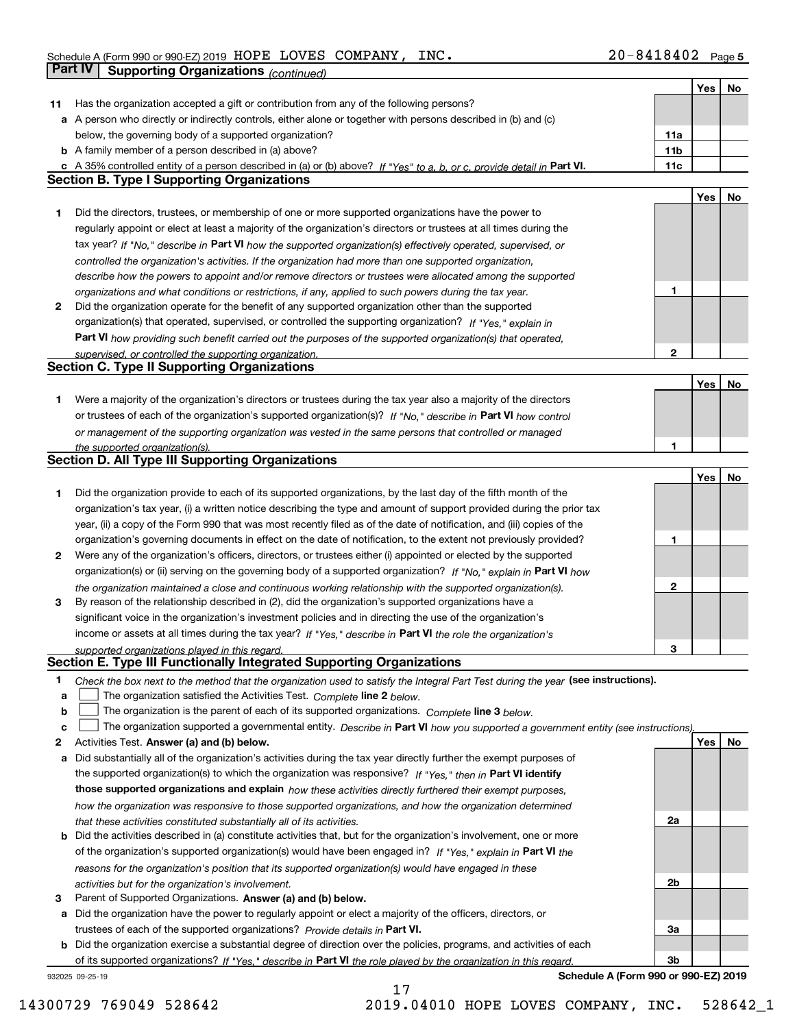|    |                                                                                                                                   |                 | Yes | No |
|----|-----------------------------------------------------------------------------------------------------------------------------------|-----------------|-----|----|
| 11 | Has the organization accepted a gift or contribution from any of the following persons?                                           |                 |     |    |
|    | a A person who directly or indirectly controls, either alone or together with persons described in (b) and (c)                    |                 |     |    |
|    | below, the governing body of a supported organization?                                                                            | 11a             |     |    |
|    | <b>b</b> A family member of a person described in (a) above?                                                                      | 11 <sub>b</sub> |     |    |
|    | c A 35% controlled entity of a person described in (a) or (b) above? If "Yes" to a, b, or c, provide detail in Part VI.           | 11c             |     |    |
|    | <b>Section B. Type I Supporting Organizations</b>                                                                                 |                 |     |    |
|    |                                                                                                                                   |                 | Yes | No |
| 1. | Did the directors, trustees, or membership of one or more supported organizations have the power to                               |                 |     |    |
|    | regularly appoint or elect at least a majority of the organization's directors or trustees at all times during the                |                 |     |    |
|    | tax year? If "No," describe in Part VI how the supported organization(s) effectively operated, supervised, or                     |                 |     |    |
|    | controlled the organization's activities. If the organization had more than one supported organization,                           |                 |     |    |
|    | describe how the powers to appoint and/or remove directors or trustees were allocated among the supported                         |                 |     |    |
|    | organizations and what conditions or restrictions, if any, applied to such powers during the tax year.                            | 1               |     |    |
| 2  | Did the organization operate for the benefit of any supported organization other than the supported                               |                 |     |    |
|    | organization(s) that operated, supervised, or controlled the supporting organization? If "Yes," explain in                        |                 |     |    |
|    | Part VI how providing such benefit carried out the purposes of the supported organization(s) that operated,                       |                 |     |    |
|    | supervised, or controlled the supporting organization.                                                                            | $\mathbf{2}$    |     |    |
|    | <b>Section C. Type II Supporting Organizations</b>                                                                                |                 |     |    |
|    |                                                                                                                                   |                 | Yes | No |
| 1. | Were a majority of the organization's directors or trustees during the tax year also a majority of the directors                  |                 |     |    |
|    | or trustees of each of the organization's supported organization(s)? If "No," describe in Part VI how control                     |                 |     |    |
|    | or management of the supporting organization was vested in the same persons that controlled or managed                            |                 |     |    |
|    | the supported organization(s).                                                                                                    | 1               |     |    |
|    | <b>Section D. All Type III Supporting Organizations</b>                                                                           |                 |     |    |
|    |                                                                                                                                   |                 | Yes | No |
| 1  | Did the organization provide to each of its supported organizations, by the last day of the fifth month of the                    |                 |     |    |
|    | organization's tax year, (i) a written notice describing the type and amount of support provided during the prior tax             |                 |     |    |
|    | year, (ii) a copy of the Form 990 that was most recently filed as of the date of notification, and (iii) copies of the            |                 |     |    |
|    | organization's governing documents in effect on the date of notification, to the extent not previously provided?                  | 1               |     |    |
| 2  | Were any of the organization's officers, directors, or trustees either (i) appointed or elected by the supported                  |                 |     |    |
|    | organization(s) or (ii) serving on the governing body of a supported organization? If "No," explain in Part VI how                |                 |     |    |
|    | the organization maintained a close and continuous working relationship with the supported organization(s).                       | $\mathbf{2}$    |     |    |
| 3  | By reason of the relationship described in (2), did the organization's supported organizations have a                             |                 |     |    |
|    | significant voice in the organization's investment policies and in directing the use of the organization's                        |                 |     |    |
|    | income or assets at all times during the tax year? If "Yes," describe in Part VI the role the organization's                      |                 |     |    |
|    | supported organizations played in this regard.                                                                                    | 3               |     |    |
|    | Section E. Type III Functionally Integrated Supporting Organizations                                                              |                 |     |    |
| 1  | Check the box next to the method that the organization used to satisfy the Integral Part Test during the year (see instructions). |                 |     |    |
| а  | The organization satisfied the Activities Test. Complete line 2 below.                                                            |                 |     |    |
| b  | The organization is the parent of each of its supported organizations. Complete line 3 below.                                     |                 |     |    |
| c  | The organization supported a governmental entity. Describe in Part VI how you supported a government entity (see instructions),   |                 |     |    |
| 2  | Activities Test. Answer (a) and (b) below.                                                                                        |                 | Yes | No |
| а  | Did substantially all of the organization's activities during the tax year directly further the exempt purposes of                |                 |     |    |
|    | the supported organization(s) to which the organization was responsive? If "Yes." then in Part VI identify                        |                 |     |    |
|    | those supported organizations and explain how these activities directly furthered their exempt purposes,                          |                 |     |    |
|    | how the organization was responsive to those supported organizations, and how the organization determined                         |                 |     |    |
|    | that these activities constituted substantially all of its activities.                                                            | 2a              |     |    |
| b  | Did the activities described in (a) constitute activities that, but for the organization's involvement, one or more               |                 |     |    |
|    | of the organization's supported organization(s) would have been engaged in? If "Yes," explain in Part VI the                      |                 |     |    |
|    | reasons for the organization's position that its supported organization(s) would have engaged in these                            |                 |     |    |
|    | activities but for the organization's involvement.                                                                                | 2b              |     |    |
| з  | Parent of Supported Organizations. Answer (a) and (b) below.                                                                      |                 |     |    |
| а  | Did the organization have the power to regularly appoint or elect a majority of the officers, directors, or                       |                 |     |    |
|    | trustees of each of the supported organizations? Provide details in Part VI.                                                      | За              |     |    |
| b  | Did the organization exercise a substantial degree of direction over the policies, programs, and activities of each               |                 |     |    |
|    | of its supported organizations? If "Yes." describe in Part VI the role played by the organization in this regard.                 | 3b              |     |    |
|    |                                                                                                                                   |                 |     |    |

17

932025 09-25-19

**Schedule A (Form 990 or 990-EZ) 2019**

14300729 769049 528642 2019.04010 HOPE LOVES COMPANY, INC. 528642\_1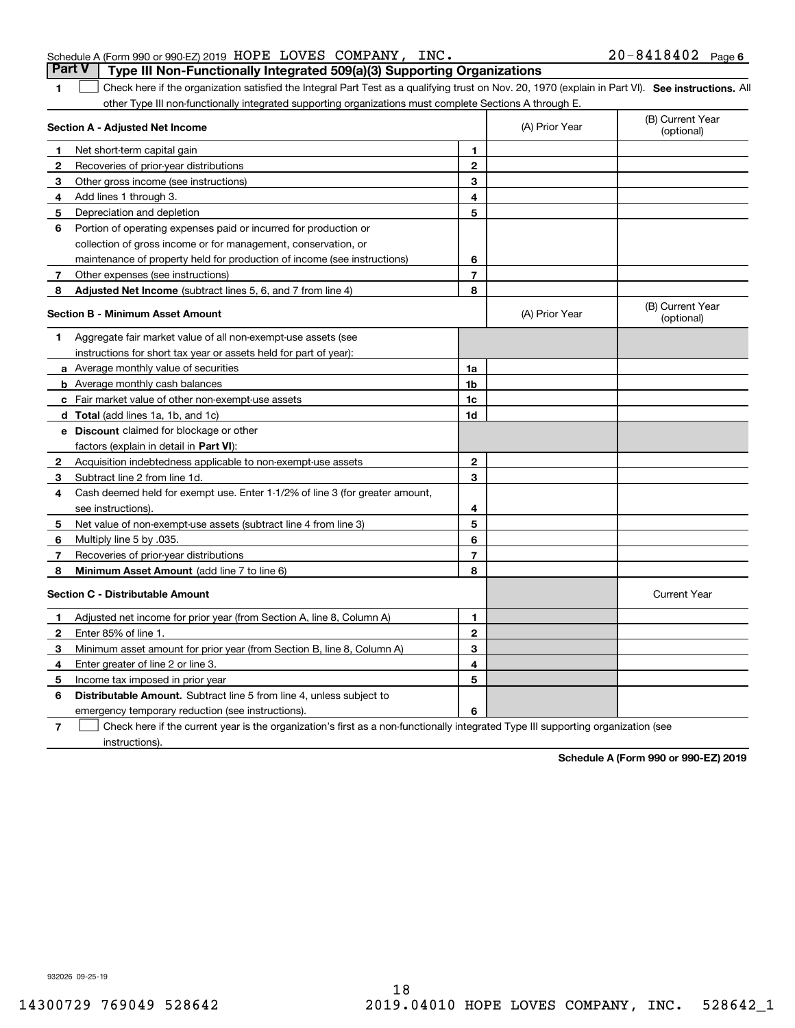| Schedule A (Form 990 or 990-EZ) 2019 HOPE LOVES COMPANY, INC.                           |  | $20 - 8418402$ Page 6 |  |
|-----------------------------------------------------------------------------------------|--|-----------------------|--|
| <b>Part V</b>   Type III Non-Functionally Integrated 509(a)(3) Supporting Organizations |  |                       |  |

1 Check here if the organization satisfied the Integral Part Test as a qualifying trust on Nov. 20, 1970 (explain in Part VI). See instructions. All other Type III non-functionally integrated supporting organizations must complete Sections A through E.

|              | Section A - Adjusted Net Income                                              |                | (A) Prior Year | (B) Current Year<br>(optional) |
|--------------|------------------------------------------------------------------------------|----------------|----------------|--------------------------------|
| 1            | Net short-term capital gain                                                  | 1              |                |                                |
| 2            | Recoveries of prior-year distributions                                       | $\overline{2}$ |                |                                |
| 3            | Other gross income (see instructions)                                        | 3              |                |                                |
| 4            | Add lines 1 through 3.                                                       | 4              |                |                                |
| 5            | Depreciation and depletion                                                   | 5              |                |                                |
| 6            | Portion of operating expenses paid or incurred for production or             |                |                |                                |
|              | collection of gross income or for management, conservation, or               |                |                |                                |
|              | maintenance of property held for production of income (see instructions)     | 6              |                |                                |
| 7            | Other expenses (see instructions)                                            | $\overline{7}$ |                |                                |
| 8            | <b>Adjusted Net Income</b> (subtract lines 5, 6, and 7 from line 4)          | 8              |                |                                |
|              | <b>Section B - Minimum Asset Amount</b>                                      |                | (A) Prior Year | (B) Current Year<br>(optional) |
| 1            | Aggregate fair market value of all non-exempt-use assets (see                |                |                |                                |
|              | instructions for short tax year or assets held for part of year):            |                |                |                                |
|              | a Average monthly value of securities                                        | 1a             |                |                                |
|              | <b>b</b> Average monthly cash balances                                       | 1b             |                |                                |
|              | c Fair market value of other non-exempt-use assets                           | 1c             |                |                                |
|              | d Total (add lines 1a, 1b, and 1c)                                           | 1d             |                |                                |
|              | <b>e</b> Discount claimed for blockage or other                              |                |                |                                |
|              | factors (explain in detail in Part VI):                                      |                |                |                                |
| 2            | Acquisition indebtedness applicable to non-exempt-use assets                 | $\mathbf{2}$   |                |                                |
| 3            | Subtract line 2 from line 1d.                                                | 3              |                |                                |
| 4            | Cash deemed held for exempt use. Enter 1-1/2% of line 3 (for greater amount, |                |                |                                |
|              | see instructions)                                                            | 4              |                |                                |
| 5            | Net value of non-exempt-use assets (subtract line 4 from line 3)             | 5              |                |                                |
| 6            | Multiply line 5 by .035.                                                     | 6              |                |                                |
| 7            | Recoveries of prior-year distributions                                       | $\overline{7}$ |                |                                |
| 8            | Minimum Asset Amount (add line 7 to line 6)                                  | 8              |                |                                |
|              | <b>Section C - Distributable Amount</b>                                      |                |                | <b>Current Year</b>            |
| 1            | Adjusted net income for prior year (from Section A, line 8, Column A)        | 1              |                |                                |
| $\mathbf{2}$ | Enter 85% of line 1.                                                         | $\overline{2}$ |                |                                |
| 3            | Minimum asset amount for prior year (from Section B, line 8, Column A)       | 3              |                |                                |
| 4            | Enter greater of line 2 or line 3.                                           | 4              |                |                                |
| 5            | Income tax imposed in prior year                                             | 5              |                |                                |
| 6            | <b>Distributable Amount.</b> Subtract line 5 from line 4, unless subject to  |                |                |                                |
|              | emergency temporary reduction (see instructions).                            | 6              |                |                                |
|              |                                                                              |                |                |                                |

**7** Check here if the current year is the organization's first as a non-functionally integrated Type III supporting organization (see instructions).

**Schedule A (Form 990 or 990-EZ) 2019**

932026 09-25-19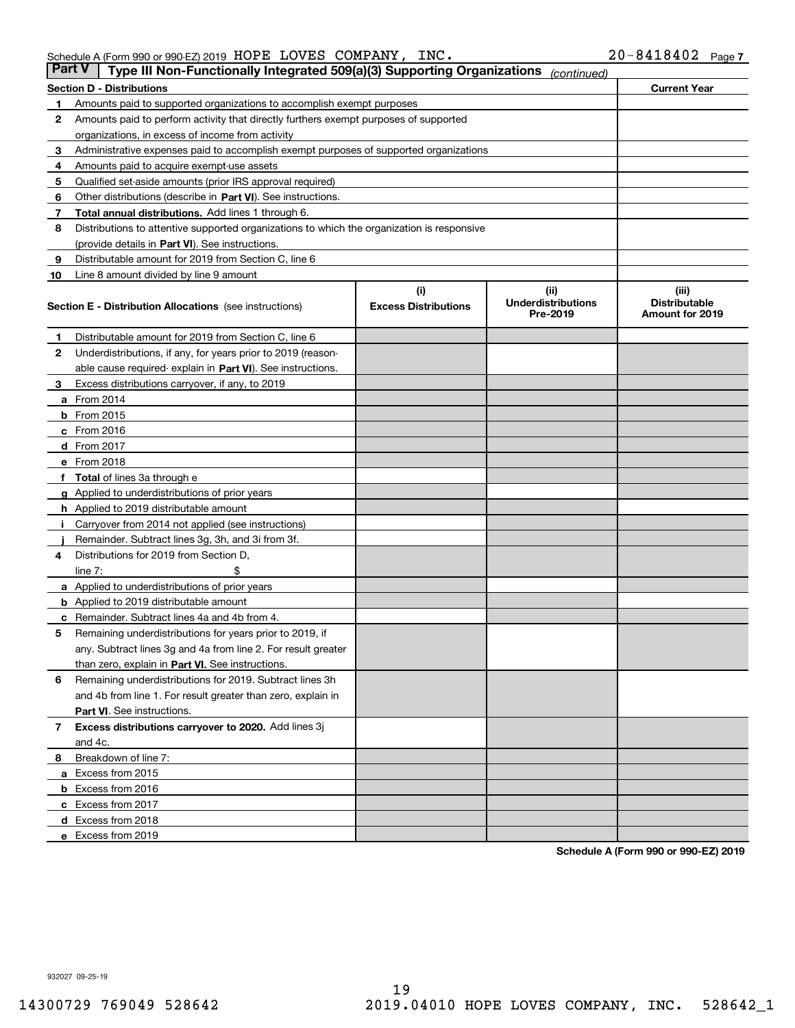Schedule A (Form 990 or 990-EZ) 2019 Page HOPE LOVES COMPANY, INC. 20-8418402

| Part V | Type III Non-Functionally Integrated 509(a)(3) Supporting Organizations                    |                             | (continued)                           |                                         |
|--------|--------------------------------------------------------------------------------------------|-----------------------------|---------------------------------------|-----------------------------------------|
|        | <b>Section D - Distributions</b>                                                           |                             |                                       | <b>Current Year</b>                     |
| 1      | Amounts paid to supported organizations to accomplish exempt purposes                      |                             |                                       |                                         |
| 2      | Amounts paid to perform activity that directly furthers exempt purposes of supported       |                             |                                       |                                         |
|        | organizations, in excess of income from activity                                           |                             |                                       |                                         |
| з      | Administrative expenses paid to accomplish exempt purposes of supported organizations      |                             |                                       |                                         |
| 4      | Amounts paid to acquire exempt-use assets                                                  |                             |                                       |                                         |
| 5      | Qualified set-aside amounts (prior IRS approval required)                                  |                             |                                       |                                         |
| 6      | Other distributions (describe in Part VI). See instructions.                               |                             |                                       |                                         |
| 7      | <b>Total annual distributions.</b> Add lines 1 through 6.                                  |                             |                                       |                                         |
| 8      | Distributions to attentive supported organizations to which the organization is responsive |                             |                                       |                                         |
|        | (provide details in Part VI). See instructions.                                            |                             |                                       |                                         |
| 9      | Distributable amount for 2019 from Section C, line 6                                       |                             |                                       |                                         |
| 10     | Line 8 amount divided by line 9 amount                                                     |                             |                                       |                                         |
|        |                                                                                            | (i)                         | (iii)                                 | (iii)                                   |
|        | <b>Section E - Distribution Allocations</b> (see instructions)                             | <b>Excess Distributions</b> | <b>Underdistributions</b><br>Pre-2019 | <b>Distributable</b><br>Amount for 2019 |
| 1      | Distributable amount for 2019 from Section C, line 6                                       |                             |                                       |                                         |
| 2      | Underdistributions, if any, for years prior to 2019 (reason-                               |                             |                                       |                                         |
|        | able cause required- explain in <b>Part VI</b> ). See instructions.                        |                             |                                       |                                         |
| з      | Excess distributions carryover, if any, to 2019                                            |                             |                                       |                                         |
|        | <b>a</b> From 2014                                                                         |                             |                                       |                                         |
|        | <b>b</b> From 2015                                                                         |                             |                                       |                                         |
|        | $c$ From 2016                                                                              |                             |                                       |                                         |
|        | d From 2017                                                                                |                             |                                       |                                         |
|        | e From 2018                                                                                |                             |                                       |                                         |
|        | Total of lines 3a through e                                                                |                             |                                       |                                         |
|        | <b>g</b> Applied to underdistributions of prior years                                      |                             |                                       |                                         |
|        | <b>h</b> Applied to 2019 distributable amount                                              |                             |                                       |                                         |
|        | Carryover from 2014 not applied (see instructions)                                         |                             |                                       |                                         |
|        | Remainder. Subtract lines 3g, 3h, and 3i from 3f.                                          |                             |                                       |                                         |
| 4      | Distributions for 2019 from Section D,                                                     |                             |                                       |                                         |
|        | line $7:$                                                                                  |                             |                                       |                                         |
|        | <b>a</b> Applied to underdistributions of prior years                                      |                             |                                       |                                         |
|        | <b>b</b> Applied to 2019 distributable amount                                              |                             |                                       |                                         |
| с      | Remainder. Subtract lines 4a and 4b from 4.                                                |                             |                                       |                                         |
| 5      | Remaining underdistributions for years prior to 2019, if                                   |                             |                                       |                                         |
|        | any. Subtract lines 3g and 4a from line 2. For result greater                              |                             |                                       |                                         |
|        | than zero, explain in Part VI. See instructions.                                           |                             |                                       |                                         |
| 6      | Remaining underdistributions for 2019. Subtract lines 3h                                   |                             |                                       |                                         |
|        | and 4b from line 1. For result greater than zero, explain in                               |                             |                                       |                                         |
|        | Part VI. See instructions.                                                                 |                             |                                       |                                         |
| 7      | Excess distributions carryover to 2020. Add lines 3j                                       |                             |                                       |                                         |
|        | and 4c.                                                                                    |                             |                                       |                                         |
| 8      | Breakdown of line 7:                                                                       |                             |                                       |                                         |
|        | a Excess from 2015                                                                         |                             |                                       |                                         |
|        | <b>b</b> Excess from 2016                                                                  |                             |                                       |                                         |
|        | c Excess from 2017                                                                         |                             |                                       |                                         |
|        | d Excess from 2018                                                                         |                             |                                       |                                         |
|        | e Excess from 2019                                                                         |                             |                                       |                                         |
|        |                                                                                            |                             |                                       |                                         |

**Schedule A (Form 990 or 990-EZ) 2019**

932027 09-25-19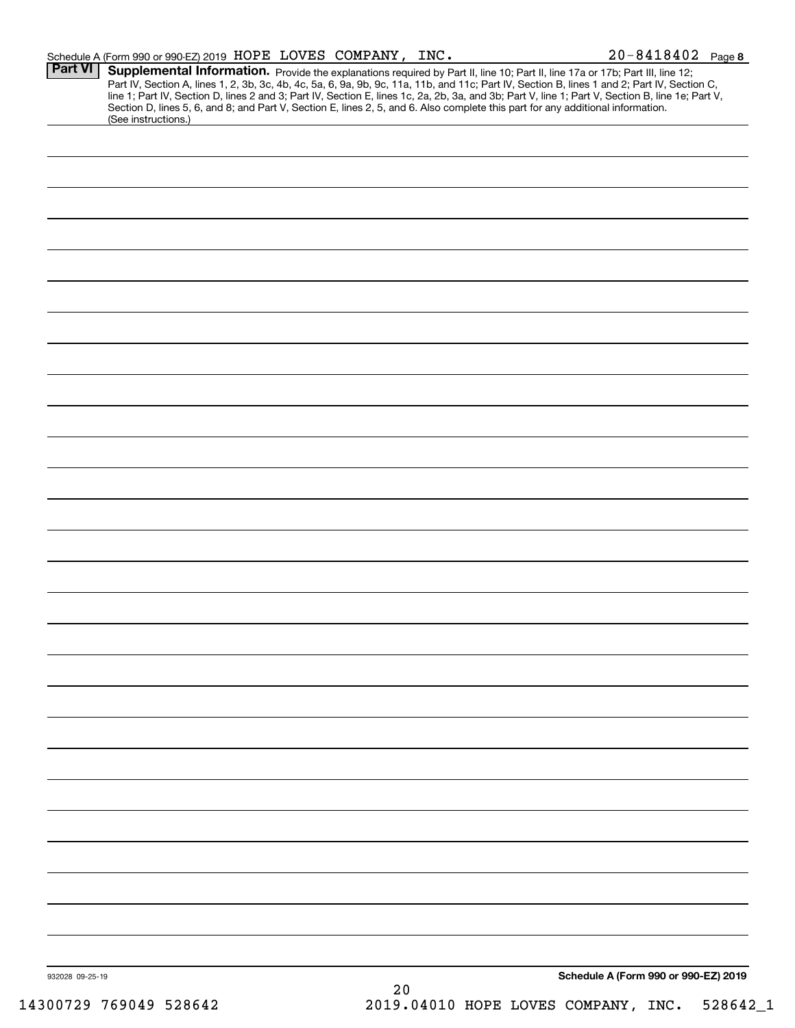|                 | Schedule A (Form 990 or 990-EZ) 2019 HOPE LOVES COMPANY, INC.                                                                                                                                                                                                                                                                                                                                                                     |    | $20 - 8418402$ Page 8                |  |
|-----------------|-----------------------------------------------------------------------------------------------------------------------------------------------------------------------------------------------------------------------------------------------------------------------------------------------------------------------------------------------------------------------------------------------------------------------------------|----|--------------------------------------|--|
| <b>Part VI</b>  | Supplemental Information. Provide the explanations required by Part II, line 10; Part II, line 17a or 17b; Part III, line 12;<br>Part IV, Section A, lines 1, 2, 3b, 3c, 4b, 4c, 5a, 6, 9a, 9b, 9c, 11a, 11b, and 11c; Part IV, Section B, lines 1 and 2; Part IV, Section C,<br>line 1; Part IV, Section D, lines 2 and 3; Part IV, Section E, lines 1c, 2a, 2b, 3a, and 3b; Part V, line 1; Part V, Section B, line 1e; Part V, |    |                                      |  |
|                 | Section D, lines 5, 6, and 8; and Part V, Section E, lines 2, 5, and 6. Also complete this part for any additional information.<br>(See instructions.)                                                                                                                                                                                                                                                                            |    |                                      |  |
|                 |                                                                                                                                                                                                                                                                                                                                                                                                                                   |    |                                      |  |
|                 |                                                                                                                                                                                                                                                                                                                                                                                                                                   |    |                                      |  |
|                 |                                                                                                                                                                                                                                                                                                                                                                                                                                   |    |                                      |  |
|                 |                                                                                                                                                                                                                                                                                                                                                                                                                                   |    |                                      |  |
|                 |                                                                                                                                                                                                                                                                                                                                                                                                                                   |    |                                      |  |
|                 |                                                                                                                                                                                                                                                                                                                                                                                                                                   |    |                                      |  |
|                 |                                                                                                                                                                                                                                                                                                                                                                                                                                   |    |                                      |  |
|                 |                                                                                                                                                                                                                                                                                                                                                                                                                                   |    |                                      |  |
|                 |                                                                                                                                                                                                                                                                                                                                                                                                                                   |    |                                      |  |
|                 |                                                                                                                                                                                                                                                                                                                                                                                                                                   |    |                                      |  |
|                 |                                                                                                                                                                                                                                                                                                                                                                                                                                   |    |                                      |  |
|                 |                                                                                                                                                                                                                                                                                                                                                                                                                                   |    |                                      |  |
|                 |                                                                                                                                                                                                                                                                                                                                                                                                                                   |    |                                      |  |
|                 |                                                                                                                                                                                                                                                                                                                                                                                                                                   |    |                                      |  |
|                 |                                                                                                                                                                                                                                                                                                                                                                                                                                   |    |                                      |  |
|                 |                                                                                                                                                                                                                                                                                                                                                                                                                                   |    |                                      |  |
|                 |                                                                                                                                                                                                                                                                                                                                                                                                                                   |    |                                      |  |
|                 |                                                                                                                                                                                                                                                                                                                                                                                                                                   |    |                                      |  |
|                 |                                                                                                                                                                                                                                                                                                                                                                                                                                   |    |                                      |  |
|                 |                                                                                                                                                                                                                                                                                                                                                                                                                                   |    |                                      |  |
|                 |                                                                                                                                                                                                                                                                                                                                                                                                                                   |    |                                      |  |
|                 |                                                                                                                                                                                                                                                                                                                                                                                                                                   |    |                                      |  |
|                 |                                                                                                                                                                                                                                                                                                                                                                                                                                   |    |                                      |  |
|                 |                                                                                                                                                                                                                                                                                                                                                                                                                                   |    |                                      |  |
|                 |                                                                                                                                                                                                                                                                                                                                                                                                                                   |    |                                      |  |
|                 |                                                                                                                                                                                                                                                                                                                                                                                                                                   |    |                                      |  |
|                 |                                                                                                                                                                                                                                                                                                                                                                                                                                   |    |                                      |  |
|                 |                                                                                                                                                                                                                                                                                                                                                                                                                                   |    |                                      |  |
|                 |                                                                                                                                                                                                                                                                                                                                                                                                                                   |    |                                      |  |
|                 |                                                                                                                                                                                                                                                                                                                                                                                                                                   |    |                                      |  |
|                 |                                                                                                                                                                                                                                                                                                                                                                                                                                   |    |                                      |  |
|                 |                                                                                                                                                                                                                                                                                                                                                                                                                                   |    |                                      |  |
|                 |                                                                                                                                                                                                                                                                                                                                                                                                                                   |    |                                      |  |
|                 |                                                                                                                                                                                                                                                                                                                                                                                                                                   |    |                                      |  |
|                 |                                                                                                                                                                                                                                                                                                                                                                                                                                   |    |                                      |  |
| 932028 09-25-19 |                                                                                                                                                                                                                                                                                                                                                                                                                                   |    | Schedule A (Form 990 or 990-EZ) 2019 |  |
|                 |                                                                                                                                                                                                                                                                                                                                                                                                                                   | 20 |                                      |  |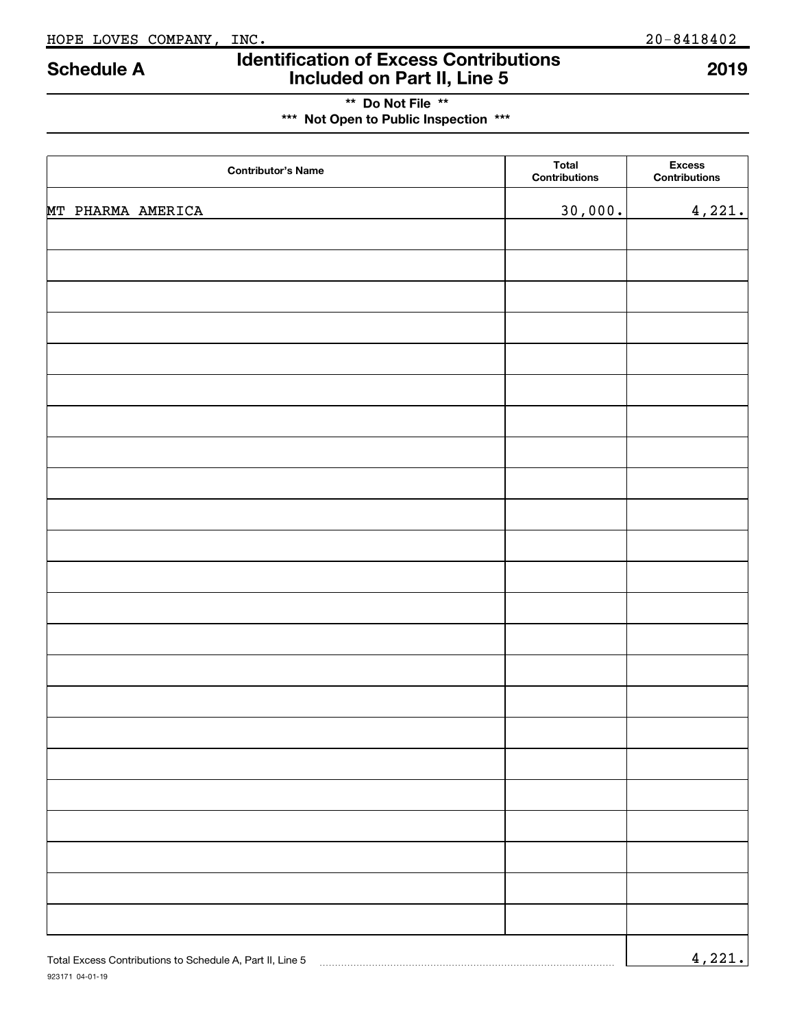# **Identification of Excess Contributions Included on Part II, Line 5 Schedule A 2019**

# **\*\* Do Not File \*\* \*\*\* Not Open to Public Inspection \*\*\***

| <b>Contributor's Name</b>                                 | <b>Total</b><br>Contributions | <b>Excess</b><br><b>Contributions</b> |
|-----------------------------------------------------------|-------------------------------|---------------------------------------|
| MT PHARMA AMERICA                                         | 30,000.                       | 4,221.                                |
|                                                           |                               |                                       |
|                                                           |                               |                                       |
|                                                           |                               |                                       |
|                                                           |                               |                                       |
|                                                           |                               |                                       |
|                                                           |                               |                                       |
|                                                           |                               |                                       |
|                                                           |                               |                                       |
|                                                           |                               |                                       |
|                                                           |                               |                                       |
|                                                           |                               |                                       |
|                                                           |                               |                                       |
|                                                           |                               |                                       |
|                                                           |                               |                                       |
|                                                           |                               |                                       |
|                                                           |                               |                                       |
|                                                           |                               |                                       |
|                                                           |                               |                                       |
|                                                           |                               |                                       |
|                                                           |                               |                                       |
|                                                           |                               |                                       |
|                                                           |                               |                                       |
|                                                           |                               |                                       |
| Total Excess Contributions to Schedule A, Part II, Line 5 |                               | 4,221.                                |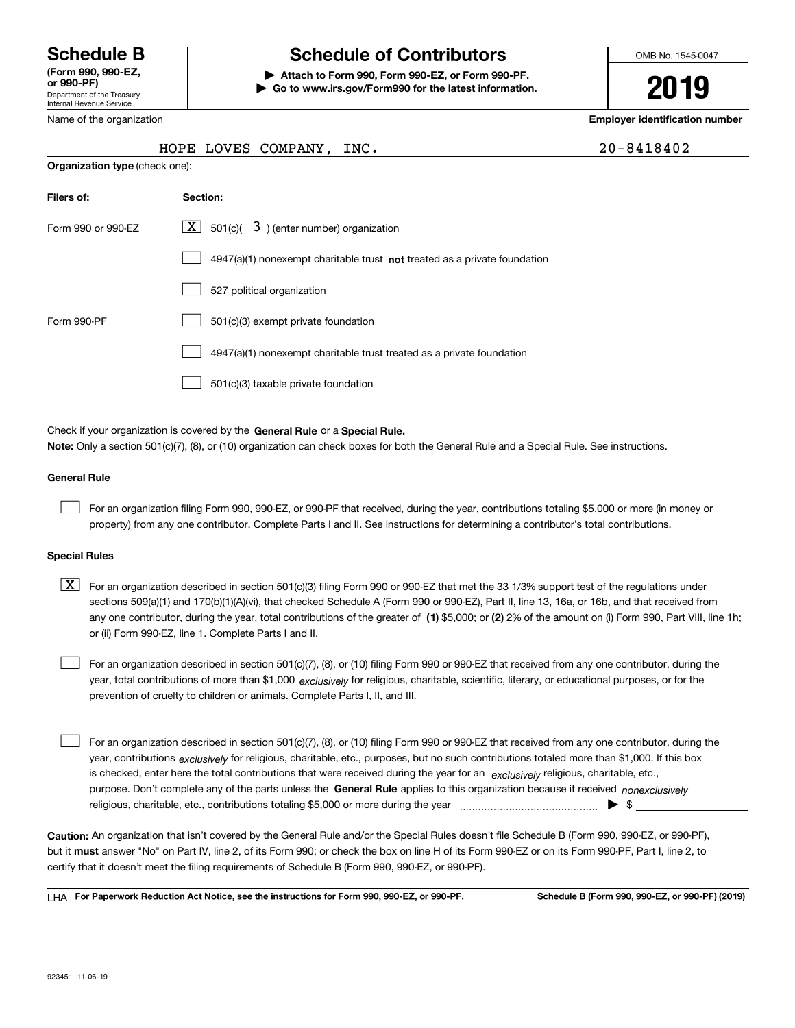Department of the Treasury Internal Revenue Service **(Form 990, 990-EZ, or 990-PF)**

Name of the organization

# **Schedule B Schedule of Contributors**

**| Attach to Form 990, Form 990-EZ, or Form 990-PF. | Go to www.irs.gov/Form990 for the latest information.** OMB No. 1545-0047

**2019**

**Employer identification number**

|  | 0-8418402: |  |  |  |  |  |  |  |  |
|--|------------|--|--|--|--|--|--|--|--|
|--|------------|--|--|--|--|--|--|--|--|

|  | HOPE LOVES COMPANY, INC. |  |
|--|--------------------------|--|

| <b>Organization type</b> (check one): |                                                                             |  |  |  |  |  |  |
|---------------------------------------|-----------------------------------------------------------------------------|--|--|--|--|--|--|
| Filers of:                            | Section:                                                                    |  |  |  |  |  |  |
| Form 990 or 990-EZ                    | $\lfloor x \rfloor$ 501(c)( 3) (enter number) organization                  |  |  |  |  |  |  |
|                                       | $4947(a)(1)$ nonexempt charitable trust not treated as a private foundation |  |  |  |  |  |  |
|                                       | 527 political organization                                                  |  |  |  |  |  |  |
| Form 990-PF                           | 501(c)(3) exempt private foundation                                         |  |  |  |  |  |  |
|                                       | 4947(a)(1) nonexempt charitable trust treated as a private foundation       |  |  |  |  |  |  |
|                                       | 501(c)(3) taxable private foundation                                        |  |  |  |  |  |  |

Check if your organization is covered by the **General Rule** or a **Special Rule. Note:**  Only a section 501(c)(7), (8), or (10) organization can check boxes for both the General Rule and a Special Rule. See instructions.

### **General Rule**

 $\mathcal{L}^{\text{max}}$ 

For an organization filing Form 990, 990-EZ, or 990-PF that received, during the year, contributions totaling \$5,000 or more (in money or property) from any one contributor. Complete Parts I and II. See instructions for determining a contributor's total contributions.

### **Special Rules**

any one contributor, during the year, total contributions of the greater of  $\,$  (1) \$5,000; or **(2)** 2% of the amount on (i) Form 990, Part VIII, line 1h;  $\boxed{\textbf{X}}$  For an organization described in section 501(c)(3) filing Form 990 or 990-EZ that met the 33 1/3% support test of the regulations under sections 509(a)(1) and 170(b)(1)(A)(vi), that checked Schedule A (Form 990 or 990-EZ), Part II, line 13, 16a, or 16b, and that received from or (ii) Form 990-EZ, line 1. Complete Parts I and II.

year, total contributions of more than \$1,000 *exclusively* for religious, charitable, scientific, literary, or educational purposes, or for the For an organization described in section 501(c)(7), (8), or (10) filing Form 990 or 990-EZ that received from any one contributor, during the prevention of cruelty to children or animals. Complete Parts I, II, and III.  $\mathcal{L}^{\text{max}}$ 

purpose. Don't complete any of the parts unless the **General Rule** applies to this organization because it received *nonexclusively* year, contributions <sub>exclusively</sub> for religious, charitable, etc., purposes, but no such contributions totaled more than \$1,000. If this box is checked, enter here the total contributions that were received during the year for an  $\;$ exclusively religious, charitable, etc., For an organization described in section 501(c)(7), (8), or (10) filing Form 990 or 990-EZ that received from any one contributor, during the religious, charitable, etc., contributions totaling \$5,000 or more during the year  $\Box$ — $\Box$   $\Box$  $\mathcal{L}^{\text{max}}$ 

**Caution:**  An organization that isn't covered by the General Rule and/or the Special Rules doesn't file Schedule B (Form 990, 990-EZ, or 990-PF),  **must** but it answer "No" on Part IV, line 2, of its Form 990; or check the box on line H of its Form 990-EZ or on its Form 990-PF, Part I, line 2, to certify that it doesn't meet the filing requirements of Schedule B (Form 990, 990-EZ, or 990-PF).

**For Paperwork Reduction Act Notice, see the instructions for Form 990, 990-EZ, or 990-PF. Schedule B (Form 990, 990-EZ, or 990-PF) (2019)** LHA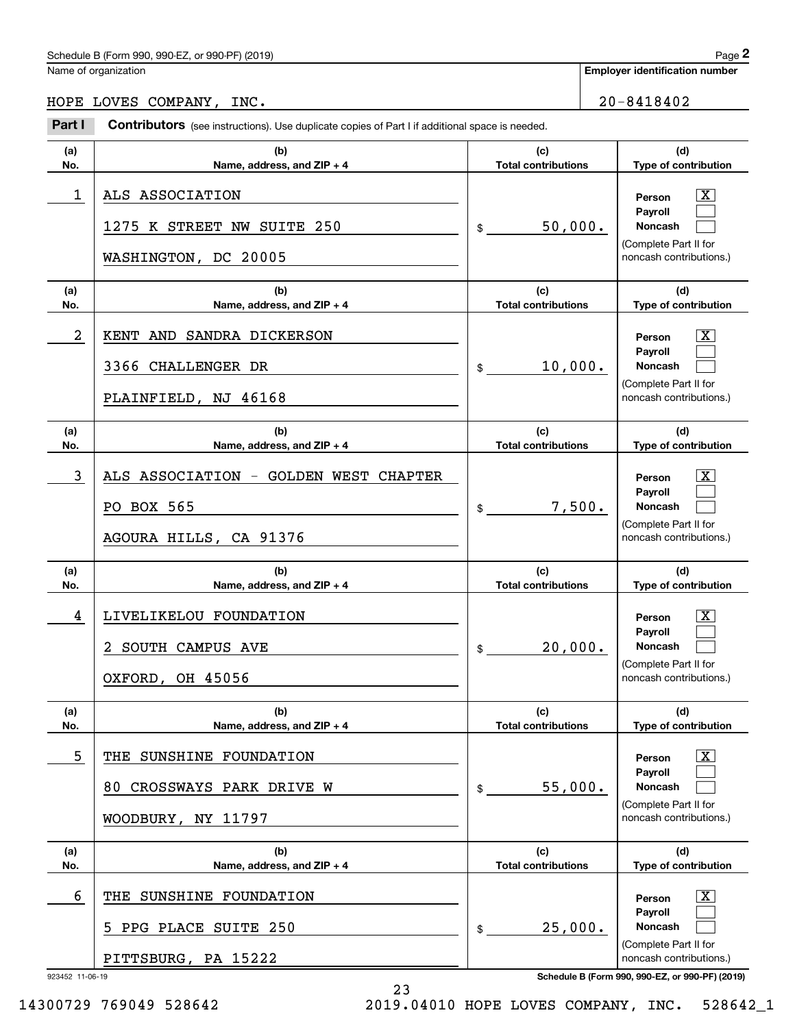# Schedule B (Form 990, 990-EZ, or 990-PF) (2019) Page 2

| Schedule B (Form 990, 990-EZ, or 990-PF) (2019) |                                   |     |                                                                                                       |                                                                                                                                                                                                                     | Page 2                                                                                                                                                                                                                                                                                                |
|-------------------------------------------------|-----------------------------------|-----|-------------------------------------------------------------------------------------------------------|---------------------------------------------------------------------------------------------------------------------------------------------------------------------------------------------------------------------|-------------------------------------------------------------------------------------------------------------------------------------------------------------------------------------------------------------------------------------------------------------------------------------------------------|
|                                                 |                                   |     |                                                                                                       |                                                                                                                                                                                                                     |                                                                                                                                                                                                                                                                                                       |
| HOPE LOVES COMPANY, INC.                        |                                   |     |                                                                                                       |                                                                                                                                                                                                                     |                                                                                                                                                                                                                                                                                                       |
|                                                 |                                   |     |                                                                                                       |                                                                                                                                                                                                                     |                                                                                                                                                                                                                                                                                                       |
| (b)<br>Name, address, and ZIP + 4               | (c)<br><b>Total contributions</b> |     |                                                                                                       | (d)<br>Type of contribution                                                                                                                                                                                         |                                                                                                                                                                                                                                                                                                       |
| ALS ASSOCIATION                                 |                                   |     |                                                                                                       | Person<br>Payroll                                                                                                                                                                                                   | $\mathbf{X}$                                                                                                                                                                                                                                                                                          |
| 1275 K STREET NW SUITE 250                      | \$                                |     |                                                                                                       | Noncash<br>(Complete Part II for                                                                                                                                                                                    |                                                                                                                                                                                                                                                                                                       |
|                                                 |                                   |     |                                                                                                       | noncash contributions.)                                                                                                                                                                                             |                                                                                                                                                                                                                                                                                                       |
| (b)<br>Name, address, and ZIP + 4               |                                   | (c) |                                                                                                       | (d)<br>Type of contribution                                                                                                                                                                                         |                                                                                                                                                                                                                                                                                                       |
| AND SANDRA DICKERSON                            |                                   |     |                                                                                                       | Person                                                                                                                                                                                                              | $\mathbf{X}$                                                                                                                                                                                                                                                                                          |
| 3366 CHALLENGER DR                              | \$                                |     |                                                                                                       | Noncash                                                                                                                                                                                                             |                                                                                                                                                                                                                                                                                                       |
| PLAINFIELD, NJ 46168                            |                                   |     |                                                                                                       | noncash contributions.)                                                                                                                                                                                             |                                                                                                                                                                                                                                                                                                       |
| (b)<br>Name, address, and ZIP + 4               |                                   | (c) |                                                                                                       | (d)<br>Type of contribution                                                                                                                                                                                         |                                                                                                                                                                                                                                                                                                       |
| ALS ASSOCIATION - GOLDEN WEST CHAPTER           |                                   |     |                                                                                                       | Person                                                                                                                                                                                                              | $\mathbf{X}$                                                                                                                                                                                                                                                                                          |
| PO BOX 565                                      | \$                                |     |                                                                                                       | Noncash                                                                                                                                                                                                             |                                                                                                                                                                                                                                                                                                       |
| AGOURA HILLS, CA 91376                          |                                   |     |                                                                                                       | noncash contributions.)                                                                                                                                                                                             |                                                                                                                                                                                                                                                                                                       |
| (b)<br>Name, address, and ZIP + 4               |                                   | (c) |                                                                                                       | (d)<br>Type of contribution                                                                                                                                                                                         |                                                                                                                                                                                                                                                                                                       |
| LIVELIKELOU FOUNDATION                          |                                   |     |                                                                                                       | Person                                                                                                                                                                                                              | $\mathbf{X}$                                                                                                                                                                                                                                                                                          |
| SOUTH CAMPUS AVE                                | \$                                |     |                                                                                                       | Noncash                                                                                                                                                                                                             |                                                                                                                                                                                                                                                                                                       |
| OXFORD, OH 45056                                |                                   |     |                                                                                                       | noncash contributions.)                                                                                                                                                                                             |                                                                                                                                                                                                                                                                                                       |
| (b)<br>Name, address, and $ZIP + 4$             |                                   | (c) |                                                                                                       | (d)<br>Type of contribution                                                                                                                                                                                         |                                                                                                                                                                                                                                                                                                       |
| THE SUNSHINE FOUNDATION                         |                                   |     |                                                                                                       | Person                                                                                                                                                                                                              | $\boxed{\text{X}}$                                                                                                                                                                                                                                                                                    |
| CROSSWAYS PARK DRIVE W                          | \$                                |     |                                                                                                       | Noncash                                                                                                                                                                                                             |                                                                                                                                                                                                                                                                                                       |
| WOODBURY, NY 11797                              |                                   |     |                                                                                                       | noncash contributions.)                                                                                                                                                                                             |                                                                                                                                                                                                                                                                                                       |
| (b)<br>Name, address, and ZIP + 4               |                                   | (c) |                                                                                                       | (d)<br>Type of contribution                                                                                                                                                                                         |                                                                                                                                                                                                                                                                                                       |
| THE SUNSHINE FOUNDATION                         |                                   |     |                                                                                                       | Person                                                                                                                                                                                                              | $\boxed{\text{X}}$                                                                                                                                                                                                                                                                                    |
| PPG PLACE SUITE 250                             | \$                                |     |                                                                                                       | Noncash                                                                                                                                                                                                             |                                                                                                                                                                                                                                                                                                       |
| PITTSBURG, PA 15222                             |                                   |     |                                                                                                       | noncash contributions.)                                                                                                                                                                                             |                                                                                                                                                                                                                                                                                                       |
|                                                 | WASHINGTON, DC 20005              |     | <b>Contributors</b> (see instructions). Use duplicate copies of Part I if additional space is needed. | 50,000.<br><b>Total contributions</b><br>10,000.<br><b>Total contributions</b><br>7,500.<br><b>Total contributions</b><br>20,000.<br><b>Total contributions</b><br>55,000.<br><b>Total contributions</b><br>25,000. | <b>Employer identification number</b><br>$20 - 8418402$<br>Payroll<br>(Complete Part II for<br>Payroll<br>(Complete Part II for<br><b>Payroll</b><br>(Complete Part II for<br>Payroll<br>(Complete Part II for<br>Payroll<br>(Complete Part II for<br>Schedule B (Form 990, 990-EZ, or 990-PF) (2019) |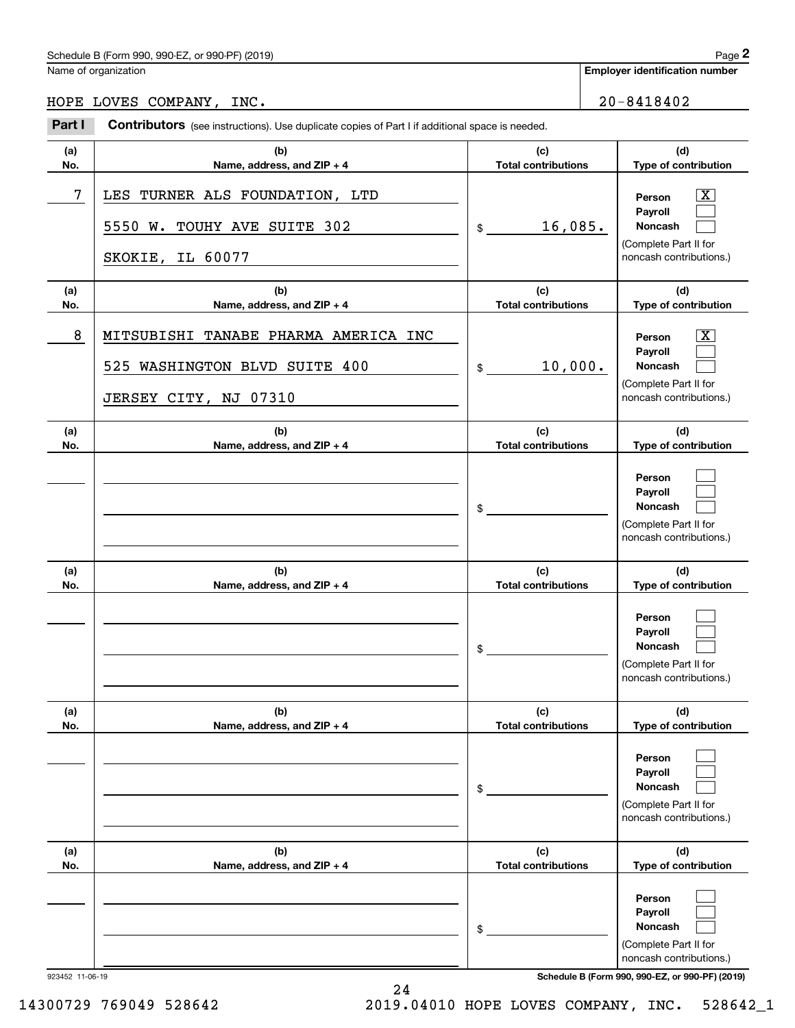## Schedule B (Form 990, 990-EZ, or 990-PF) (2019) Page 2

|                 | Schedule B (Form 990, 990-EZ, or 990-PF) (2019)                                                   |                                   |                            | Page 2                                                                                                                              |  |
|-----------------|---------------------------------------------------------------------------------------------------|-----------------------------------|----------------------------|-------------------------------------------------------------------------------------------------------------------------------------|--|
|                 | Name of organization                                                                              |                                   |                            | <b>Employer identification number</b>                                                                                               |  |
|                 | HOPE LOVES COMPANY, INC.                                                                          |                                   |                            | $20 - 8418402$                                                                                                                      |  |
| Part I          | Contributors (see instructions). Use duplicate copies of Part I if additional space is needed.    |                                   |                            |                                                                                                                                     |  |
| (a)<br>No.      | (b)<br>Name, address, and ZIP + 4                                                                 | (c)                               | <b>Total contributions</b> |                                                                                                                                     |  |
| 7               | TURNER ALS FOUNDATION, LTD<br>LES<br>5550 W.<br>TOUHY AVE SUITE 302                               | 16,085.<br>\$                     |                            | $\overline{\mathbf{X}}$<br>Person<br>Payroll<br>Noncash<br>(Complete Part II for                                                    |  |
|                 | SKOKIE, IL 60077                                                                                  |                                   |                            | noncash contributions.)                                                                                                             |  |
| (a)<br>No.      | (b)<br>Name, address, and ZIP + 4                                                                 | (c)<br><b>Total contributions</b> |                            | (d)<br>Type of contribution                                                                                                         |  |
| 8               | MITSUBISHI<br>TANABE PHARMA AMERICA INC<br>525 WASHINGTON BLVD SUITE 400<br>JERSEY CITY, NJ 07310 | 10,000.<br>\$                     |                            | $\overline{\mathbf{X}}$<br>Person<br>Payroll<br>Noncash<br>(Complete Part II for<br>noncash contributions.)                         |  |
| (a)<br>No.      | (b)<br>Name, address, and ZIP + 4                                                                 | (c)<br><b>Total contributions</b> |                            | (d)<br>Type of contribution                                                                                                         |  |
|                 |                                                                                                   | \$                                |                            | Person<br>Payroll<br>Noncash<br>(Complete Part II for<br>noncash contributions.)                                                    |  |
| (a)<br>No.      | (b)<br>Name, address, and ZIP + 4                                                                 | (c)<br><b>Total contributions</b> |                            | (d)<br>Type of contribution                                                                                                         |  |
|                 |                                                                                                   | \$                                |                            | Person<br>Payroll<br>Noncash<br>(Complete Part II for<br>noncash contributions.)                                                    |  |
| (a)<br>No.      | (b)<br>Name, address, and ZIP + 4                                                                 | (c)<br><b>Total contributions</b> |                            | (d)<br>Type of contribution                                                                                                         |  |
|                 |                                                                                                   | \$                                |                            | Person<br>Payroll<br>Noncash<br>(Complete Part II for<br>noncash contributions.)                                                    |  |
| (a)<br>No.      | (b)<br>Name, address, and ZIP + 4                                                                 | (c)<br><b>Total contributions</b> |                            | (d)<br>Type of contribution                                                                                                         |  |
| 923452 11-06-19 |                                                                                                   | \$                                |                            | Person<br>Payroll<br>Noncash<br>(Complete Part II for<br>noncash contributions.)<br>Schedule B (Form 990, 990-EZ, or 990-PF) (2019) |  |

14300729 769049 528642 2019.04010 HOPE LOVES COMPANY, INC. 528642\_1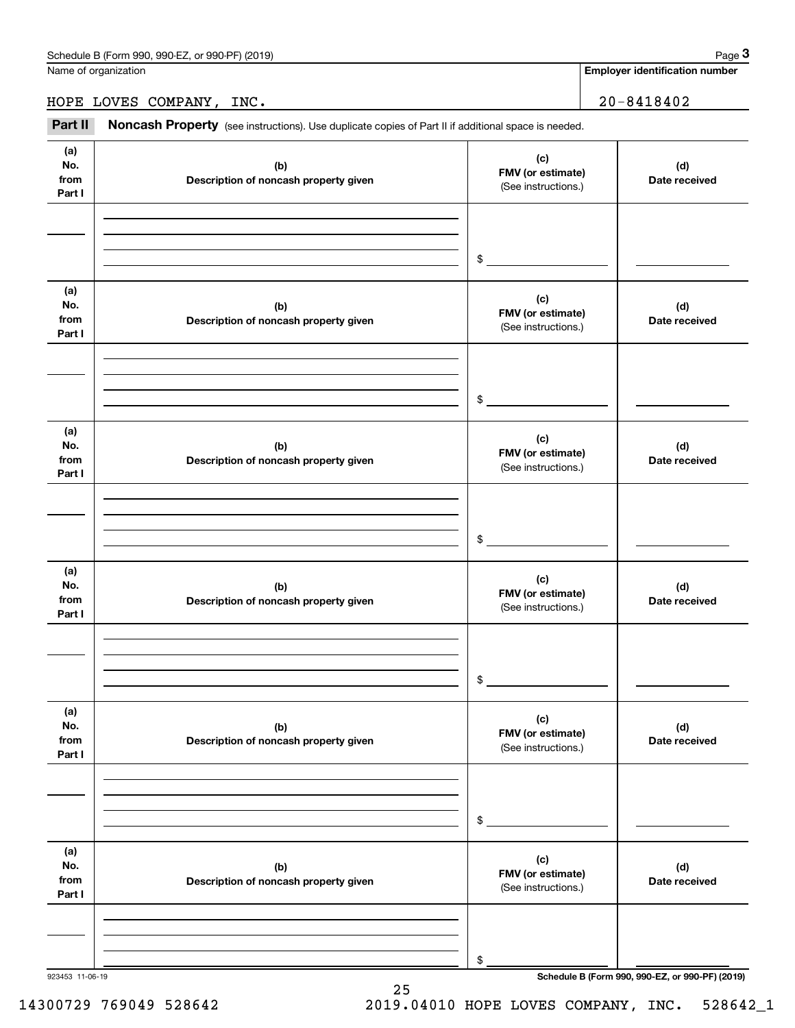**Employer identification number**

## HOPE LOVES COMPANY, INC. 20-8418402

Fage 3 Employer identification pumber<br>
IdDPE LOVES COMPANY, INC.<br> **30-8418402** Part II **Noncash Property** (see instructions). Use duplicate copies of Part II if additional space is needed.

| (a)<br>No.<br>from<br>Part I | (b)<br>Description of noncash property given | (c)<br>FMV (or estimate)<br>(See instructions.) | (d)<br>Date received                            |
|------------------------------|----------------------------------------------|-------------------------------------------------|-------------------------------------------------|
|                              |                                              | $\frac{1}{2}$                                   |                                                 |
| (a)<br>No.<br>from<br>Part I | (b)<br>Description of noncash property given | (c)<br>FMV (or estimate)<br>(See instructions.) | (d)<br>Date received                            |
|                              |                                              | $\sim$                                          |                                                 |
| (a)<br>No.<br>from<br>Part I | (b)<br>Description of noncash property given | (c)<br>FMV (or estimate)<br>(See instructions.) | (d)<br>Date received                            |
|                              |                                              | $\frac{1}{2}$                                   |                                                 |
| (a)<br>No.<br>from<br>Part I | (b)<br>Description of noncash property given | (c)<br>FMV (or estimate)<br>(See instructions.) | (d)<br>Date received                            |
|                              |                                              | $\mathfrak s$                                   |                                                 |
| (a)<br>No.<br>from<br>Part I | (b)<br>Description of noncash property given | (c)<br>FMV (or estimate)<br>(See instructions.) | (d)<br>Date received                            |
|                              |                                              | \$                                              |                                                 |
| (a)<br>No.<br>from<br>Part I | (b)<br>Description of noncash property given | (c)<br>FMV (or estimate)<br>(See instructions.) | (d)<br>Date received                            |
| 923453 11-06-19              |                                              | \$                                              | Schedule B (Form 990, 990-EZ, or 990-PF) (2019) |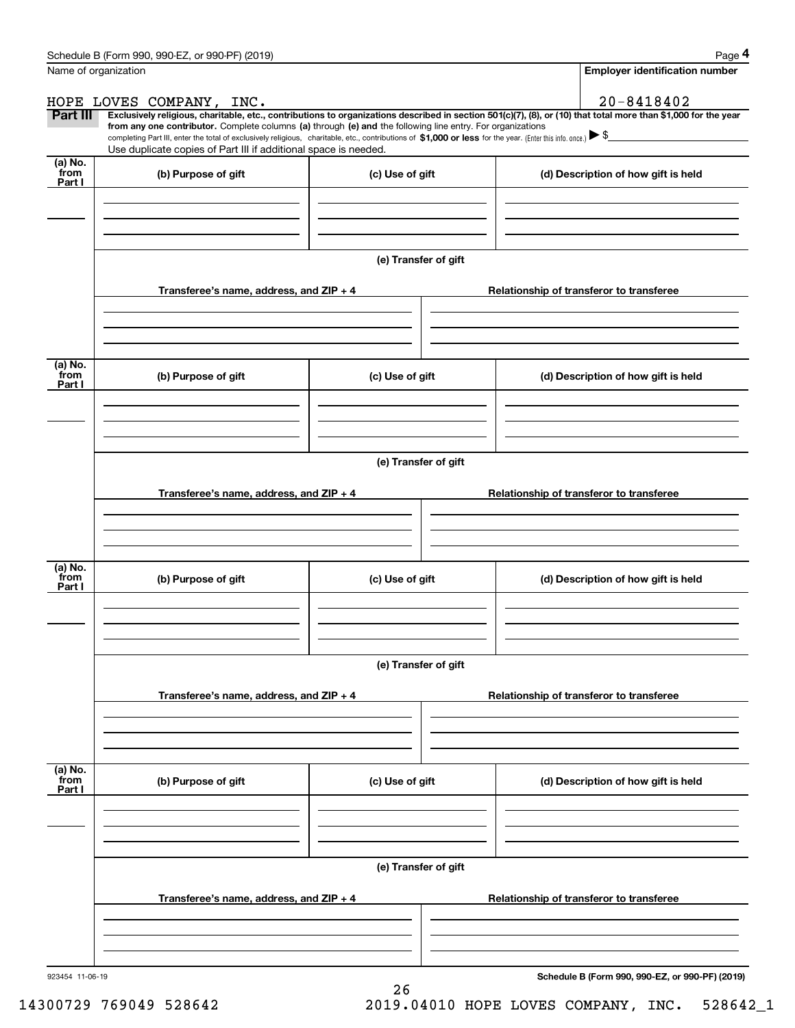|                           | Schedule B (Form 990, 990-EZ, or 990-PF) (2019)                                                                                                                                                                                                      |                      | Page 4                                                                                                                                                         |  |  |  |  |  |  |  |
|---------------------------|------------------------------------------------------------------------------------------------------------------------------------------------------------------------------------------------------------------------------------------------------|----------------------|----------------------------------------------------------------------------------------------------------------------------------------------------------------|--|--|--|--|--|--|--|
|                           | Name of organization                                                                                                                                                                                                                                 |                      | <b>Employer identification number</b>                                                                                                                          |  |  |  |  |  |  |  |
|                           | HOPE LOVES COMPANY, INC.                                                                                                                                                                                                                             |                      | 20-8418402                                                                                                                                                     |  |  |  |  |  |  |  |
| <b>Part III</b>           | from any one contributor. Complete columns (a) through (e) and the following line entry. For organizations                                                                                                                                           |                      | Exclusively religious, charitable, etc., contributions to organizations described in section 501(c)(7), (8), or (10) that total more than \$1,000 for the year |  |  |  |  |  |  |  |
|                           | completing Part III, enter the total of exclusively religious, charitable, etc., contributions of \$1,000 or less for the year. (Enter this info. once.) $\blacktriangleright$ \$<br>Use duplicate copies of Part III if additional space is needed. |                      |                                                                                                                                                                |  |  |  |  |  |  |  |
| (a) No.<br>from           |                                                                                                                                                                                                                                                      |                      |                                                                                                                                                                |  |  |  |  |  |  |  |
| Part I                    | (b) Purpose of gift                                                                                                                                                                                                                                  | (c) Use of gift      | (d) Description of how gift is held                                                                                                                            |  |  |  |  |  |  |  |
|                           |                                                                                                                                                                                                                                                      |                      |                                                                                                                                                                |  |  |  |  |  |  |  |
|                           |                                                                                                                                                                                                                                                      |                      |                                                                                                                                                                |  |  |  |  |  |  |  |
|                           |                                                                                                                                                                                                                                                      |                      |                                                                                                                                                                |  |  |  |  |  |  |  |
|                           |                                                                                                                                                                                                                                                      | (e) Transfer of gift |                                                                                                                                                                |  |  |  |  |  |  |  |
|                           | Transferee's name, address, and ZIP + 4                                                                                                                                                                                                              |                      | Relationship of transferor to transferee                                                                                                                       |  |  |  |  |  |  |  |
|                           |                                                                                                                                                                                                                                                      |                      |                                                                                                                                                                |  |  |  |  |  |  |  |
|                           |                                                                                                                                                                                                                                                      |                      |                                                                                                                                                                |  |  |  |  |  |  |  |
|                           |                                                                                                                                                                                                                                                      |                      |                                                                                                                                                                |  |  |  |  |  |  |  |
| (a) No.<br>from           | (b) Purpose of gift                                                                                                                                                                                                                                  | (c) Use of gift      | (d) Description of how gift is held                                                                                                                            |  |  |  |  |  |  |  |
| Part I                    |                                                                                                                                                                                                                                                      |                      |                                                                                                                                                                |  |  |  |  |  |  |  |
|                           |                                                                                                                                                                                                                                                      |                      |                                                                                                                                                                |  |  |  |  |  |  |  |
|                           |                                                                                                                                                                                                                                                      |                      |                                                                                                                                                                |  |  |  |  |  |  |  |
|                           | (e) Transfer of gift                                                                                                                                                                                                                                 |                      |                                                                                                                                                                |  |  |  |  |  |  |  |
|                           |                                                                                                                                                                                                                                                      |                      |                                                                                                                                                                |  |  |  |  |  |  |  |
|                           | Transferee's name, address, and ZIP + 4                                                                                                                                                                                                              |                      | Relationship of transferor to transferee                                                                                                                       |  |  |  |  |  |  |  |
|                           |                                                                                                                                                                                                                                                      |                      |                                                                                                                                                                |  |  |  |  |  |  |  |
|                           |                                                                                                                                                                                                                                                      |                      |                                                                                                                                                                |  |  |  |  |  |  |  |
| (a) No.                   |                                                                                                                                                                                                                                                      |                      |                                                                                                                                                                |  |  |  |  |  |  |  |
| from<br>Part I            | (b) Purpose of gift                                                                                                                                                                                                                                  | (c) Use of gift      | (d) Description of how gift is held                                                                                                                            |  |  |  |  |  |  |  |
|                           |                                                                                                                                                                                                                                                      |                      |                                                                                                                                                                |  |  |  |  |  |  |  |
|                           |                                                                                                                                                                                                                                                      |                      |                                                                                                                                                                |  |  |  |  |  |  |  |
|                           |                                                                                                                                                                                                                                                      |                      |                                                                                                                                                                |  |  |  |  |  |  |  |
|                           | (e) Transfer of gift                                                                                                                                                                                                                                 |                      |                                                                                                                                                                |  |  |  |  |  |  |  |
|                           | Transferee's name, address, and $ZIP + 4$                                                                                                                                                                                                            |                      | Relationship of transferor to transferee                                                                                                                       |  |  |  |  |  |  |  |
|                           |                                                                                                                                                                                                                                                      |                      |                                                                                                                                                                |  |  |  |  |  |  |  |
|                           |                                                                                                                                                                                                                                                      |                      |                                                                                                                                                                |  |  |  |  |  |  |  |
|                           |                                                                                                                                                                                                                                                      |                      |                                                                                                                                                                |  |  |  |  |  |  |  |
| (a) No.<br>from<br>Part I | (b) Purpose of gift                                                                                                                                                                                                                                  | (c) Use of gift      | (d) Description of how gift is held                                                                                                                            |  |  |  |  |  |  |  |
|                           |                                                                                                                                                                                                                                                      |                      |                                                                                                                                                                |  |  |  |  |  |  |  |
|                           |                                                                                                                                                                                                                                                      |                      |                                                                                                                                                                |  |  |  |  |  |  |  |
|                           |                                                                                                                                                                                                                                                      |                      |                                                                                                                                                                |  |  |  |  |  |  |  |
|                           |                                                                                                                                                                                                                                                      | (e) Transfer of gift |                                                                                                                                                                |  |  |  |  |  |  |  |
|                           |                                                                                                                                                                                                                                                      |                      |                                                                                                                                                                |  |  |  |  |  |  |  |
|                           | Transferee's name, address, and ZIP + 4                                                                                                                                                                                                              |                      | Relationship of transferor to transferee                                                                                                                       |  |  |  |  |  |  |  |
|                           |                                                                                                                                                                                                                                                      |                      |                                                                                                                                                                |  |  |  |  |  |  |  |
|                           |                                                                                                                                                                                                                                                      |                      |                                                                                                                                                                |  |  |  |  |  |  |  |
|                           |                                                                                                                                                                                                                                                      |                      |                                                                                                                                                                |  |  |  |  |  |  |  |

26

**Schedule B (Form 990, 990-EZ, or 990-PF) (2019)**

14300729 769049 528642 2019.04010 HOPE LOVES COMPANY, INC. 528642\_1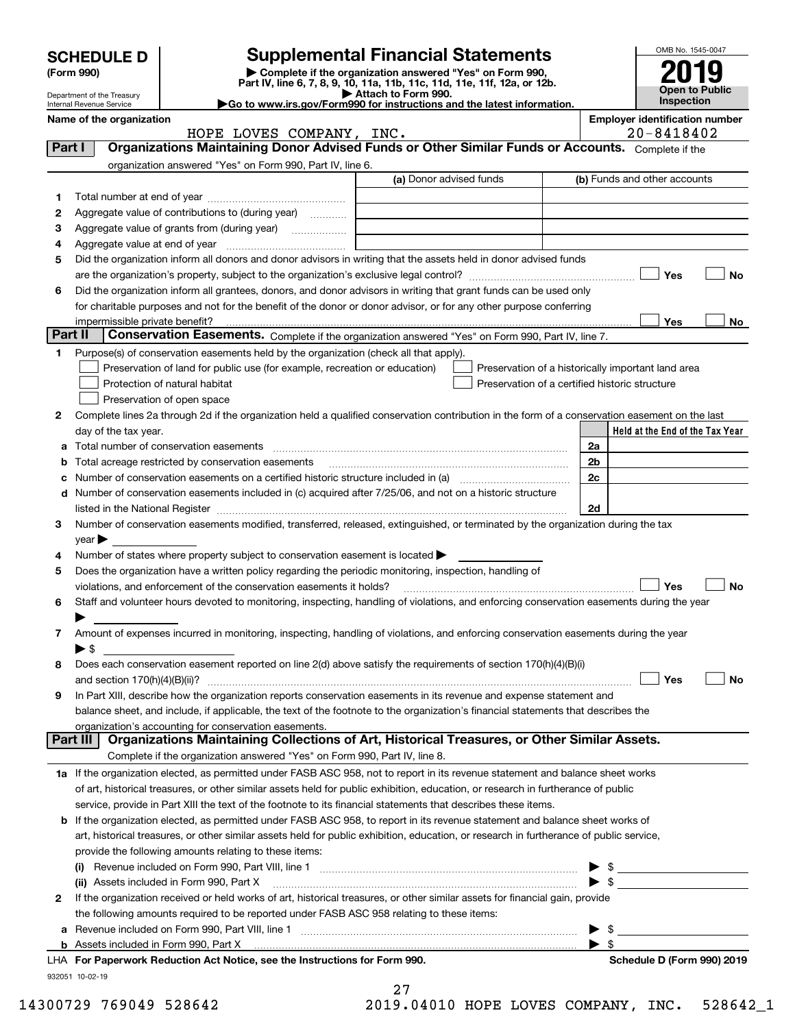|         |                                                                                                                                                         |                                                                                                                                                |                         |                                                    |  |                          |  | OMB No. 1545-0047            |                                                                                                                                                                                                                                                                                                                     |
|---------|---------------------------------------------------------------------------------------------------------------------------------------------------------|------------------------------------------------------------------------------------------------------------------------------------------------|-------------------------|----------------------------------------------------|--|--------------------------|--|------------------------------|---------------------------------------------------------------------------------------------------------------------------------------------------------------------------------------------------------------------------------------------------------------------------------------------------------------------|
|         | <b>Supplemental Financial Statements</b><br><b>SCHEDULE D</b><br>Complete if the organization answered "Yes" on Form 990,<br>(Form 990)                 |                                                                                                                                                |                         |                                                    |  |                          |  |                              |                                                                                                                                                                                                                                                                                                                     |
|         |                                                                                                                                                         | Part IV, line 6, 7, 8, 9, 10, 11a, 11b, 11c, 11d, 11e, 11f, 12a, or 12b.                                                                       |                         |                                                    |  |                          |  |                              | Open to Public                                                                                                                                                                                                                                                                                                      |
|         | Attach to Form 990.<br>Department of the Treasury<br>Go to www.irs.gov/Form990 for instructions and the latest information.<br>Internal Revenue Service |                                                                                                                                                |                         |                                                    |  |                          |  |                              | <b>Inspection</b>                                                                                                                                                                                                                                                                                                   |
|         | Name of the organization                                                                                                                                |                                                                                                                                                |                         |                                                    |  |                          |  |                              | <b>Employer identification number</b>                                                                                                                                                                                                                                                                               |
|         |                                                                                                                                                         | HOPE LOVES COMPANY, INC.                                                                                                                       |                         |                                                    |  |                          |  | 20-8418402                   |                                                                                                                                                                                                                                                                                                                     |
| Part I  |                                                                                                                                                         | Organizations Maintaining Donor Advised Funds or Other Similar Funds or Accounts. Complete if the                                              |                         |                                                    |  |                          |  |                              |                                                                                                                                                                                                                                                                                                                     |
|         |                                                                                                                                                         | organization answered "Yes" on Form 990, Part IV, line 6.                                                                                      |                         |                                                    |  |                          |  |                              |                                                                                                                                                                                                                                                                                                                     |
|         |                                                                                                                                                         |                                                                                                                                                | (a) Donor advised funds |                                                    |  |                          |  | (b) Funds and other accounts |                                                                                                                                                                                                                                                                                                                     |
| 1       |                                                                                                                                                         |                                                                                                                                                |                         |                                                    |  |                          |  |                              |                                                                                                                                                                                                                                                                                                                     |
| 2       |                                                                                                                                                         | Aggregate value of contributions to (during year)                                                                                              |                         |                                                    |  |                          |  |                              |                                                                                                                                                                                                                                                                                                                     |
| з       |                                                                                                                                                         | Aggregate value of grants from (during year)                                                                                                   |                         |                                                    |  |                          |  |                              |                                                                                                                                                                                                                                                                                                                     |
| 4       |                                                                                                                                                         |                                                                                                                                                |                         |                                                    |  |                          |  |                              |                                                                                                                                                                                                                                                                                                                     |
| 5       |                                                                                                                                                         | Did the organization inform all donors and donor advisors in writing that the assets held in donor advised funds                               |                         |                                                    |  |                          |  |                              |                                                                                                                                                                                                                                                                                                                     |
|         |                                                                                                                                                         | Did the organization inform all grantees, donors, and donor advisors in writing that grant funds can be used only                              |                         |                                                    |  |                          |  | Yes                          | No                                                                                                                                                                                                                                                                                                                  |
| 6       |                                                                                                                                                         | for charitable purposes and not for the benefit of the donor or donor advisor, or for any other purpose conferring                             |                         |                                                    |  |                          |  |                              |                                                                                                                                                                                                                                                                                                                     |
|         |                                                                                                                                                         |                                                                                                                                                |                         |                                                    |  |                          |  | Yes                          | No                                                                                                                                                                                                                                                                                                                  |
| Part II |                                                                                                                                                         | Conservation Easements. Complete if the organization answered "Yes" on Form 990, Part IV, line 7.                                              |                         |                                                    |  |                          |  |                              |                                                                                                                                                                                                                                                                                                                     |
| 1       |                                                                                                                                                         | Purpose(s) of conservation easements held by the organization (check all that apply).                                                          |                         |                                                    |  |                          |  |                              |                                                                                                                                                                                                                                                                                                                     |
|         |                                                                                                                                                         | Preservation of land for public use (for example, recreation or education)                                                                     |                         | Preservation of a historically important land area |  |                          |  |                              |                                                                                                                                                                                                                                                                                                                     |
|         |                                                                                                                                                         | Protection of natural habitat                                                                                                                  |                         | Preservation of a certified historic structure     |  |                          |  |                              |                                                                                                                                                                                                                                                                                                                     |
|         |                                                                                                                                                         | Preservation of open space                                                                                                                     |                         |                                                    |  |                          |  |                              |                                                                                                                                                                                                                                                                                                                     |
| 2       |                                                                                                                                                         | Complete lines 2a through 2d if the organization held a qualified conservation contribution in the form of a conservation easement on the last |                         |                                                    |  |                          |  |                              |                                                                                                                                                                                                                                                                                                                     |
|         | day of the tax year.                                                                                                                                    |                                                                                                                                                |                         |                                                    |  |                          |  |                              | Held at the End of the Tax Year                                                                                                                                                                                                                                                                                     |
| а       |                                                                                                                                                         |                                                                                                                                                |                         |                                                    |  | 2a                       |  |                              |                                                                                                                                                                                                                                                                                                                     |
| b       |                                                                                                                                                         | Total acreage restricted by conservation easements                                                                                             |                         |                                                    |  | 2 <sub>b</sub>           |  |                              |                                                                                                                                                                                                                                                                                                                     |
| c       |                                                                                                                                                         |                                                                                                                                                |                         |                                                    |  | 2c                       |  |                              |                                                                                                                                                                                                                                                                                                                     |
| d       |                                                                                                                                                         | Number of conservation easements included in (c) acquired after 7/25/06, and not on a historic structure                                       |                         |                                                    |  |                          |  |                              |                                                                                                                                                                                                                                                                                                                     |
|         |                                                                                                                                                         |                                                                                                                                                |                         |                                                    |  | 2d                       |  |                              |                                                                                                                                                                                                                                                                                                                     |
| з       |                                                                                                                                                         | Number of conservation easements modified, transferred, released, extinguished, or terminated by the organization during the tax               |                         |                                                    |  |                          |  |                              |                                                                                                                                                                                                                                                                                                                     |
|         | $year \blacktriangleright$                                                                                                                              |                                                                                                                                                |                         |                                                    |  |                          |  |                              |                                                                                                                                                                                                                                                                                                                     |
| 4       |                                                                                                                                                         | Number of states where property subject to conservation easement is located >                                                                  |                         |                                                    |  |                          |  |                              |                                                                                                                                                                                                                                                                                                                     |
| 5       |                                                                                                                                                         | Does the organization have a written policy regarding the periodic monitoring, inspection, handling of                                         |                         |                                                    |  |                          |  |                              |                                                                                                                                                                                                                                                                                                                     |
|         |                                                                                                                                                         | violations, and enforcement of the conservation easements it holds?                                                                            |                         |                                                    |  |                          |  | Yes                          | <b>No</b>                                                                                                                                                                                                                                                                                                           |
| 6       |                                                                                                                                                         | Staff and volunteer hours devoted to monitoring, inspecting, handling of violations, and enforcing conservation easements during the year      |                         |                                                    |  |                          |  |                              |                                                                                                                                                                                                                                                                                                                     |
|         |                                                                                                                                                         |                                                                                                                                                |                         |                                                    |  |                          |  |                              |                                                                                                                                                                                                                                                                                                                     |
| 7       |                                                                                                                                                         | Amount of expenses incurred in monitoring, inspecting, handling of violations, and enforcing conservation easements during the year            |                         |                                                    |  |                          |  |                              |                                                                                                                                                                                                                                                                                                                     |
|         | $\blacktriangleright$ \$                                                                                                                                | Does each conservation easement reported on line 2(d) above satisfy the requirements of section 170(h)(4)(B)(i)                                |                         |                                                    |  |                          |  |                              |                                                                                                                                                                                                                                                                                                                     |
| 8       |                                                                                                                                                         |                                                                                                                                                |                         |                                                    |  |                          |  | Yes                          | No                                                                                                                                                                                                                                                                                                                  |
| 9       |                                                                                                                                                         | In Part XIII, describe how the organization reports conservation easements in its revenue and expense statement and                            |                         |                                                    |  |                          |  |                              |                                                                                                                                                                                                                                                                                                                     |
|         |                                                                                                                                                         | balance sheet, and include, if applicable, the text of the footnote to the organization's financial statements that describes the              |                         |                                                    |  |                          |  |                              |                                                                                                                                                                                                                                                                                                                     |
|         |                                                                                                                                                         | organization's accounting for conservation easements.                                                                                          |                         |                                                    |  |                          |  |                              |                                                                                                                                                                                                                                                                                                                     |
|         | Part III                                                                                                                                                | Organizations Maintaining Collections of Art, Historical Treasures, or Other Similar Assets.                                                   |                         |                                                    |  |                          |  |                              |                                                                                                                                                                                                                                                                                                                     |
|         |                                                                                                                                                         | Complete if the organization answered "Yes" on Form 990, Part IV, line 8.                                                                      |                         |                                                    |  |                          |  |                              |                                                                                                                                                                                                                                                                                                                     |
|         |                                                                                                                                                         | 1a If the organization elected, as permitted under FASB ASC 958, not to report in its revenue statement and balance sheet works                |                         |                                                    |  |                          |  |                              |                                                                                                                                                                                                                                                                                                                     |
|         |                                                                                                                                                         | of art, historical treasures, or other similar assets held for public exhibition, education, or research in furtherance of public              |                         |                                                    |  |                          |  |                              |                                                                                                                                                                                                                                                                                                                     |
|         |                                                                                                                                                         | service, provide in Part XIII the text of the footnote to its financial statements that describes these items.                                 |                         |                                                    |  |                          |  |                              |                                                                                                                                                                                                                                                                                                                     |
| b       |                                                                                                                                                         | If the organization elected, as permitted under FASB ASC 958, to report in its revenue statement and balance sheet works of                    |                         |                                                    |  |                          |  |                              |                                                                                                                                                                                                                                                                                                                     |
|         |                                                                                                                                                         | art, historical treasures, or other similar assets held for public exhibition, education, or research in furtherance of public service,        |                         |                                                    |  |                          |  |                              |                                                                                                                                                                                                                                                                                                                     |
|         |                                                                                                                                                         | provide the following amounts relating to these items:                                                                                         |                         |                                                    |  |                          |  |                              |                                                                                                                                                                                                                                                                                                                     |
|         |                                                                                                                                                         |                                                                                                                                                |                         |                                                    |  |                          |  |                              | $\frac{1}{2}$ $\frac{1}{2}$ $\frac{1}{2}$ $\frac{1}{2}$ $\frac{1}{2}$ $\frac{1}{2}$ $\frac{1}{2}$ $\frac{1}{2}$ $\frac{1}{2}$ $\frac{1}{2}$ $\frac{1}{2}$ $\frac{1}{2}$ $\frac{1}{2}$ $\frac{1}{2}$ $\frac{1}{2}$ $\frac{1}{2}$ $\frac{1}{2}$ $\frac{1}{2}$ $\frac{1}{2}$ $\frac{1}{2}$ $\frac{1}{2}$ $\frac{1}{2}$ |
|         |                                                                                                                                                         | (ii) Assets included in Form 990, Part X                                                                                                       |                         |                                                    |  | $\blacktriangleright$ \$ |  |                              |                                                                                                                                                                                                                                                                                                                     |
| 2       |                                                                                                                                                         | If the organization received or held works of art, historical treasures, or other similar assets for financial gain, provide                   |                         |                                                    |  |                          |  |                              |                                                                                                                                                                                                                                                                                                                     |
|         |                                                                                                                                                         | the following amounts required to be reported under FASB ASC 958 relating to these items:                                                      |                         |                                                    |  |                          |  |                              |                                                                                                                                                                                                                                                                                                                     |
|         |                                                                                                                                                         |                                                                                                                                                |                         |                                                    |  | - \$                     |  |                              |                                                                                                                                                                                                                                                                                                                     |
|         |                                                                                                                                                         |                                                                                                                                                |                         |                                                    |  | -\$                      |  |                              |                                                                                                                                                                                                                                                                                                                     |
|         |                                                                                                                                                         | For Departments Reduction Act Notice, see the Instructions for Form 000                                                                        |                         |                                                    |  |                          |  |                              | Schodule D (Form 000) 2010                                                                                                                                                                                                                                                                                          |

932051 10-02-19 **For Paperwork Reduction Act Notice, see the Instructions for Form 990. Schedule D (Form 990) 2019** LHA

| 14300729 769049 528642 |  | 2019.04010 HOPE LOVES COMPANY, INC. 528642_1 |  |  |  |
|------------------------|--|----------------------------------------------|--|--|--|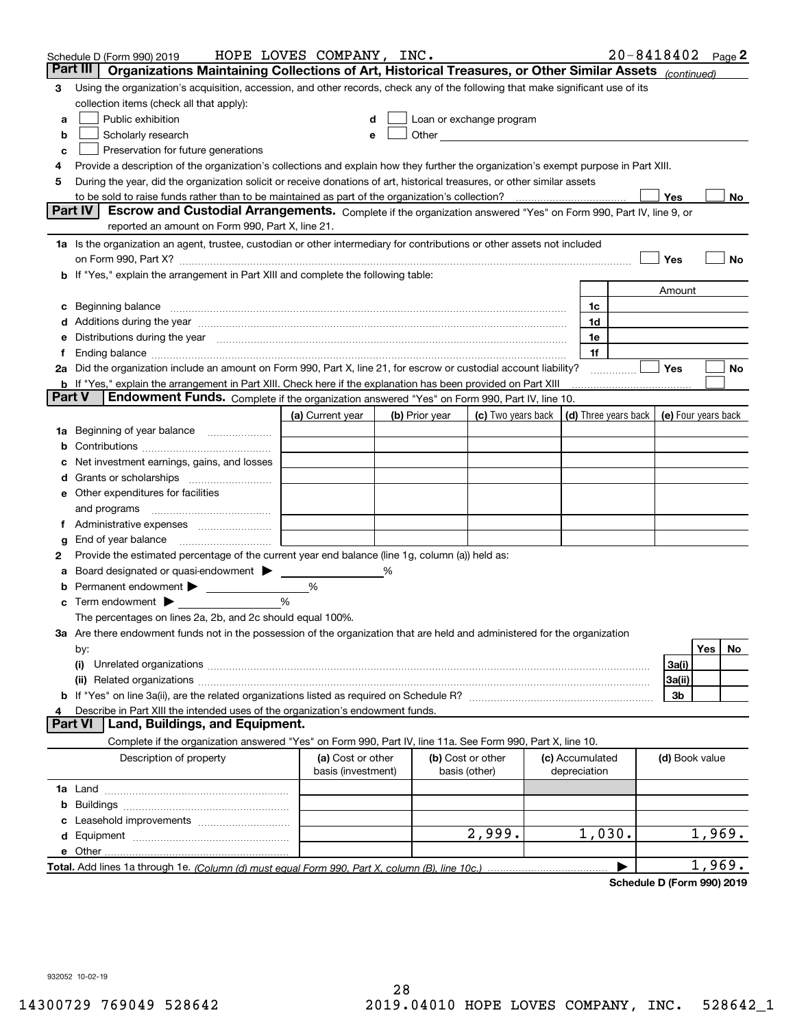|        | Schedule D (Form 990) 2019                                                                                                                                                                                                     | HOPE LOVES COMPANY, INC.                |   |                |                                                      |                                 | $20 - 8418402$ Page 2 |        |    |
|--------|--------------------------------------------------------------------------------------------------------------------------------------------------------------------------------------------------------------------------------|-----------------------------------------|---|----------------|------------------------------------------------------|---------------------------------|-----------------------|--------|----|
|        | Part III<br>Organizations Maintaining Collections of Art, Historical Treasures, or Other Similar Assets (continued)                                                                                                            |                                         |   |                |                                                      |                                 |                       |        |    |
| 3      | Using the organization's acquisition, accession, and other records, check any of the following that make significant use of its                                                                                                |                                         |   |                |                                                      |                                 |                       |        |    |
|        | collection items (check all that apply):                                                                                                                                                                                       |                                         |   |                |                                                      |                                 |                       |        |    |
| a      | Public exhibition                                                                                                                                                                                                              |                                         |   |                | Loan or exchange program                             |                                 |                       |        |    |
| b      | Scholarly research                                                                                                                                                                                                             | е                                       |   |                | Other <b>Committee Committee Committee Committee</b> |                                 |                       |        |    |
| с      | Preservation for future generations                                                                                                                                                                                            |                                         |   |                |                                                      |                                 |                       |        |    |
| 4      | Provide a description of the organization's collections and explain how they further the organization's exempt purpose in Part XIII.                                                                                           |                                         |   |                |                                                      |                                 |                       |        |    |
| 5      | During the year, did the organization solicit or receive donations of art, historical treasures, or other similar assets                                                                                                       |                                         |   |                |                                                      |                                 |                       |        |    |
|        | to be sold to raise funds rather than to be maintained as part of the organization's collection?                                                                                                                               |                                         |   |                |                                                      |                                 | Yes                   |        | No |
|        | <b>Part IV</b><br>Escrow and Custodial Arrangements. Complete if the organization answered "Yes" on Form 990, Part IV, line 9, or                                                                                              |                                         |   |                |                                                      |                                 |                       |        |    |
|        | reported an amount on Form 990, Part X, line 21.                                                                                                                                                                               |                                         |   |                |                                                      |                                 |                       |        |    |
|        | 1a Is the organization an agent, trustee, custodian or other intermediary for contributions or other assets not included                                                                                                       |                                         |   |                |                                                      |                                 |                       |        |    |
|        | on Form 990, Part X? [11] matter contracts and contracts and contracts are contracted as a form 990, Part X?                                                                                                                   |                                         |   |                |                                                      |                                 | Yes                   |        | No |
|        | b If "Yes," explain the arrangement in Part XIII and complete the following table:                                                                                                                                             |                                         |   |                |                                                      |                                 |                       |        |    |
|        |                                                                                                                                                                                                                                |                                         |   |                |                                                      |                                 | Amount                |        |    |
| c      | Beginning balance measurements and contain a series of the series of the series of the series of the series of                                                                                                                 |                                         |   |                |                                                      | 1c                              |                       |        |    |
|        | Additions during the year manufactured and an account of the state of the state of the state of the state of the state of the state of the state of the state of the state of the state of the state of the state of the state |                                         |   |                |                                                      | 1d                              |                       |        |    |
|        | Distributions during the year manufactured and continuum and continuum and continuum and continuum and continuum                                                                                                               |                                         |   |                |                                                      | 1e                              |                       |        |    |
| Ť.     | 2a Did the organization include an amount on Form 990, Part X, line 21, for escrow or custodial account liability?                                                                                                             |                                         |   |                |                                                      | 1f                              | Yes                   |        | No |
|        | <b>b</b> If "Yes," explain the arrangement in Part XIII. Check here if the explanation has been provided on Part XIII                                                                                                          |                                         |   |                |                                                      | .                               |                       |        |    |
| Part V | Endowment Funds. Complete if the organization answered "Yes" on Form 990, Part IV, line 10.                                                                                                                                    |                                         |   |                |                                                      |                                 |                       |        |    |
|        |                                                                                                                                                                                                                                | (a) Current year                        |   | (b) Prior year | (c) Two years back                                   | (d) Three years back            | (e) Four years back   |        |    |
| 1a     | Beginning of year balance                                                                                                                                                                                                      |                                         |   |                |                                                      |                                 |                       |        |    |
|        |                                                                                                                                                                                                                                |                                         |   |                |                                                      |                                 |                       |        |    |
|        | Net investment earnings, gains, and losses                                                                                                                                                                                     |                                         |   |                |                                                      |                                 |                       |        |    |
| d      |                                                                                                                                                                                                                                |                                         |   |                |                                                      |                                 |                       |        |    |
|        | e Other expenditures for facilities                                                                                                                                                                                            |                                         |   |                |                                                      |                                 |                       |        |    |
|        | and programs                                                                                                                                                                                                                   |                                         |   |                |                                                      |                                 |                       |        |    |
|        |                                                                                                                                                                                                                                |                                         |   |                |                                                      |                                 |                       |        |    |
| g      | End of year balance                                                                                                                                                                                                            |                                         |   |                |                                                      |                                 |                       |        |    |
| 2      | Provide the estimated percentage of the current year end balance (line 1g, column (a)) held as:                                                                                                                                |                                         |   |                |                                                      |                                 |                       |        |    |
| а      | Board designated or quasi-endowment                                                                                                                                                                                            |                                         | % |                |                                                      |                                 |                       |        |    |
|        | Permanent endowment > <u>example</u>                                                                                                                                                                                           | %                                       |   |                |                                                      |                                 |                       |        |    |
|        | Term endowment $\blacktriangleright$                                                                                                                                                                                           | %                                       |   |                |                                                      |                                 |                       |        |    |
|        | The percentages on lines 2a, 2b, and 2c should equal 100%.                                                                                                                                                                     |                                         |   |                |                                                      |                                 |                       |        |    |
|        | 3a Are there endowment funds not in the possession of the organization that are held and administered for the organization                                                                                                     |                                         |   |                |                                                      |                                 |                       |        |    |
|        | by:                                                                                                                                                                                                                            |                                         |   |                |                                                      |                                 |                       | Yes    | No |
|        | (i)                                                                                                                                                                                                                            |                                         |   |                |                                                      |                                 | 3a(i)                 |        |    |
|        |                                                                                                                                                                                                                                |                                         |   |                |                                                      |                                 | 3a(ii)                |        |    |
|        |                                                                                                                                                                                                                                |                                         |   |                |                                                      |                                 | 3b                    |        |    |
| 4      | Describe in Part XIII the intended uses of the organization's endowment funds.                                                                                                                                                 |                                         |   |                |                                                      |                                 |                       |        |    |
|        | Land, Buildings, and Equipment.<br>Part VI                                                                                                                                                                                     |                                         |   |                |                                                      |                                 |                       |        |    |
|        | Complete if the organization answered "Yes" on Form 990, Part IV, line 11a. See Form 990, Part X, line 10.                                                                                                                     |                                         |   |                |                                                      |                                 |                       |        |    |
|        | Description of property                                                                                                                                                                                                        | (a) Cost or other<br>basis (investment) |   | basis (other)  | (b) Cost or other                                    | (c) Accumulated<br>depreciation | (d) Book value        |        |    |
|        |                                                                                                                                                                                                                                |                                         |   |                |                                                      |                                 |                       |        |    |
| b      |                                                                                                                                                                                                                                |                                         |   |                |                                                      |                                 |                       |        |    |
|        |                                                                                                                                                                                                                                |                                         |   |                |                                                      |                                 |                       |        |    |
|        |                                                                                                                                                                                                                                |                                         |   |                | 2,999.                                               | 1,030.                          |                       | 1,969. |    |
|        |                                                                                                                                                                                                                                |                                         |   |                |                                                      |                                 |                       |        |    |
|        |                                                                                                                                                                                                                                |                                         |   |                |                                                      |                                 |                       | 1,969. |    |

**Schedule D (Form 990) 2019**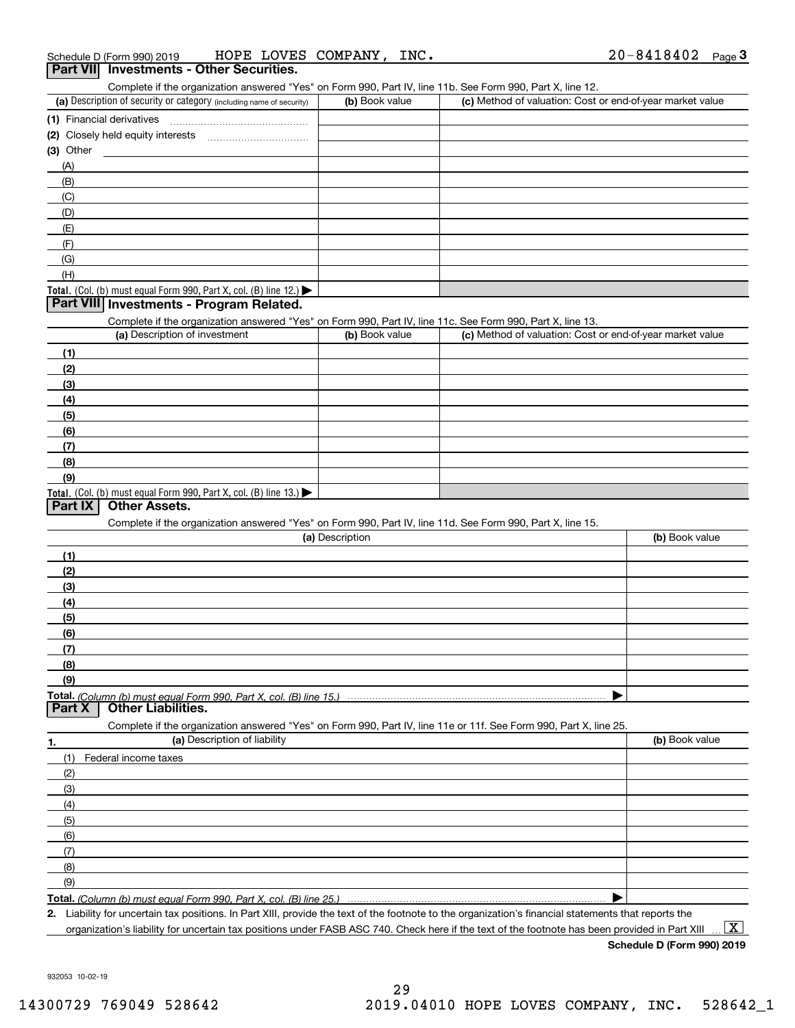Complete if the organization answered "Yes" on Form 990, Part IV, line 11b. See Form 990, Part X, line 12.

| (a) Description of security or category (including name of security)                          | (b) Book value | (c) Method of valuation: Cost or end-of-year market value |
|-----------------------------------------------------------------------------------------------|----------------|-----------------------------------------------------------|
| (1) Financial derivatives                                                                     |                |                                                           |
| (2) Closely held equity interests                                                             |                |                                                           |
| $(3)$ Other                                                                                   |                |                                                           |
| (A)                                                                                           |                |                                                           |
| (B)                                                                                           |                |                                                           |
| (C)                                                                                           |                |                                                           |
| (D)                                                                                           |                |                                                           |
| (E)                                                                                           |                |                                                           |
| (F)                                                                                           |                |                                                           |
| (G)                                                                                           |                |                                                           |
| (H)                                                                                           |                |                                                           |
| <b>Total.</b> (Col. (b) must equal Form 990, Part X, col. (B) line 12.) $\blacktriangleright$ |                |                                                           |

### **Part VIII Investments - Program Related.**

Complete if the organization answered "Yes" on Form 990, Part IV, line 11c. See Form 990, Part X, line 13.

| (a) Description of investment                                                          | (b) Book value | (c) Method of valuation: Cost or end-of-year market value |
|----------------------------------------------------------------------------------------|----------------|-----------------------------------------------------------|
| (1)                                                                                    |                |                                                           |
| (2)                                                                                    |                |                                                           |
| $\frac{1}{2}$                                                                          |                |                                                           |
| (4)                                                                                    |                |                                                           |
| (5)                                                                                    |                |                                                           |
| (6)                                                                                    |                |                                                           |
| (7)                                                                                    |                |                                                           |
| (8)                                                                                    |                |                                                           |
| (9)                                                                                    |                |                                                           |
| Total. (Col. (b) must equal Form 990, Part X, col. (B) line 13.) $\blacktriangleright$ |                |                                                           |

## **Part IX Other Assets.**

Complete if the organization answered "Yes" on Form 990, Part IV, line 11d. See Form 990, Part X, line 15.

| (a) Description                                                                                                   | (b) Book value |
|-------------------------------------------------------------------------------------------------------------------|----------------|
| (1)                                                                                                               |                |
| (2)                                                                                                               |                |
| (3)                                                                                                               |                |
| (4)                                                                                                               |                |
| (5)                                                                                                               |                |
| (6)                                                                                                               |                |
|                                                                                                                   |                |
| <u>(8)</u>                                                                                                        |                |
| (9)                                                                                                               |                |
|                                                                                                                   |                |
| <b>Part X</b> Other Liabilities.                                                                                  |                |
| Complete if the organization answered "Yes" on Form 990, Part IV, line 11e or 11f. See Form 990, Part X, line 25. |                |

| 1.                  | (a) Description of liability | (b) Book value |
|---------------------|------------------------------|----------------|
| (1)                 | Federal income taxes         |                |
| (2)                 |                              |                |
| $\qquad \qquad (3)$ |                              |                |
| (4)                 |                              |                |
| (5)                 |                              |                |
| (6)                 |                              |                |
| $\qquad$ (7)        |                              |                |
| (8)                 |                              |                |
| (9)                 |                              |                |
|                     |                              |                |

**Total.**  *(Column (b) must equal Form 990, Part X, col. (B) line 25.)* 

**2.**Liability for uncertain tax positions. In Part XIII, provide the text of the footnote to the organization's financial statements that reports the organization's liability for uncertain tax positions under FASB ASC 740. Check here if the text of the footnote has been provided in Part XIII

**Schedule D (Form 990) 2019**  $\boxed{\text{X}}$ 

932053 10-02-19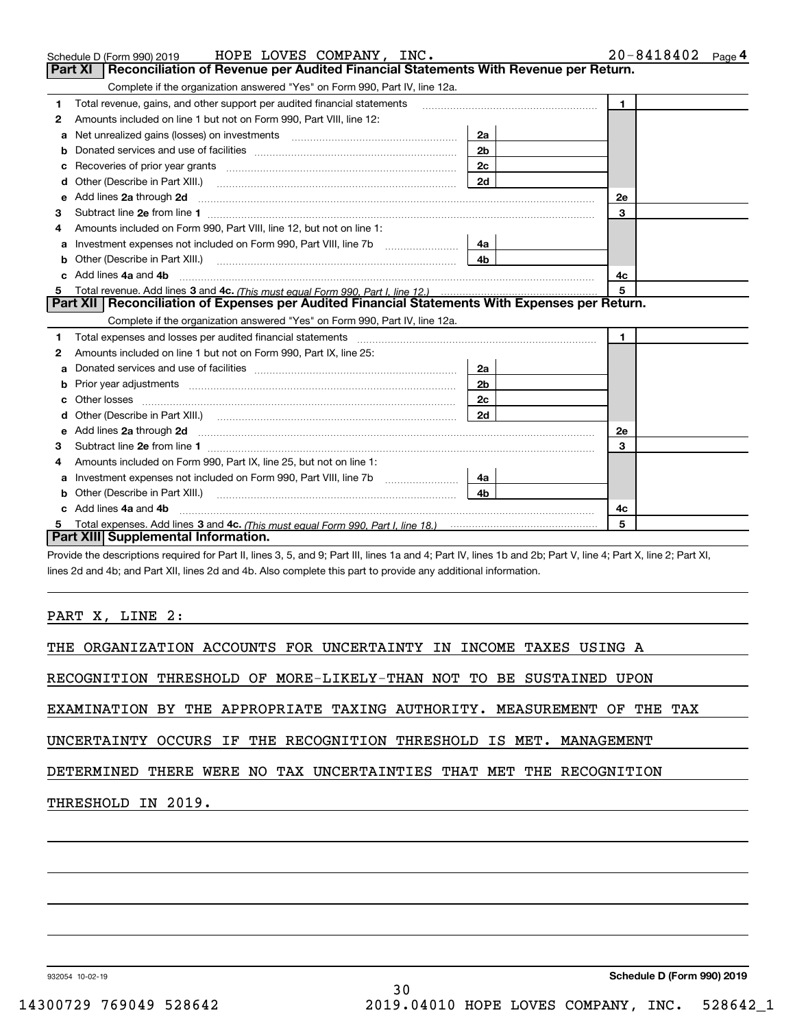|   | Schedule D (Form 990) 2019 HOPE LOVES COMPANY, INC.                                                                                                                                                                                  |                | 20-8418402<br>Page 4 |
|---|--------------------------------------------------------------------------------------------------------------------------------------------------------------------------------------------------------------------------------------|----------------|----------------------|
|   | Reconciliation of Revenue per Audited Financial Statements With Revenue per Return.<br>Part XI                                                                                                                                       |                |                      |
|   | Complete if the organization answered "Yes" on Form 990, Part IV, line 12a.                                                                                                                                                          |                |                      |
| 1 | Total revenue, gains, and other support per audited financial statements                                                                                                                                                             |                | $\mathbf{1}$         |
| 2 | Amounts included on line 1 but not on Form 990, Part VIII, line 12:                                                                                                                                                                  |                |                      |
| a | Net unrealized gains (losses) on investments [11] matter contracts and the unrealized gains (losses) on investments                                                                                                                  | 2a             |                      |
|   |                                                                                                                                                                                                                                      | 2 <sub>b</sub> |                      |
|   |                                                                                                                                                                                                                                      | 2c             |                      |
|   |                                                                                                                                                                                                                                      | 2d             |                      |
|   |                                                                                                                                                                                                                                      |                | <b>2e</b>            |
| 3 |                                                                                                                                                                                                                                      |                | 3                    |
| 4 | Amounts included on Form 990, Part VIII, line 12, but not on line 1:                                                                                                                                                                 |                |                      |
| a |                                                                                                                                                                                                                                      | 4a             |                      |
| b | Other (Describe in Part XIII.) <b>Construction Contract Construction</b> Construction Construction Construction Const                                                                                                                | 4 <sub>b</sub> |                      |
|   | Add lines 4a and 4b                                                                                                                                                                                                                  |                | 4с                   |
| 5 |                                                                                                                                                                                                                                      |                | 5                    |
|   | Part XII   Reconciliation of Expenses per Audited Financial Statements With Expenses per Return.                                                                                                                                     |                |                      |
|   | Complete if the organization answered "Yes" on Form 990, Part IV, line 12a.                                                                                                                                                          |                |                      |
| 1 |                                                                                                                                                                                                                                      |                | $\mathbf{1}$         |
| 2 | Amounts included on line 1 but not on Form 990, Part IX, line 25:                                                                                                                                                                    |                |                      |
| a |                                                                                                                                                                                                                                      | 2a             |                      |
| b |                                                                                                                                                                                                                                      | 2 <sub>b</sub> |                      |
|   |                                                                                                                                                                                                                                      | 2c             |                      |
|   |                                                                                                                                                                                                                                      | 2d             |                      |
| e | Add lines 2a through 2d <b>contained a contained a contained a contained a contained a contained a contained a contained a contact a contact a contact a contact a contact a contact a contact a contact a contact a contact a c</b> |                | 2e                   |
| З |                                                                                                                                                                                                                                      |                | 3                    |
| 4 | Amounts included on Form 990, Part IX, line 25, but not on line 1:                                                                                                                                                                   |                |                      |
| a |                                                                                                                                                                                                                                      | 4a             |                      |
|   | Other (Describe in Part XIII.) <b>Construction Contract Construction</b> Chemistry Chemistry Chemistry Chemistry Chemistry                                                                                                           | 4 <sub>b</sub> |                      |
|   | c Add lines 4a and 4b                                                                                                                                                                                                                |                | 4с                   |
|   |                                                                                                                                                                                                                                      |                | 5                    |
|   | Part XIII Supplemental Information.                                                                                                                                                                                                  |                |                      |

Provide the descriptions required for Part II, lines 3, 5, and 9; Part III, lines 1a and 4; Part IV, lines 1b and 2b; Part V, line 4; Part X, line 2; Part XI, lines 2d and 4b; and Part XII, lines 2d and 4b. Also complete this part to provide any additional information.

PART X, LINE 2:

THE ORGANIZATION ACCOUNTS FOR UNCERTAINTY IN INCOME TAXES USING A

RECOGNITION THRESHOLD OF MORE-LIKELY-THAN NOT TO BE SUSTAINED UPON

EXAMINATION BY THE APPROPRIATE TAXING AUTHORITY. MEASUREMENT OF THE TAX

UNCERTAINTY OCCURS IF THE RECOGNITION THRESHOLD IS MET. MANAGEMENT

DETERMINED THERE WERE NO TAX UNCERTAINTIES THAT MET THE RECOGNITION

THRESHOLD IN 2019.

932054 10-02-19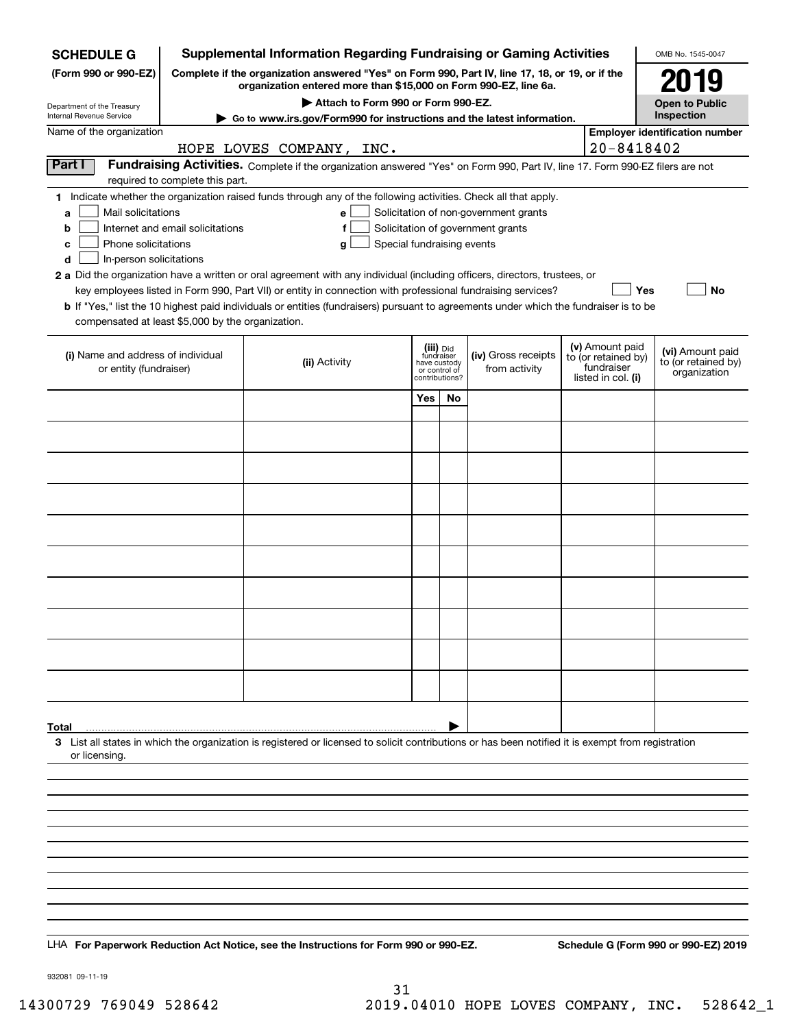| <b>SCHEDULE G</b>                                 | <b>Supplemental Information Regarding Fundraising or Gaming Activities</b>                      |                                                                                                                                                    |                                         |    |                                       |  |                                        | OMB No. 1545-0047                       |
|---------------------------------------------------|-------------------------------------------------------------------------------------------------|----------------------------------------------------------------------------------------------------------------------------------------------------|-----------------------------------------|----|---------------------------------------|--|----------------------------------------|-----------------------------------------|
| (Form 990 or 990-EZ)                              | Complete if the organization answered "Yes" on Form 990, Part IV, line 17, 18, or 19, or if the |                                                                                                                                                    | 2019                                    |    |                                       |  |                                        |                                         |
| Department of the Treasury                        |                                                                                                 | organization entered more than \$15,000 on Form 990-EZ, line 6a.<br>Attach to Form 990 or Form 990-EZ.                                             |                                         |    |                                       |  |                                        | <b>Open to Public</b>                   |
| Internal Revenue Service                          |                                                                                                 | $\blacktriangleright$ Go to www.irs.gov/Form990 for instructions and the latest information.                                                       |                                         |    |                                       |  |                                        | Inspection                              |
| Name of the organization                          |                                                                                                 |                                                                                                                                                    |                                         |    |                                       |  |                                        | <b>Employer identification number</b>   |
|                                                   |                                                                                                 | HOPE LOVES COMPANY,<br>INC.                                                                                                                        |                                         |    |                                       |  | 20-8418402                             |                                         |
| Part I                                            | required to complete this part.                                                                 | Fundraising Activities. Complete if the organization answered "Yes" on Form 990, Part IV, line 17. Form 990-EZ filers are not                      |                                         |    |                                       |  |                                        |                                         |
|                                                   |                                                                                                 | 1 Indicate whether the organization raised funds through any of the following activities. Check all that apply.                                    |                                         |    |                                       |  |                                        |                                         |
| Mail solicitations<br>a                           |                                                                                                 | e                                                                                                                                                  |                                         |    | Solicitation of non-government grants |  |                                        |                                         |
| b<br>Phone solicitations<br>c                     | Internet and email solicitations                                                                | f<br>Special fundraising events<br>g                                                                                                               |                                         |    | Solicitation of government grants     |  |                                        |                                         |
| In-person solicitations<br>d                      |                                                                                                 |                                                                                                                                                    |                                         |    |                                       |  |                                        |                                         |
|                                                   |                                                                                                 | 2 a Did the organization have a written or oral agreement with any individual (including officers, directors, trustees, or                         |                                         |    |                                       |  |                                        |                                         |
|                                                   |                                                                                                 | key employees listed in Form 990, Part VII) or entity in connection with professional fundraising services?                                        |                                         |    |                                       |  | Yes                                    | No                                      |
| compensated at least \$5,000 by the organization. |                                                                                                 | <b>b</b> If "Yes," list the 10 highest paid individuals or entities (fundraisers) pursuant to agreements under which the fundraiser is to be       |                                         |    |                                       |  |                                        |                                         |
|                                                   |                                                                                                 |                                                                                                                                                    |                                         |    |                                       |  |                                        |                                         |
| (i) Name and address of individual                |                                                                                                 | (ii) Activity                                                                                                                                      | (iii) Did<br>fundraiser<br>have custody |    | (iv) Gross receipts                   |  | (v) Amount paid<br>to (or retained by) | (vi) Amount paid<br>to (or retained by) |
| or entity (fundraiser)                            |                                                                                                 |                                                                                                                                                    | or control of<br>contributions?         |    | from activity                         |  | fundraiser<br>listed in col. (i)       | organization                            |
|                                                   |                                                                                                 |                                                                                                                                                    | Yes                                     | No |                                       |  |                                        |                                         |
|                                                   |                                                                                                 |                                                                                                                                                    |                                         |    |                                       |  |                                        |                                         |
|                                                   |                                                                                                 |                                                                                                                                                    |                                         |    |                                       |  |                                        |                                         |
|                                                   |                                                                                                 |                                                                                                                                                    |                                         |    |                                       |  |                                        |                                         |
|                                                   |                                                                                                 |                                                                                                                                                    |                                         |    |                                       |  |                                        |                                         |
|                                                   |                                                                                                 |                                                                                                                                                    |                                         |    |                                       |  |                                        |                                         |
|                                                   |                                                                                                 |                                                                                                                                                    |                                         |    |                                       |  |                                        |                                         |
|                                                   |                                                                                                 |                                                                                                                                                    |                                         |    |                                       |  |                                        |                                         |
|                                                   |                                                                                                 |                                                                                                                                                    |                                         |    |                                       |  |                                        |                                         |
|                                                   |                                                                                                 |                                                                                                                                                    |                                         |    |                                       |  |                                        |                                         |
|                                                   |                                                                                                 |                                                                                                                                                    |                                         |    |                                       |  |                                        |                                         |
|                                                   |                                                                                                 |                                                                                                                                                    |                                         |    |                                       |  |                                        |                                         |
|                                                   |                                                                                                 |                                                                                                                                                    |                                         |    |                                       |  |                                        |                                         |
|                                                   |                                                                                                 |                                                                                                                                                    |                                         |    |                                       |  |                                        |                                         |
|                                                   |                                                                                                 |                                                                                                                                                    |                                         |    |                                       |  |                                        |                                         |
|                                                   |                                                                                                 |                                                                                                                                                    |                                         |    |                                       |  |                                        |                                         |
| Total                                             |                                                                                                 | 3 List all states in which the organization is registered or licensed to solicit contributions or has been notified it is exempt from registration |                                         |    |                                       |  |                                        |                                         |
| or licensing.                                     |                                                                                                 |                                                                                                                                                    |                                         |    |                                       |  |                                        |                                         |
|                                                   |                                                                                                 |                                                                                                                                                    |                                         |    |                                       |  |                                        |                                         |
|                                                   |                                                                                                 |                                                                                                                                                    |                                         |    |                                       |  |                                        |                                         |
|                                                   |                                                                                                 |                                                                                                                                                    |                                         |    |                                       |  |                                        |                                         |
|                                                   |                                                                                                 |                                                                                                                                                    |                                         |    |                                       |  |                                        |                                         |
|                                                   |                                                                                                 |                                                                                                                                                    |                                         |    |                                       |  |                                        |                                         |
|                                                   |                                                                                                 |                                                                                                                                                    |                                         |    |                                       |  |                                        |                                         |
|                                                   |                                                                                                 |                                                                                                                                                    |                                         |    |                                       |  |                                        |                                         |
|                                                   |                                                                                                 |                                                                                                                                                    |                                         |    |                                       |  |                                        |                                         |
|                                                   |                                                                                                 | LHA For Paperwork Reduction Act Notice, see the Instructions for Form 990 or 990-EZ.                                                               |                                         |    |                                       |  |                                        | Schedule G (Form 990 or 990-EZ) 2019    |

932081 09-11-19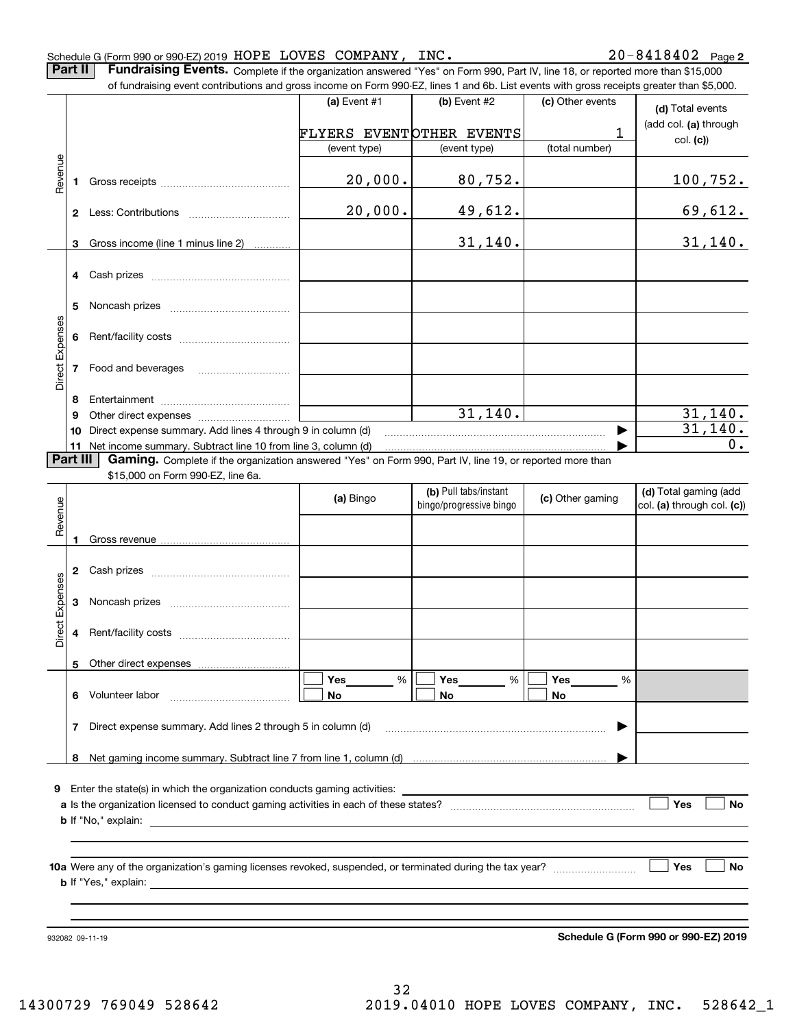|                 |              | Schedule G (Form 990 or 990-EZ) 2019 HOPE LOVES COMPANY, INC.                                                                                                                                                                                                              |              |                          |                  | $20 - 8418402$ Page 2                |
|-----------------|--------------|----------------------------------------------------------------------------------------------------------------------------------------------------------------------------------------------------------------------------------------------------------------------------|--------------|--------------------------|------------------|--------------------------------------|
|                 | Part II      | Fundraising Events. Complete if the organization answered "Yes" on Form 990, Part IV, line 18, or reported more than \$15,000<br>of fundraising event contributions and gross income on Form 990-EZ, lines 1 and 6b. List events with gross receipts greater than \$5,000. |              |                          |                  |                                      |
|                 |              |                                                                                                                                                                                                                                                                            | (a) Event #1 | (b) Event #2             | (c) Other events |                                      |
|                 |              |                                                                                                                                                                                                                                                                            |              |                          |                  | (d) Total events                     |
|                 |              |                                                                                                                                                                                                                                                                            |              | FLYERS EVENTOTHER EVENTS | 1                | (add col. (a) through                |
|                 |              |                                                                                                                                                                                                                                                                            | (event type) | (event type)             | (total number)   | col. (c)                             |
|                 |              |                                                                                                                                                                                                                                                                            |              |                          |                  |                                      |
| Revenue         | $\mathbf{1}$ |                                                                                                                                                                                                                                                                            | 20,000.      | 80,752.                  |                  | <u> 100,752.</u>                     |
|                 |              |                                                                                                                                                                                                                                                                            |              |                          |                  |                                      |
|                 |              |                                                                                                                                                                                                                                                                            | 20,000.      | 49,612.                  |                  | <u>69,612.</u>                       |
|                 |              |                                                                                                                                                                                                                                                                            |              |                          |                  |                                      |
|                 | 3            | Gross income (line 1 minus line 2)                                                                                                                                                                                                                                         |              | 31,140.                  |                  | 31,140.                              |
|                 |              |                                                                                                                                                                                                                                                                            |              |                          |                  |                                      |
|                 |              |                                                                                                                                                                                                                                                                            |              |                          |                  |                                      |
|                 |              |                                                                                                                                                                                                                                                                            |              |                          |                  |                                      |
|                 | 5            |                                                                                                                                                                                                                                                                            |              |                          |                  |                                      |
| Direct Expenses |              |                                                                                                                                                                                                                                                                            |              |                          |                  |                                      |
|                 | 6            |                                                                                                                                                                                                                                                                            |              |                          |                  |                                      |
|                 |              |                                                                                                                                                                                                                                                                            |              |                          |                  |                                      |
|                 |              |                                                                                                                                                                                                                                                                            |              |                          |                  |                                      |
|                 | 8            |                                                                                                                                                                                                                                                                            |              |                          |                  |                                      |
|                 | 9            |                                                                                                                                                                                                                                                                            |              | 31,140.                  |                  | 31,140.                              |
|                 |              | 10 Direct expense summary. Add lines 4 through 9 in column (d)                                                                                                                                                                                                             |              |                          |                  | 31,140.                              |
|                 |              |                                                                                                                                                                                                                                                                            |              |                          |                  | $\overline{0}$ .                     |
|                 | Part III     | <b>Gaming.</b> Complete if the organization answered "Yes" on Form 990, Part IV, line 19, or reported more than                                                                                                                                                            |              |                          |                  |                                      |
|                 |              | \$15,000 on Form 990-EZ, line 6a.                                                                                                                                                                                                                                          |              |                          |                  |                                      |
|                 |              |                                                                                                                                                                                                                                                                            |              | (b) Pull tabs/instant    |                  | (d) Total gaming (add                |
| Revenue         |              |                                                                                                                                                                                                                                                                            | (a) Bingo    | bingo/progressive bingo  | (c) Other gaming | col. (a) through col. (c))           |
|                 |              |                                                                                                                                                                                                                                                                            |              |                          |                  |                                      |
|                 |              |                                                                                                                                                                                                                                                                            |              |                          |                  |                                      |
|                 |              |                                                                                                                                                                                                                                                                            |              |                          |                  |                                      |
|                 |              |                                                                                                                                                                                                                                                                            |              |                          |                  |                                      |
|                 |              |                                                                                                                                                                                                                                                                            |              |                          |                  |                                      |
| Expenses        | 3            |                                                                                                                                                                                                                                                                            |              |                          |                  |                                      |
| <b>ect</b>      |              |                                                                                                                                                                                                                                                                            |              |                          |                  |                                      |
| έ               |              |                                                                                                                                                                                                                                                                            |              |                          |                  |                                      |
|                 |              |                                                                                                                                                                                                                                                                            |              |                          |                  |                                      |
|                 |              |                                                                                                                                                                                                                                                                            | Yes<br>%     | Yes<br>%                 | Yes<br>%         |                                      |
|                 |              | 6 Volunteer labor                                                                                                                                                                                                                                                          | No.          | No.                      | No.              |                                      |
|                 |              |                                                                                                                                                                                                                                                                            |              |                          |                  |                                      |
|                 |              | Direct expense summary. Add lines 2 through 5 in column (d)                                                                                                                                                                                                                |              |                          | ▶                |                                      |
|                 |              |                                                                                                                                                                                                                                                                            |              |                          |                  |                                      |
|                 | 8            |                                                                                                                                                                                                                                                                            |              |                          |                  |                                      |
|                 |              |                                                                                                                                                                                                                                                                            |              |                          |                  |                                      |
|                 |              |                                                                                                                                                                                                                                                                            |              |                          |                  |                                      |
|                 |              | Enter the state(s) in which the organization conducts gaming activities:                                                                                                                                                                                                   |              |                          |                  |                                      |
|                 |              |                                                                                                                                                                                                                                                                            |              |                          |                  | Yes<br>No                            |
|                 |              |                                                                                                                                                                                                                                                                            |              |                          |                  |                                      |
|                 |              |                                                                                                                                                                                                                                                                            |              |                          |                  |                                      |
|                 |              |                                                                                                                                                                                                                                                                            |              |                          |                  |                                      |
|                 |              |                                                                                                                                                                                                                                                                            |              |                          |                  | Yes<br>No                            |
|                 |              |                                                                                                                                                                                                                                                                            |              |                          |                  |                                      |
|                 |              |                                                                                                                                                                                                                                                                            |              |                          |                  |                                      |
|                 |              |                                                                                                                                                                                                                                                                            |              |                          |                  |                                      |
|                 |              | 932082 09-11-19                                                                                                                                                                                                                                                            |              |                          |                  | Schedule G (Form 990 or 990-EZ) 2019 |
|                 |              |                                                                                                                                                                                                                                                                            |              |                          |                  |                                      |

**Schedule G (Form 990 or 990-EZ) 2019**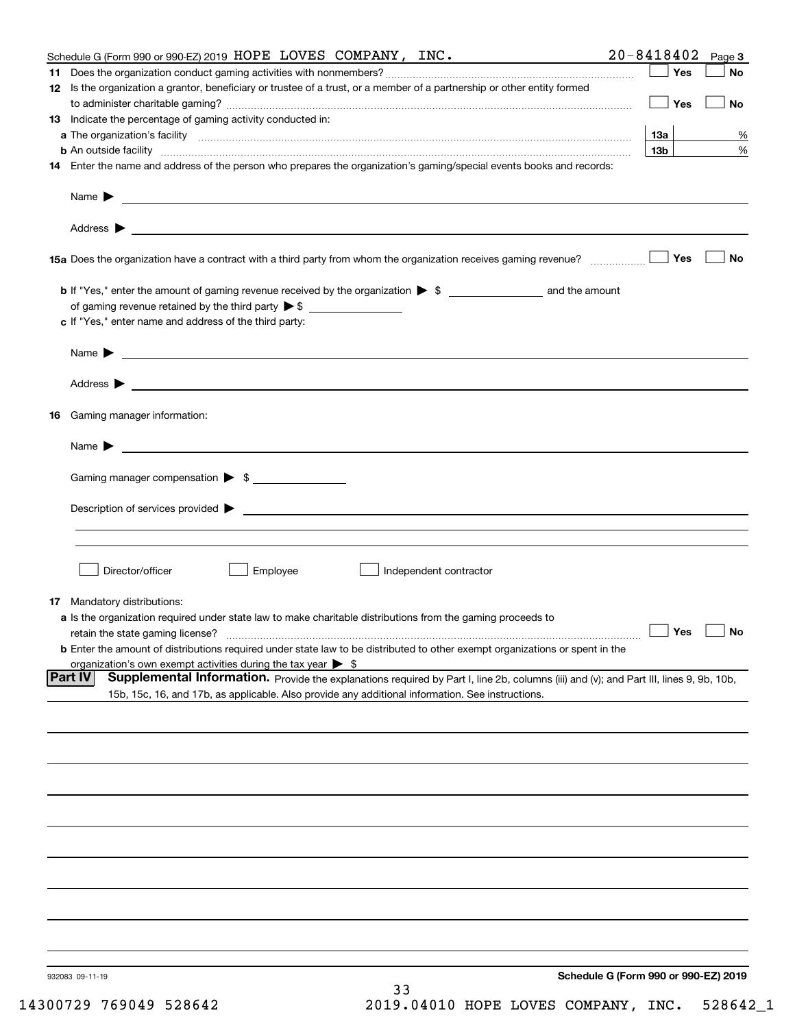| Schedule G (Form 990 or 990-EZ) 2019 HOPE LOVES COMPANY, INC.                                                                                                                                                                      | 20-8418402      | Page 3    |
|------------------------------------------------------------------------------------------------------------------------------------------------------------------------------------------------------------------------------------|-----------------|-----------|
|                                                                                                                                                                                                                                    | Yes             | No        |
| 12 Is the organization a grantor, beneficiary or trustee of a trust, or a member of a partnership or other entity formed                                                                                                           |                 |           |
|                                                                                                                                                                                                                                    | Yes             | No        |
| 13 Indicate the percentage of gaming activity conducted in:                                                                                                                                                                        |                 |           |
|                                                                                                                                                                                                                                    | 13а             | %         |
| <b>b</b> An outside facility <i>www.communicality www.communicality.communicality www.communicality www.communicality.communicality www.communicality.com</i>                                                                      | 13 <sub>b</sub> | %         |
| 14 Enter the name and address of the person who prepares the organization's gaming/special events books and records:                                                                                                               |                 |           |
|                                                                                                                                                                                                                                    |                 |           |
|                                                                                                                                                                                                                                    |                 |           |
| 15a Does the organization have a contract with a third party from whom the organization receives gaming revenue?                                                                                                                   | Yes             | No        |
|                                                                                                                                                                                                                                    |                 |           |
|                                                                                                                                                                                                                                    |                 |           |
| c If "Yes," enter name and address of the third party:                                                                                                                                                                             |                 |           |
|                                                                                                                                                                                                                                    |                 |           |
| Name $\blacktriangleright$ $\bot$                                                                                                                                                                                                  |                 |           |
|                                                                                                                                                                                                                                    |                 |           |
|                                                                                                                                                                                                                                    |                 |           |
| 16 Gaming manager information:                                                                                                                                                                                                     |                 |           |
|                                                                                                                                                                                                                                    |                 |           |
| Name $\sum_{n=1}^{\infty}$                                                                                                                                                                                                         |                 |           |
| Gaming manager compensation > \$                                                                                                                                                                                                   |                 |           |
|                                                                                                                                                                                                                                    |                 |           |
|                                                                                                                                                                                                                                    |                 |           |
|                                                                                                                                                                                                                                    |                 |           |
|                                                                                                                                                                                                                                    |                 |           |
| Employee<br>Director/officer<br>Independent contractor                                                                                                                                                                             |                 |           |
|                                                                                                                                                                                                                                    |                 |           |
| <b>17</b> Mandatory distributions:                                                                                                                                                                                                 |                 |           |
| a Is the organization required under state law to make charitable distributions from the gaming proceeds to                                                                                                                        |                 |           |
| retain the state gaming license?                                                                                                                                                                                                   | $\Box$ Yes      | $\Box$ No |
| <b>b</b> Enter the amount of distributions required under state law to be distributed to other exempt organizations or spent in the                                                                                                |                 |           |
| organization's own exempt activities during the tax year $\triangleright$ \$<br>Supplemental Information. Provide the explanations required by Part I, line 2b, columns (iii) and (v); and Part III, lines 9, 9b, 10b,<br> Part IV |                 |           |
| 15b, 15c, 16, and 17b, as applicable. Also provide any additional information. See instructions.                                                                                                                                   |                 |           |
|                                                                                                                                                                                                                                    |                 |           |
|                                                                                                                                                                                                                                    |                 |           |
|                                                                                                                                                                                                                                    |                 |           |
|                                                                                                                                                                                                                                    |                 |           |
|                                                                                                                                                                                                                                    |                 |           |
|                                                                                                                                                                                                                                    |                 |           |
|                                                                                                                                                                                                                                    |                 |           |
|                                                                                                                                                                                                                                    |                 |           |
|                                                                                                                                                                                                                                    |                 |           |
|                                                                                                                                                                                                                                    |                 |           |
|                                                                                                                                                                                                                                    |                 |           |
|                                                                                                                                                                                                                                    |                 |           |
|                                                                                                                                                                                                                                    |                 |           |
|                                                                                                                                                                                                                                    |                 |           |
|                                                                                                                                                                                                                                    |                 |           |
| Schedule G (Form 990 or 990-EZ) 2019<br>932083 09-11-19                                                                                                                                                                            |                 |           |
| 33                                                                                                                                                                                                                                 |                 |           |
|                                                                                                                                                                                                                                    |                 |           |

14300729 769049 528642 2019.04010 HOPE LOVES COMPANY, INC. 528642\_1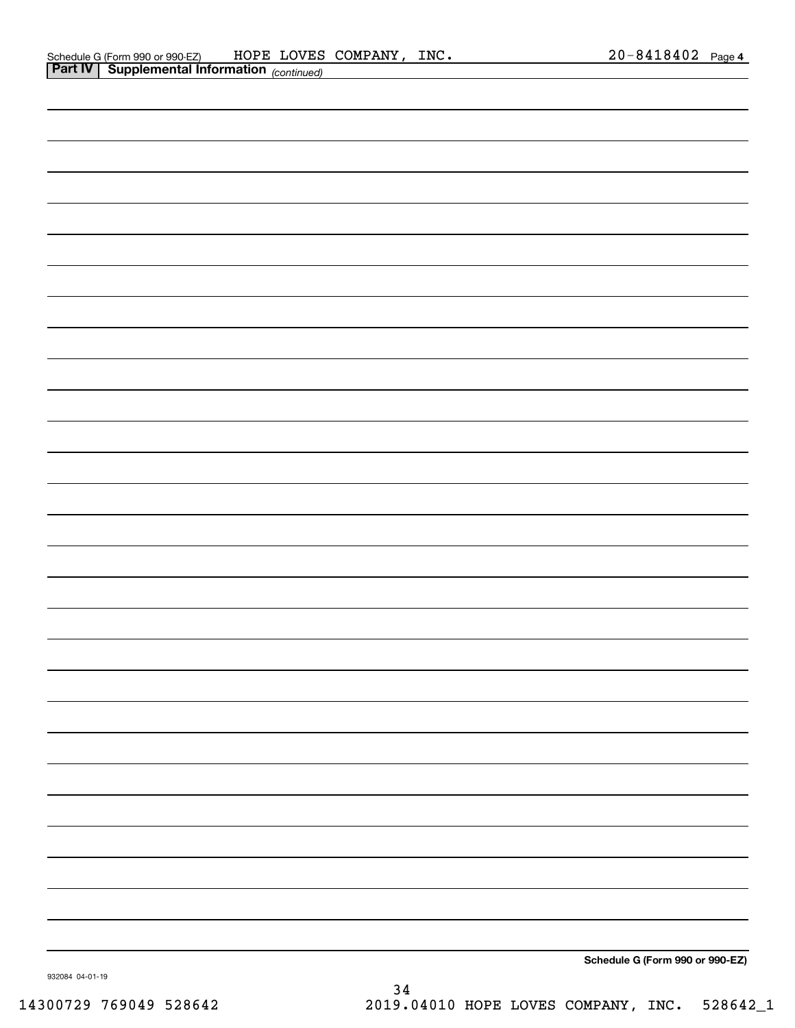| <b>Part IV Supplemental Information</b> (continued) |                                 |
|-----------------------------------------------------|---------------------------------|
|                                                     |                                 |
|                                                     |                                 |
|                                                     |                                 |
|                                                     |                                 |
|                                                     |                                 |
|                                                     |                                 |
|                                                     |                                 |
|                                                     |                                 |
|                                                     |                                 |
|                                                     |                                 |
|                                                     |                                 |
|                                                     |                                 |
|                                                     |                                 |
|                                                     |                                 |
|                                                     |                                 |
|                                                     |                                 |
|                                                     |                                 |
|                                                     |                                 |
|                                                     |                                 |
|                                                     |                                 |
|                                                     |                                 |
|                                                     |                                 |
|                                                     |                                 |
|                                                     |                                 |
|                                                     |                                 |
|                                                     |                                 |
|                                                     |                                 |
|                                                     |                                 |
|                                                     |                                 |
|                                                     |                                 |
|                                                     |                                 |
|                                                     |                                 |
|                                                     |                                 |
|                                                     | Schedule G (Form 990 or 990-EZ) |

932084 04-01-19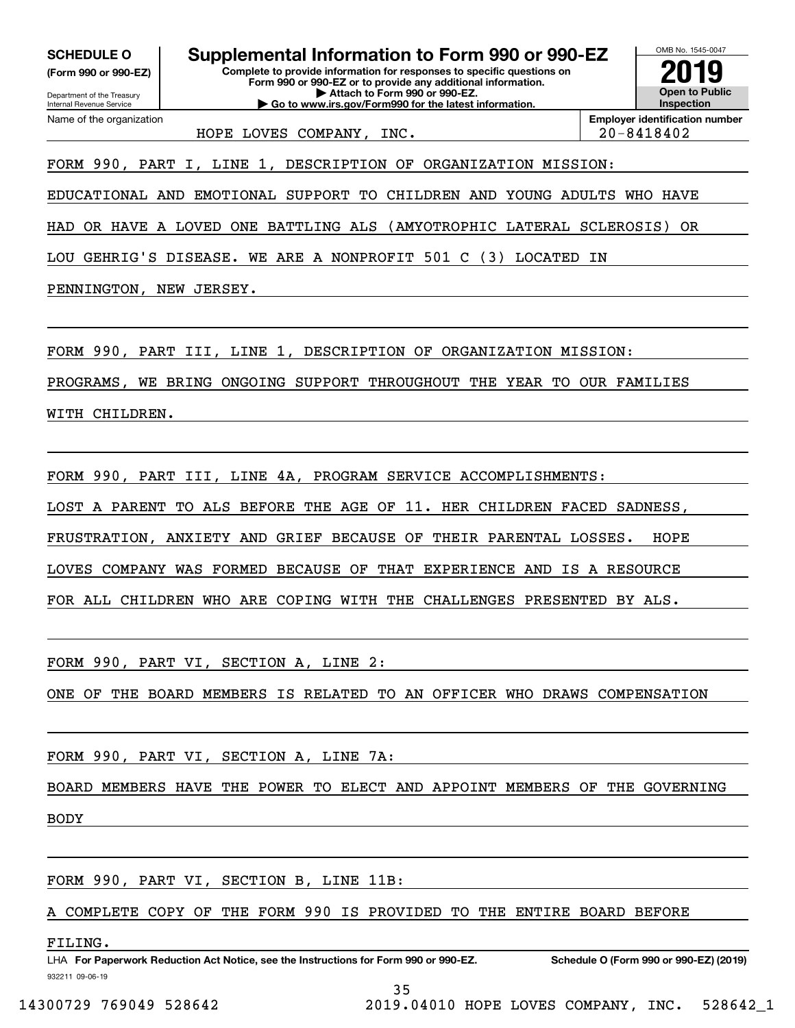Department of the Treasury **(Form 990 or 990-EZ)**

Name of the organization

Internal Revenue Service

**Complete to provide information for responses to specific questions on SCHEDULE O Supplemental Information to Form 990 or 990-EZ**

**Form 990 or 990-EZ or to provide any additional information. | Attach to Form 990 or 990-EZ. | Go to www.irs.gov/Form990 for the latest information.**



HOPE LOVES COMPANY, INC.  $\vert$  20-8418402

FORM 990, PART I, LINE 1, DESCRIPTION OF ORGANIZATION MISSION:

EDUCATIONAL AND EMOTIONAL SUPPORT TO CHILDREN AND YOUNG ADULTS WHO HAVE

HAD OR HAVE A LOVED ONE BATTLING ALS (AMYOTROPHIC LATERAL SCLEROSIS) OR

LOU GEHRIG'S DISEASE. WE ARE A NONPROFIT 501 C (3) LOCATED IN

PENNINGTON, NEW JERSEY.

FORM 990, PART III, LINE 1, DESCRIPTION OF ORGANIZATION MISSION:

PROGRAMS, WE BRING ONGOING SUPPORT THROUGHOUT THE YEAR TO OUR FAMILIES

WITH CHILDREN.

FORM 990, PART III, LINE 4A, PROGRAM SERVICE ACCOMPLISHMENTS:

LOST A PARENT TO ALS BEFORE THE AGE OF 11. HER CHILDREN FACED SADNESS,

FRUSTRATION, ANXIETY AND GRIEF BECAUSE OF THEIR PARENTAL LOSSES. HOPE

LOVES COMPANY WAS FORMED BECAUSE OF THAT EXPERIENCE AND IS A RESOURCE

FOR ALL CHILDREN WHO ARE COPING WITH THE CHALLENGES PRESENTED BY ALS.

FORM 990, PART VI, SECTION A, LINE 2:

ONE OF THE BOARD MEMBERS IS RELATED TO AN OFFICER WHO DRAWS COMPENSATION

FORM 990, PART VI, SECTION A, LINE 7A:

BOARD MEMBERS HAVE THE POWER TO ELECT AND APPOINT MEMBERS OF THE GOVERNING

BODY

FORM 990, PART VI, SECTION B, LINE 11B:

A COMPLETE COPY OF THE FORM 990 IS PROVIDED TO THE ENTIRE BOARD BEFORE

FILING.

14300729 769049 528642 2019.04010 HOPE LOVES COMPANY, INC. 528642\_1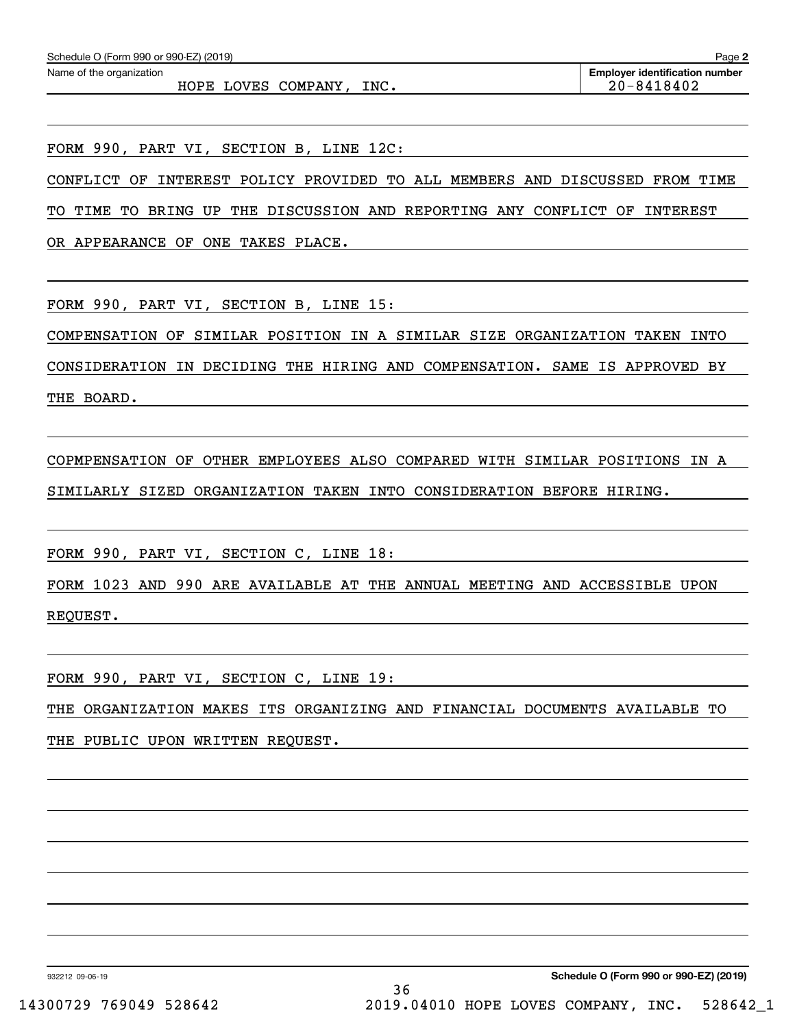HOPE LOVES COMPANY, INC. 20-8418402

FORM 990, PART VI, SECTION B, LINE 12C:

CONFLICT OF INTEREST POLICY PROVIDED TO ALL MEMBERS AND DISCUSSED FROM TIME

TO TIME TO BRING UP THE DISCUSSION AND REPORTING ANY CONFLICT OF INTEREST

OR APPEARANCE OF ONE TAKES PLACE.

FORM 990, PART VI, SECTION B, LINE 15:

COMPENSATION OF SIMILAR POSITION IN A SIMILAR SIZE ORGANIZATION TAKEN INTO

CONSIDERATION IN DECIDING THE HIRING AND COMPENSATION. SAME IS APPROVED BY THE BOARD.

COPMPENSATION OF OTHER EMPLOYEES ALSO COMPARED WITH SIMILAR POSITIONS IN A SIMILARLY SIZED ORGANIZATION TAKEN INTO CONSIDERATION BEFORE HIRING.

FORM 990, PART VI, SECTION C, LINE 18:

FORM 1023 AND 990 ARE AVAILABLE AT THE ANNUAL MEETING AND ACCESSIBLE UPON REQUEST.

FORM 990, PART VI, SECTION C, LINE 19:

THE ORGANIZATION MAKES ITS ORGANIZING AND FINANCIAL DOCUMENTS AVAILABLE TO THE PUBLIC UPON WRITTEN REQUEST.

932212 09-06-19

**Schedule O (Form 990 or 990-EZ) (2019)** 36 14300729 769049 528642 2019.04010 HOPE LOVES COMPANY, INC. 528642\_1